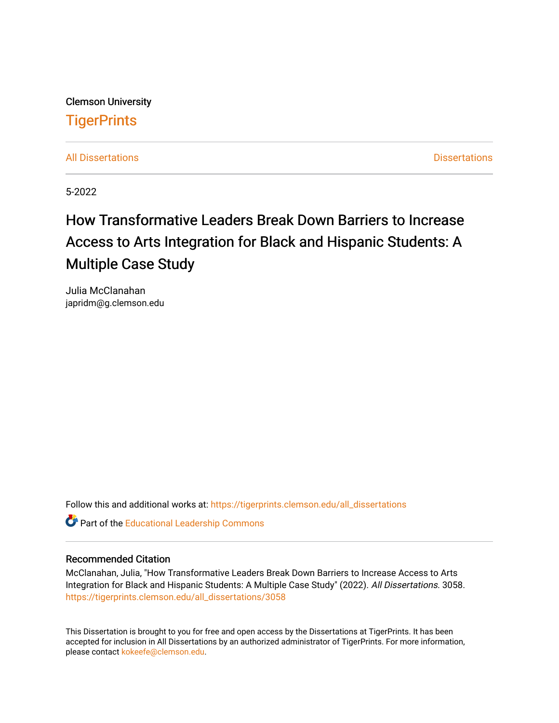Clemson University **TigerPrints** 

[All Dissertations](https://tigerprints.clemson.edu/all_dissertations) **All Dissertations Dissertations Dissertations** 

5-2022

# How Transformative Leaders Break Down Barriers to Increase Access to Arts Integration for Black and Hispanic Students: A Multiple Case Study

Julia McClanahan japridm@g.clemson.edu

Follow this and additional works at: [https://tigerprints.clemson.edu/all\\_dissertations](https://tigerprints.clemson.edu/all_dissertations?utm_source=tigerprints.clemson.edu%2Fall_dissertations%2F3058&utm_medium=PDF&utm_campaign=PDFCoverPages)

**Part of the Educational Leadership Commons** 

# Recommended Citation

McClanahan, Julia, "How Transformative Leaders Break Down Barriers to Increase Access to Arts Integration for Black and Hispanic Students: A Multiple Case Study" (2022). All Dissertations. 3058. [https://tigerprints.clemson.edu/all\\_dissertations/3058](https://tigerprints.clemson.edu/all_dissertations/3058?utm_source=tigerprints.clemson.edu%2Fall_dissertations%2F3058&utm_medium=PDF&utm_campaign=PDFCoverPages)

This Dissertation is brought to you for free and open access by the Dissertations at TigerPrints. It has been accepted for inclusion in All Dissertations by an authorized administrator of TigerPrints. For more information, please contact [kokeefe@clemson.edu](mailto:kokeefe@clemson.edu).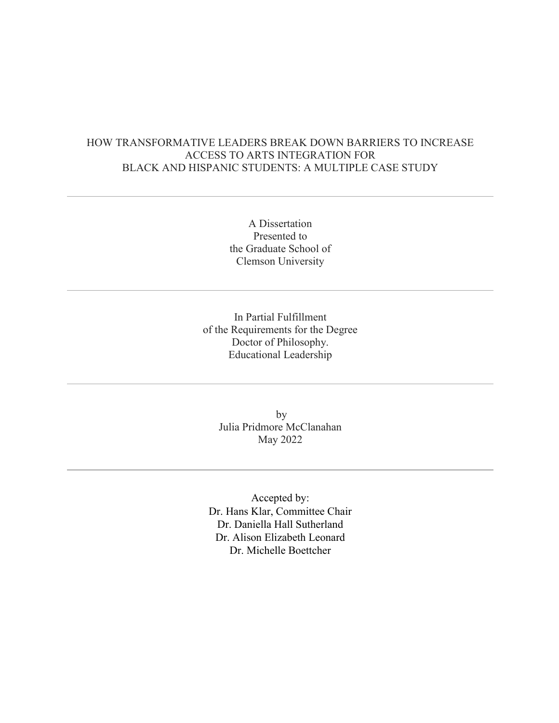# HOW TRANSFORMATIVE LEADERS BREAK DOWN BARRIERS TO INCREASE ACCESS TO ARTS INTEGRATION FOR BLACK AND HISPANIC STUDENTS: A MULTIPLE CASE STUDY

A Dissertation Presented to the Graduate School of Clemson University

In Partial Fulfillment of the Requirements for the Degree Doctor of Philosophy. Educational Leadership

> by Julia Pridmore McClanahan May 2022

Accepted by: Dr. Hans Klar, Committee Chair Dr. Daniella Hall Sutherland Dr. Alison Elizabeth Leonard Dr. Michelle Boettcher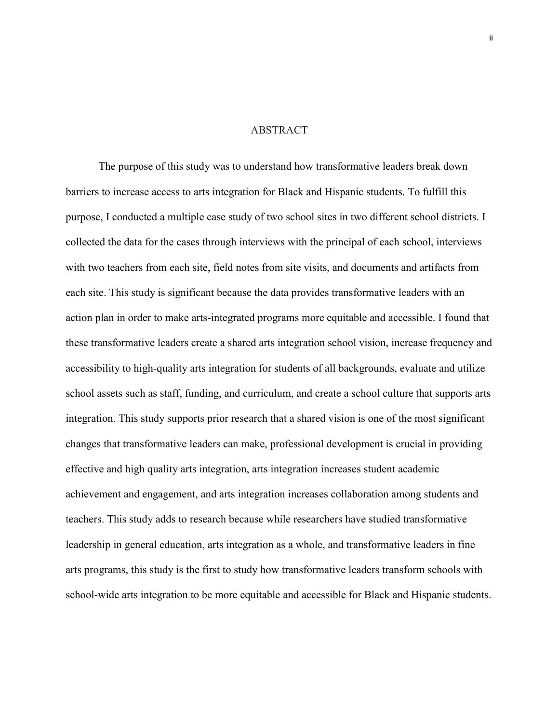# ABSTRACT

The purpose of this study was to understand how transformative leaders break down barriers to increase access to arts integration for Black and Hispanic students. To fulfill this purpose, I conducted a multiple case study of two school sites in two different school districts. I collected the data for the cases through interviews with the principal of each school, interviews with two teachers from each site, field notes from site visits, and documents and artifacts from each site. This study is significant because the data provides transformative leaders with an action plan in order to make arts-integrated programs more equitable and accessible. I found that these transformative leaders create a shared arts integration school vision, increase frequency and accessibility to high-quality arts integration for students of all backgrounds, evaluate and utilize school assets such as staff, funding, and curriculum, and create a school culture that supports arts integration. This study supports prior research that a shared vision is one of the most significant changes that transformative leaders can make, professional development is crucial in providing effective and high quality arts integration, arts integration increases student academic achievement and engagement, and arts integration increases collaboration among students and teachers. This study adds to research because while researchers have studied transformative leadership in general education, arts integration as a whole, and transformative leaders in fine arts programs, this study is the first to study how transformative leaders transform schools with school-wide arts integration to be more equitable and accessible for Black and Hispanic students.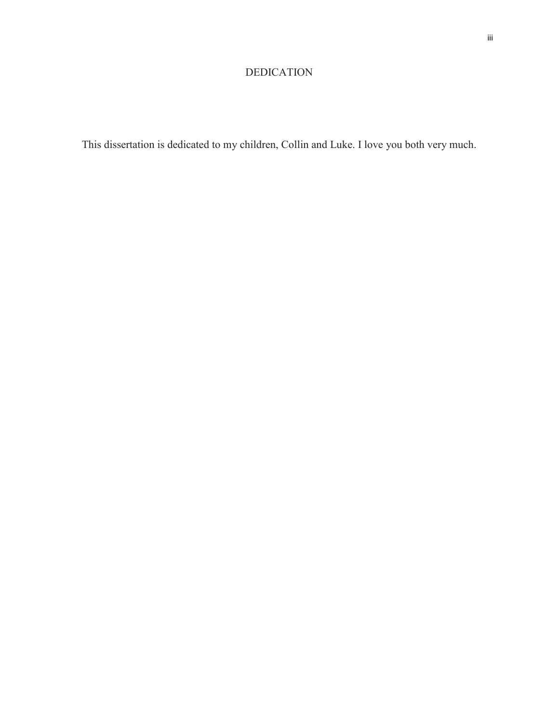# DEDICATION

This dissertation is dedicated to my children, Collin and Luke. I love you both very much.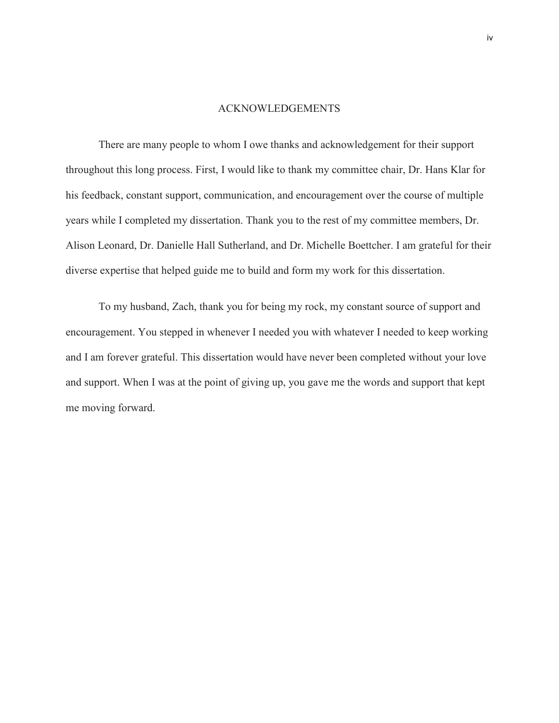#### ACKNOWLEDGEMENTS

There are many people to whom I owe thanks and acknowledgement for their support throughout this long process. First, I would like to thank my committee chair, Dr. Hans Klar for his feedback, constant support, communication, and encouragement over the course of multiple years while I completed my dissertation. Thank you to the rest of my committee members, Dr. Alison Leonard, Dr. Danielle Hall Sutherland, and Dr. Michelle Boettcher. I am grateful for their diverse expertise that helped guide me to build and form my work for this dissertation.

To my husband, Zach, thank you for being my rock, my constant source of support and encouragement. You stepped in whenever I needed you with whatever I needed to keep working and I am forever grateful. This dissertation would have never been completed without your love and support. When I was at the point of giving up, you gave me the words and support that kept me moving forward.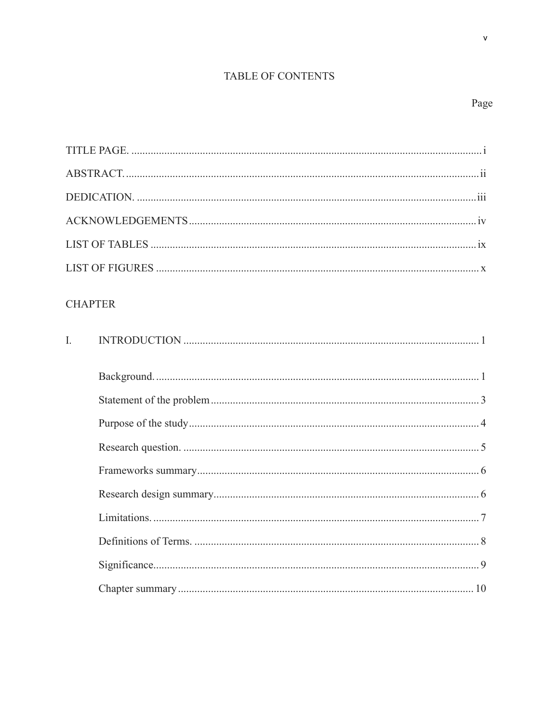# TABLE OF CONTENTS

 $\bar{\mathbf{v}}$ 

| <b>CHAPTER</b> |
|----------------|
| $\overline{L}$ |
|                |
|                |
|                |
|                |
|                |
|                |
|                |
|                |
|                |
|                |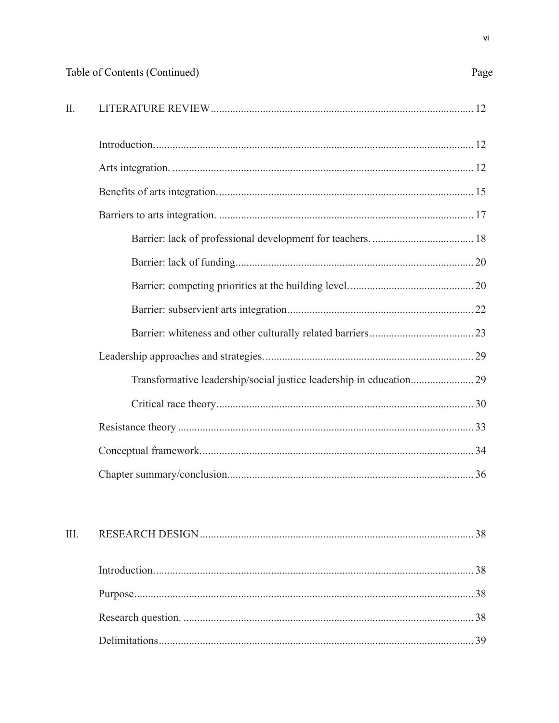| Π. |  |
|----|--|
|    |  |
|    |  |
|    |  |
|    |  |
|    |  |
|    |  |
|    |  |
|    |  |
|    |  |
|    |  |
|    |  |
|    |  |
|    |  |
|    |  |
|    |  |
|    |  |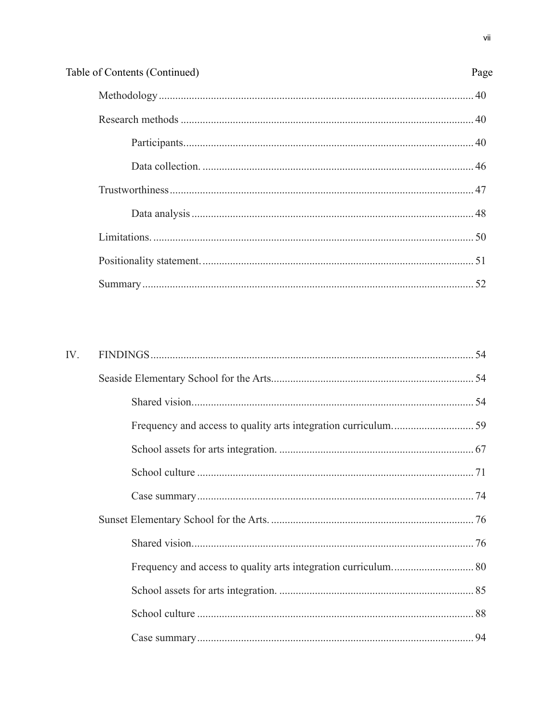| Table of Contents (Continued) | Page |
|-------------------------------|------|
|                               |      |
|                               |      |
|                               |      |
|                               |      |
|                               |      |
|                               |      |
|                               |      |
|                               |      |
|                               |      |

| IV. |  |
|-----|--|
|     |  |
|     |  |
|     |  |
|     |  |
|     |  |
|     |  |
|     |  |
|     |  |
|     |  |
|     |  |
|     |  |
|     |  |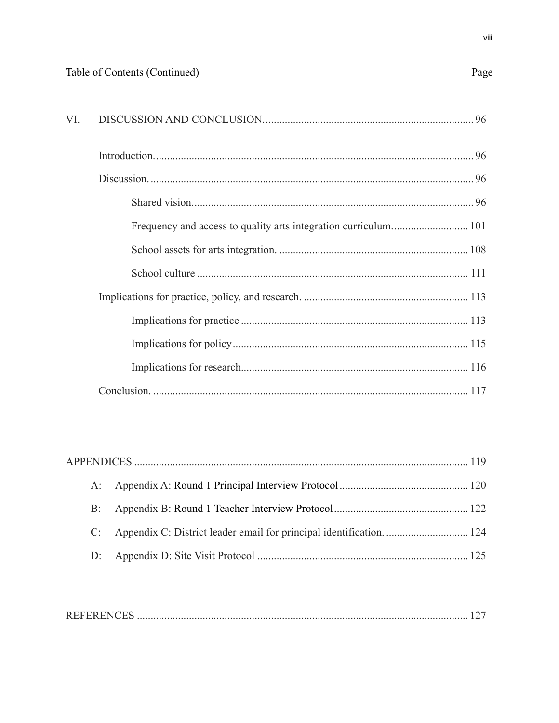| - VI |  |
|------|--|
|      |  |

|  | C: Appendix C: District leader email for principal identification 124 |  |
|--|-----------------------------------------------------------------------|--|
|  |                                                                       |  |

|--|--|--|--|--|

Page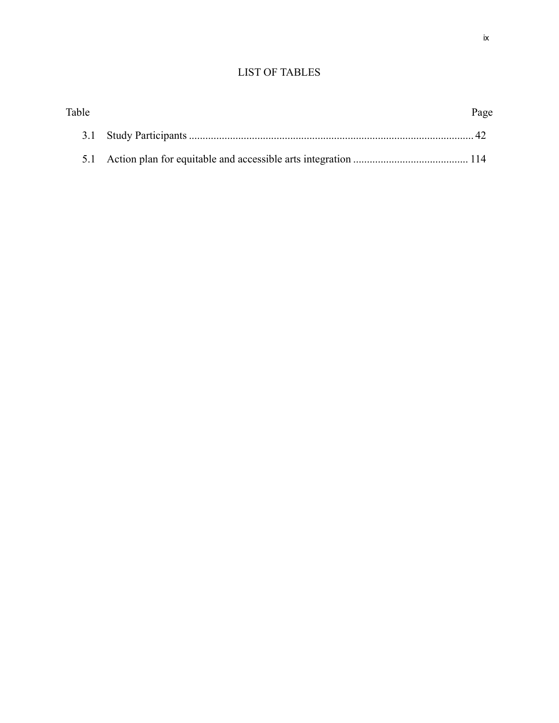# LIST OF TABLES

| Table | Page |
|-------|------|
|       |      |
|       |      |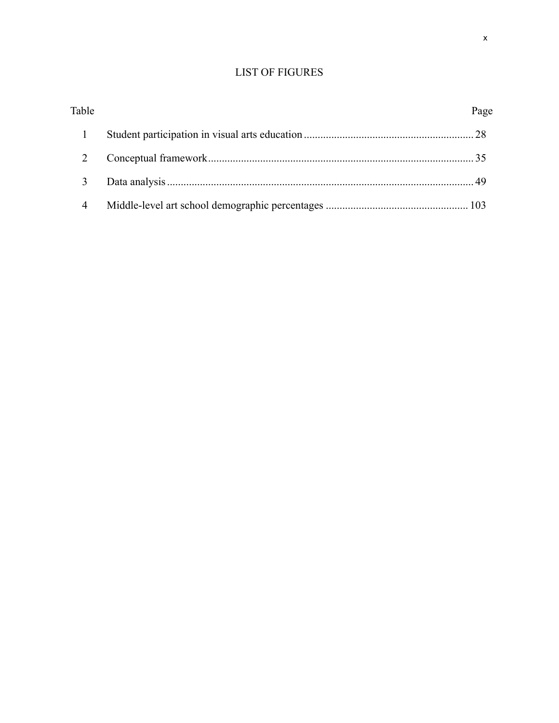# LIST OF FIGURES

| Table | Page |
|-------|------|
|       |      |
|       |      |
|       |      |
| 4     |      |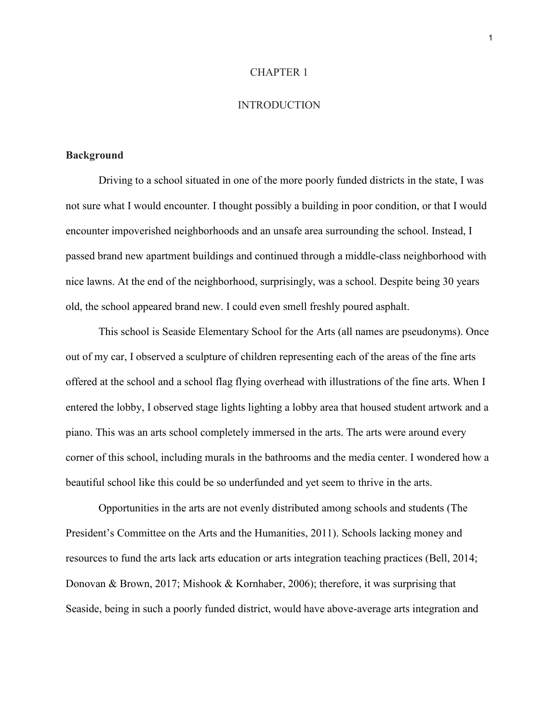#### CHAPTER 1

# **INTRODUCTION**

### **Background**

Driving to a school situated in one of the more poorly funded districts in the state, I was not sure what I would encounter. I thought possibly a building in poor condition, or that I would encounter impoverished neighborhoods and an unsafe area surrounding the school. Instead, I passed brand new apartment buildings and continued through a middle-class neighborhood with nice lawns. At the end of the neighborhood, surprisingly, was a school. Despite being 30 years old, the school appeared brand new. I could even smell freshly poured asphalt.

This school is Seaside Elementary School for the Arts (all names are pseudonyms). Once out of my car, I observed a sculpture of children representing each of the areas of the fine arts offered at the school and a school flag flying overhead with illustrations of the fine arts. When I entered the lobby, I observed stage lights lighting a lobby area that housed student artwork and a piano. This was an arts school completely immersed in the arts. The arts were around every corner of this school, including murals in the bathrooms and the media center. I wondered how a beautiful school like this could be so underfunded and yet seem to thrive in the arts.

Opportunities in the arts are not evenly distributed among schools and students (The President's Committee on the Arts and the Humanities, 2011). Schools lacking money and resources to fund the arts lack arts education or arts integration teaching practices (Bell, 2014; Donovan & Brown, 2017; Mishook & Kornhaber, 2006); therefore, it was surprising that Seaside, being in such a poorly funded district, would have above-average arts integration and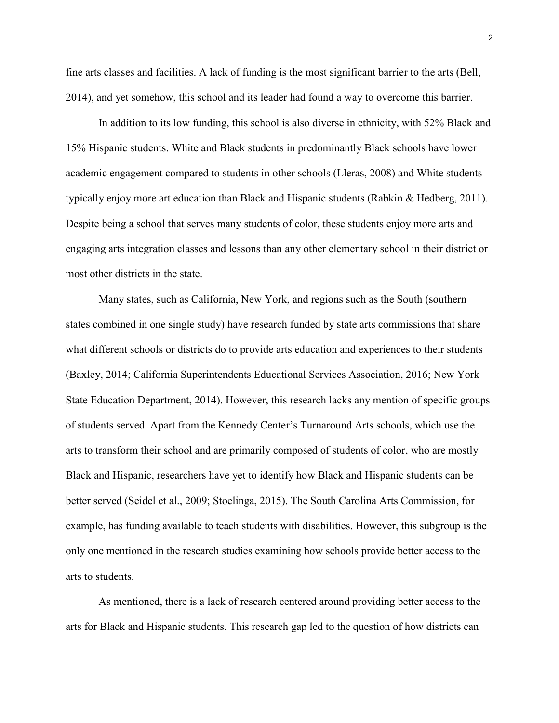fine arts classes and facilities. A lack of funding is the most significant barrier to the arts (Bell, 2014), and yet somehow, this school and its leader had found a way to overcome this barrier.

In addition to its low funding, this school is also diverse in ethnicity, with 52% Black and 15% Hispanic students. White and Black students in predominantly Black schools have lower academic engagement compared to students in other schools (Lleras, 2008) and White students typically enjoy more art education than Black and Hispanic students (Rabkin & Hedberg, 2011). Despite being a school that serves many students of color, these students enjoy more arts and engaging arts integration classes and lessons than any other elementary school in their district or most other districts in the state.

Many states, such as California, New York, and regions such as the South (southern states combined in one single study) have research funded by state arts commissions that share what different schools or districts do to provide arts education and experiences to their students (Baxley, 2014; California Superintendents Educational Services Association, 2016; New York State Education Department, 2014). However, this research lacks any mention of specific groups of students served. Apart from the Kennedy Center's Turnaround Arts schools, which use the arts to transform their school and are primarily composed of students of color, who are mostly Black and Hispanic, researchers have yet to identify how Black and Hispanic students can be better served (Seidel et al., 2009; Stoelinga, 2015). The South Carolina Arts Commission, for example, has funding available to teach students with disabilities. However, this subgroup is the only one mentioned in the research studies examining how schools provide better access to the arts to students.

As mentioned, there is a lack of research centered around providing better access to the arts for Black and Hispanic students. This research gap led to the question of how districts can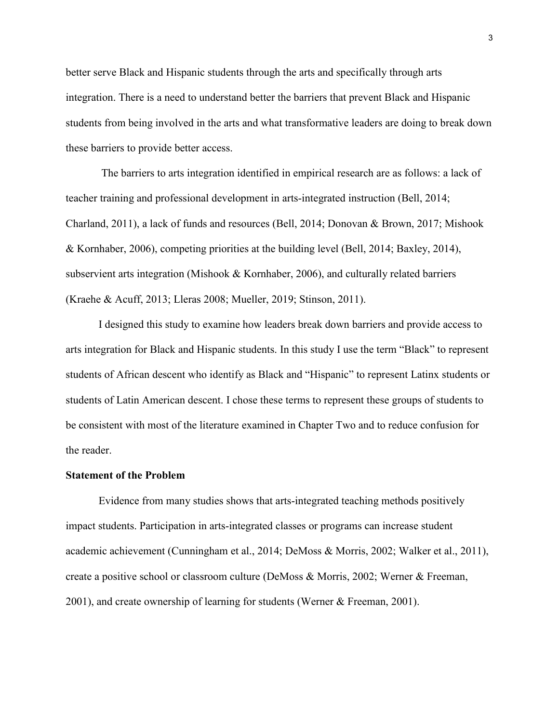better serve Black and Hispanic students through the arts and specifically through arts integration. There is a need to understand better the barriers that prevent Black and Hispanic students from being involved in the arts and what transformative leaders are doing to break down these barriers to provide better access.

The barriers to arts integration identified in empirical research are as follows: a lack of teacher training and professional development in arts-integrated instruction (Bell, 2014; Charland, 2011), a lack of funds and resources (Bell, 2014; Donovan & Brown, 2017; Mishook & Kornhaber, 2006), competing priorities at the building level (Bell, 2014; Baxley, 2014), subservient arts integration (Mishook & Kornhaber, 2006), and culturally related barriers (Kraehe & Acuff, 2013; Lleras 2008; Mueller, 2019; Stinson, 2011).

I designed this study to examine how leaders break down barriers and provide access to arts integration for Black and Hispanic students. In this study I use the term "Black" to represent students of African descent who identify as Black and "Hispanic" to represent Latinx students or students of Latin American descent. I chose these terms to represent these groups of students to be consistent with most of the literature examined in Chapter Two and to reduce confusion for the reader.

#### **Statement of the Problem**

Evidence from many studies shows that arts-integrated teaching methods positively impact students. Participation in arts-integrated classes or programs can increase student academic achievement (Cunningham et al., 2014; DeMoss & Morris, 2002; Walker et al., 2011), create a positive school or classroom culture (DeMoss & Morris, 2002; Werner & Freeman, 2001), and create ownership of learning for students (Werner & Freeman, 2001).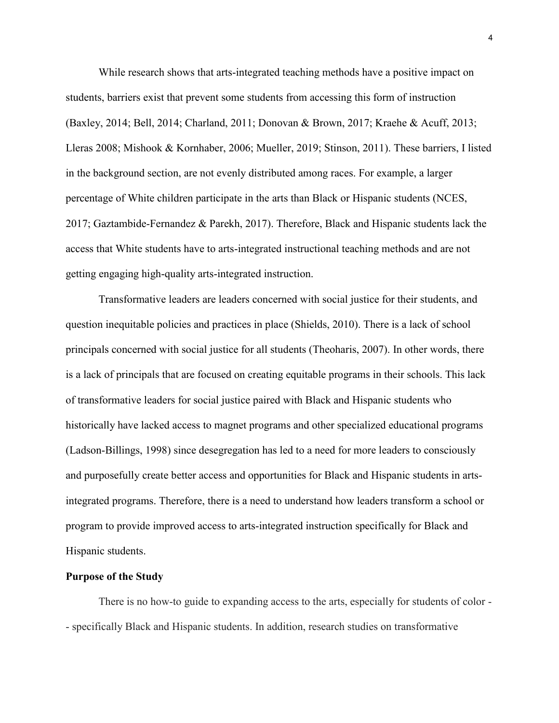While research shows that arts-integrated teaching methods have a positive impact on students, barriers exist that prevent some students from accessing this form of instruction (Baxley, 2014; Bell, 2014; Charland, 2011; Donovan & Brown, 2017; Kraehe & Acuff, 2013; Lleras 2008; Mishook & Kornhaber, 2006; Mueller, 2019; Stinson, 2011). These barriers, I listed in the background section, are not evenly distributed among races. For example, a larger percentage of White children participate in the arts than Black or Hispanic students (NCES, 2017; Gaztambide-Fernandez & Parekh, 2017). Therefore, Black and Hispanic students lack the access that White students have to arts-integrated instructional teaching methods and are not getting engaging high-quality arts-integrated instruction.

Transformative leaders are leaders concerned with social justice for their students, and question inequitable policies and practices in place (Shields, 2010). There is a lack of school principals concerned with social justice for all students (Theoharis, 2007). In other words, there is a lack of principals that are focused on creating equitable programs in their schools. This lack of transformative leaders for social justice paired with Black and Hispanic students who historically have lacked access to magnet programs and other specialized educational programs (Ladson-Billings, 1998) since desegregation has led to a need for more leaders to consciously and purposefully create better access and opportunities for Black and Hispanic students in artsintegrated programs. Therefore, there is a need to understand how leaders transform a school or program to provide improved access to arts-integrated instruction specifically for Black and Hispanic students.

#### **Purpose of the Study**

There is no how-to guide to expanding access to the arts, especially for students of color - - specifically Black and Hispanic students. In addition, research studies on transformative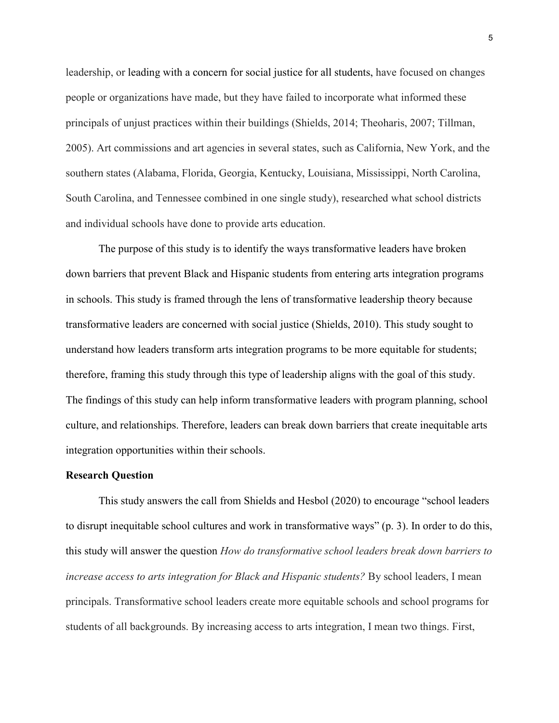leadership, or leading with a concern for social justice for all students, have focused on changes people or organizations have made, but they have failed to incorporate what informed these principals of unjust practices within their buildings (Shields, 2014; Theoharis, 2007; Tillman, 2005). Art commissions and art agencies in several states, such as California, New York, and the southern states (Alabama, Florida, Georgia, Kentucky, Louisiana, Mississippi, North Carolina, South Carolina, and Tennessee combined in one single study), researched what school districts and individual schools have done to provide arts education.

The purpose of this study is to identify the ways transformative leaders have broken down barriers that prevent Black and Hispanic students from entering arts integration programs in schools. This study is framed through the lens of transformative leadership theory because transformative leaders are concerned with social justice (Shields, 2010). This study sought to understand how leaders transform arts integration programs to be more equitable for students; therefore, framing this study through this type of leadership aligns with the goal of this study. The findings of this study can help inform transformative leaders with program planning, school culture, and relationships. Therefore, leaders can break down barriers that create inequitable arts integration opportunities within their schools.

#### **Research Question**

This study answers the call from Shields and Hesbol (2020) to encourage "school leaders to disrupt inequitable school cultures and work in transformative ways" (p. 3). In order to do this, this study will answer the question *How do transformative school leaders break down barriers to increase access to arts integration for Black and Hispanic students?* By school leaders, I mean principals. Transformative school leaders create more equitable schools and school programs for students of all backgrounds. By increasing access to arts integration, I mean two things. First,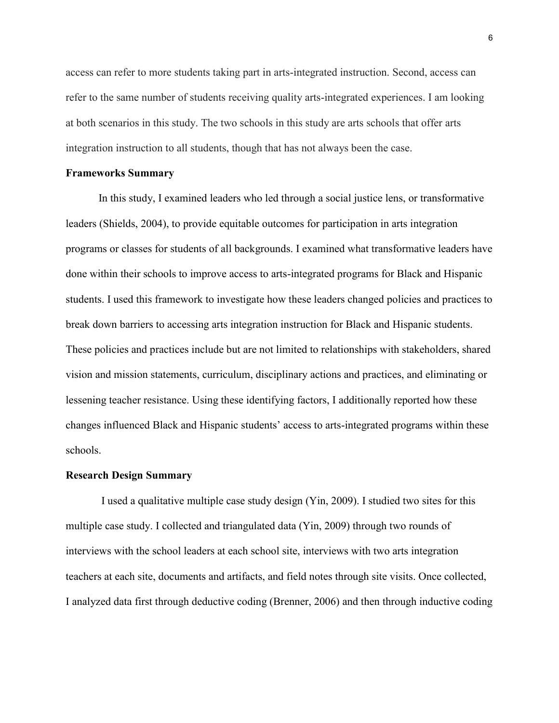access can refer to more students taking part in arts-integrated instruction. Second, access can refer to the same number of students receiving quality arts-integrated experiences. I am looking at both scenarios in this study. The two schools in this study are arts schools that offer arts integration instruction to all students, though that has not always been the case.

#### **Frameworks Summary**

In this study, I examined leaders who led through a social justice lens, or transformative leaders (Shields, 2004), to provide equitable outcomes for participation in arts integration programs or classes for students of all backgrounds. I examined what transformative leaders have done within their schools to improve access to arts-integrated programs for Black and Hispanic students. I used this framework to investigate how these leaders changed policies and practices to break down barriers to accessing arts integration instruction for Black and Hispanic students. These policies and practices include but are not limited to relationships with stakeholders, shared vision and mission statements, curriculum, disciplinary actions and practices, and eliminating or lessening teacher resistance. Using these identifying factors, I additionally reported how these changes influenced Black and Hispanic students' access to arts-integrated programs within these schools.

#### **Research Design Summary**

I used a qualitative multiple case study design (Yin, 2009). I studied two sites for this multiple case study. I collected and triangulated data (Yin, 2009) through two rounds of interviews with the school leaders at each school site, interviews with two arts integration teachers at each site, documents and artifacts, and field notes through site visits. Once collected, I analyzed data first through deductive coding (Brenner, 2006) and then through inductive coding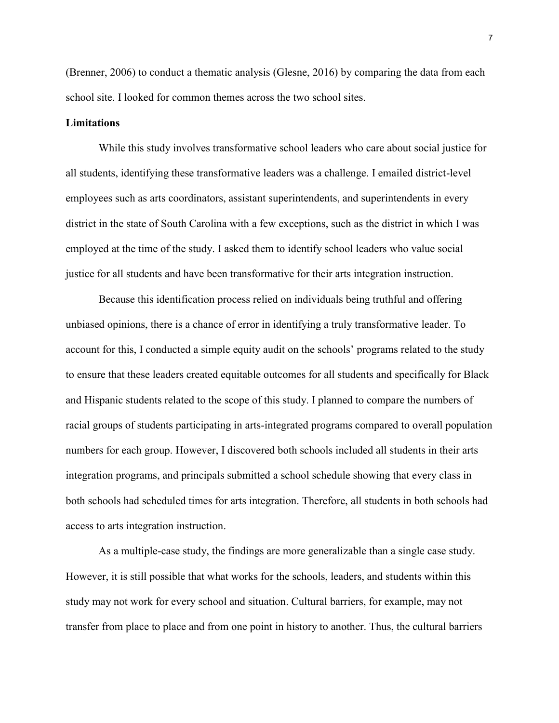(Brenner, 2006) to conduct a thematic analysis (Glesne, 2016) by comparing the data from each school site. I looked for common themes across the two school sites.

# **Limitations**

While this study involves transformative school leaders who care about social justice for all students, identifying these transformative leaders was a challenge. I emailed district-level employees such as arts coordinators, assistant superintendents, and superintendents in every district in the state of South Carolina with a few exceptions, such as the district in which I was employed at the time of the study. I asked them to identify school leaders who value social justice for all students and have been transformative for their arts integration instruction.

Because this identification process relied on individuals being truthful and offering unbiased opinions, there is a chance of error in identifying a truly transformative leader. To account for this, I conducted a simple equity audit on the schools' programs related to the study to ensure that these leaders created equitable outcomes for all students and specifically for Black and Hispanic students related to the scope of this study. I planned to compare the numbers of racial groups of students participating in arts-integrated programs compared to overall population numbers for each group. However, I discovered both schools included all students in their arts integration programs, and principals submitted a school schedule showing that every class in both schools had scheduled times for arts integration. Therefore, all students in both schools had access to arts integration instruction.

As a multiple-case study, the findings are more generalizable than a single case study. However, it is still possible that what works for the schools, leaders, and students within this study may not work for every school and situation. Cultural barriers, for example, may not transfer from place to place and from one point in history to another. Thus, the cultural barriers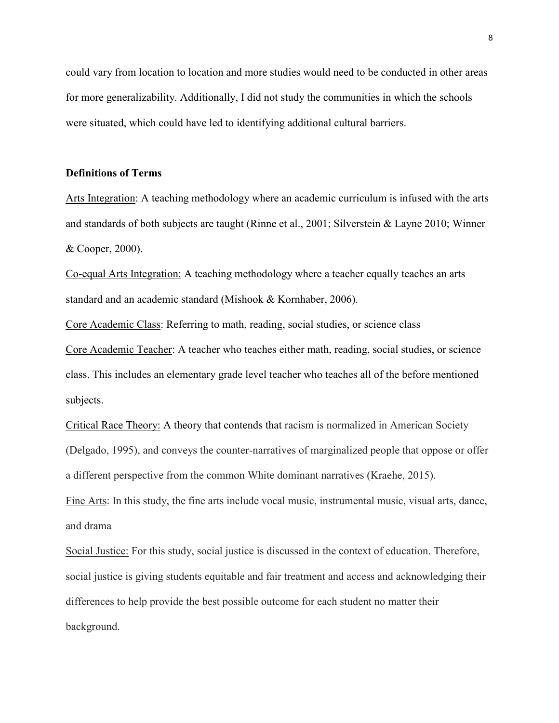could vary from location to location and more studies would need to be conducted in other areas for more generalizability. Additionally, I did not study the communities in which the schools were situated, which could have led to identifying additional cultural barriers.

# **Definitions of Terms**

Arts Integration: A teaching methodology where an academic curriculum is infused with the arts and standards of both subjects are taught (Rinne et al., 2001; Silverstein & Layne 2010; Winner & Cooper, 2000).

Co-equal Arts Integration: A teaching methodology where a teacher equally teaches an arts standard and an academic standard (Mishook & Kornhaber, 2006).

Core Academic Class: Referring to math, reading, social studies, or science class

Core Academic Teacher: A teacher who teaches either math, reading, social studies, or science class. This includes an elementary grade level teacher who teaches all of the before mentioned subjects.

Critical Race Theory: A theory that contends that racism is normalized in American Society (Delgado, 1995), and conveys the counter-narratives of marginalized people that oppose or offer a different perspective from the common White dominant narratives (Kraehe, 2015).

Fine Arts: In this study, the fine arts include vocal music, instrumental music, visual arts, dance, and drama

Social Justice: For this study, social justice is discussed in the context of education. Therefore, social justice is giving students equitable and fair treatment and access and acknowledging their differences to help provide the best possible outcome for each student no matter their background.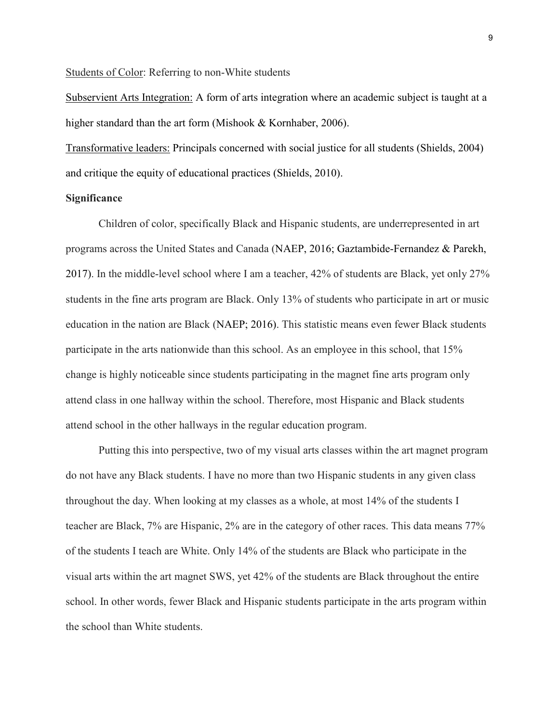Students of Color: Referring to non-White students

Subservient Arts Integration: A form of arts integration where an academic subject is taught at a higher standard than the art form (Mishook & Kornhaber, 2006).

Transformative leaders: Principals concerned with social justice for all students (Shields, 2004) and critique the equity of educational practices (Shields, 2010).

# **Significance**

Children of color, specifically Black and Hispanic students, are underrepresented in art programs across the United States and Canada (NAEP, 2016; Gaztambide-Fernandez & Parekh, 2017). In the middle-level school where I am a teacher, 42% of students are Black, yet only 27% students in the fine arts program are Black. Only 13% of students who participate in art or music education in the nation are Black (NAEP; 2016). This statistic means even fewer Black students participate in the arts nationwide than this school. As an employee in this school, that 15% change is highly noticeable since students participating in the magnet fine arts program only attend class in one hallway within the school. Therefore, most Hispanic and Black students attend school in the other hallways in the regular education program.

Putting this into perspective, two of my visual arts classes within the art magnet program do not have any Black students. I have no more than two Hispanic students in any given class throughout the day. When looking at my classes as a whole, at most 14% of the students I teacher are Black, 7% are Hispanic, 2% are in the category of other races. This data means 77% of the students I teach are White. Only 14% of the students are Black who participate in the visual arts within the art magnet SWS, yet 42% of the students are Black throughout the entire school. In other words, fewer Black and Hispanic students participate in the arts program within the school than White students.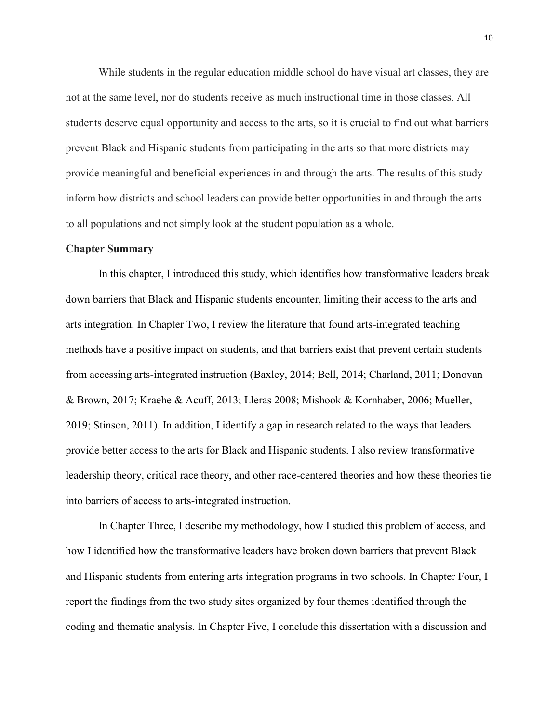While students in the regular education middle school do have visual art classes, they are not at the same level, nor do students receive as much instructional time in those classes. All students deserve equal opportunity and access to the arts, so it is crucial to find out what barriers prevent Black and Hispanic students from participating in the arts so that more districts may provide meaningful and beneficial experiences in and through the arts. The results of this study inform how districts and school leaders can provide better opportunities in and through the arts to all populations and not simply look at the student population as a whole.

#### **Chapter Summary**

In this chapter, I introduced this study, which identifies how transformative leaders break down barriers that Black and Hispanic students encounter, limiting their access to the arts and arts integration. In Chapter Two, I review the literature that found arts-integrated teaching methods have a positive impact on students, and that barriers exist that prevent certain students from accessing arts-integrated instruction (Baxley, 2014; Bell, 2014; Charland, 2011; Donovan & Brown, 2017; Kraehe & Acuff, 2013; Lleras 2008; Mishook & Kornhaber, 2006; Mueller, 2019; Stinson, 2011). In addition, I identify a gap in research related to the ways that leaders provide better access to the arts for Black and Hispanic students. I also review transformative leadership theory, critical race theory, and other race-centered theories and how these theories tie into barriers of access to arts-integrated instruction.

In Chapter Three, I describe my methodology, how I studied this problem of access, and how I identified how the transformative leaders have broken down barriers that prevent Black and Hispanic students from entering arts integration programs in two schools. In Chapter Four, I report the findings from the two study sites organized by four themes identified through the coding and thematic analysis. In Chapter Five, I conclude this dissertation with a discussion and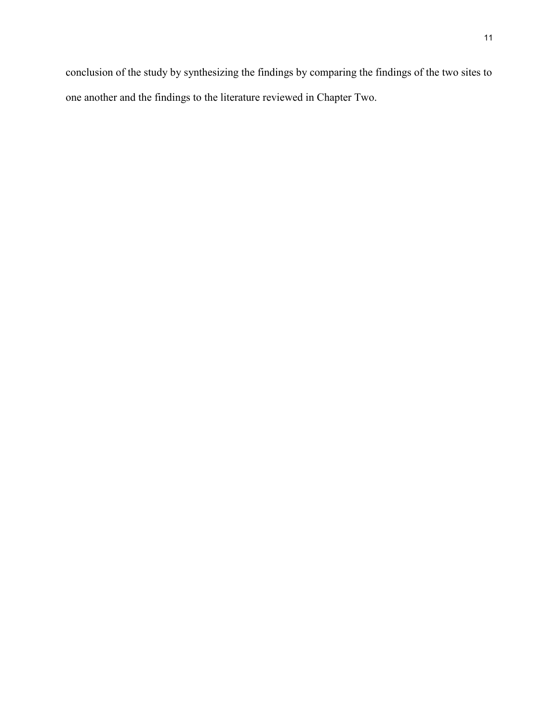conclusion of the study by synthesizing the findings by comparing the findings of the two sites to one another and the findings to the literature reviewed in Chapter Two.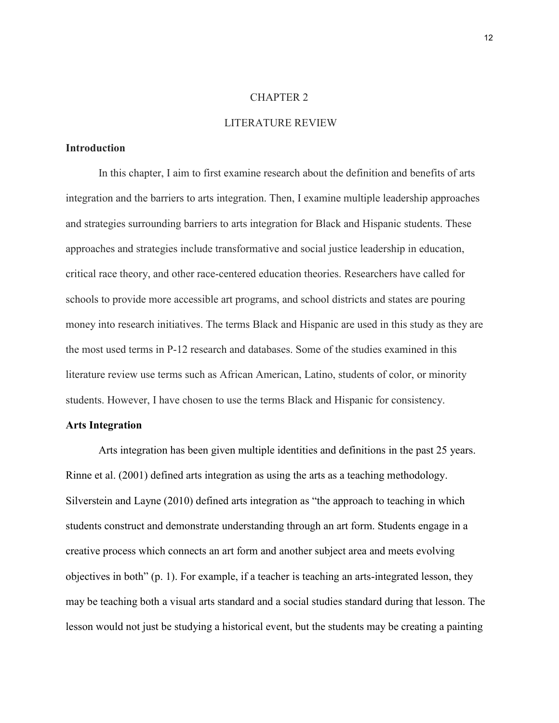# CHAPTER 2

# LITERATURE REVIEW

# **Introduction**

In this chapter, I aim to first examine research about the definition and benefits of arts integration and the barriers to arts integration. Then, I examine multiple leadership approaches and strategies surrounding barriers to arts integration for Black and Hispanic students. These approaches and strategies include transformative and social justice leadership in education, critical race theory, and other race-centered education theories. Researchers have called for schools to provide more accessible art programs, and school districts and states are pouring money into research initiatives. The terms Black and Hispanic are used in this study as they are the most used terms in P-12 research and databases. Some of the studies examined in this literature review use terms such as African American, Latino, students of color, or minority students. However, I have chosen to use the terms Black and Hispanic for consistency.

# **Arts Integration**

Arts integration has been given multiple identities and definitions in the past 25 years. Rinne et al. (2001) defined arts integration as using the arts as a teaching methodology. Silverstein and Layne (2010) defined arts integration as "the approach to teaching in which students construct and demonstrate understanding through an art form. Students engage in a creative process which connects an art form and another subject area and meets evolving objectives in both" (p. 1). For example, if a teacher is teaching an arts-integrated lesson, they may be teaching both a visual arts standard and a social studies standard during that lesson. The lesson would not just be studying a historical event, but the students may be creating a painting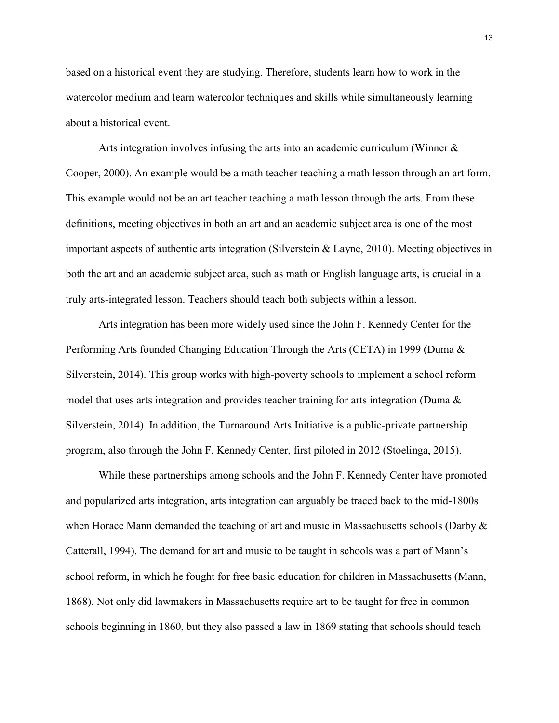based on a historical event they are studying. Therefore, students learn how to work in the watercolor medium and learn watercolor techniques and skills while simultaneously learning about a historical event.

Arts integration involves infusing the arts into an academic curriculum (Winner & Cooper, 2000). An example would be a math teacher teaching a math lesson through an art form. This example would not be an art teacher teaching a math lesson through the arts. From these definitions, meeting objectives in both an art and an academic subject area is one of the most important aspects of authentic arts integration (Silverstein & Layne, 2010). Meeting objectives in both the art and an academic subject area, such as math or English language arts, is crucial in a truly arts-integrated lesson. Teachers should teach both subjects within a lesson.

Arts integration has been more widely used since the John F. Kennedy Center for the Performing Arts founded Changing Education Through the Arts (CETA) in 1999 (Duma & Silverstein, 2014). This group works with high-poverty schools to implement a school reform model that uses arts integration and provides teacher training for arts integration (Duma & Silverstein, 2014). In addition, the Turnaround Arts Initiative is a public-private partnership program, also through the John F. Kennedy Center, first piloted in 2012 (Stoelinga, 2015).

While these partnerships among schools and the John F. Kennedy Center have promoted and popularized arts integration, arts integration can arguably be traced back to the mid-1800s when Horace Mann demanded the teaching of art and music in Massachusetts schools (Darby  $\&$ Catterall, 1994). The demand for art and music to be taught in schools was a part of Mann's school reform, in which he fought for free basic education for children in Massachusetts (Mann, 1868). Not only did lawmakers in Massachusetts require art to be taught for free in common schools beginning in 1860, but they also passed a law in 1869 stating that schools should teach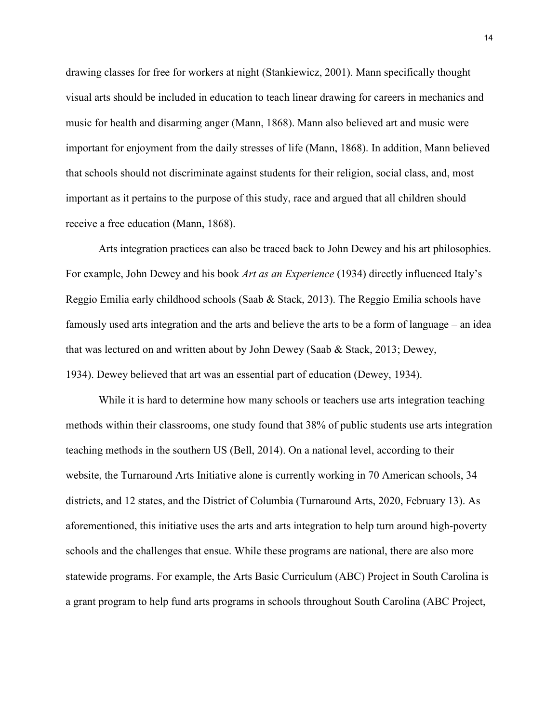drawing classes for free for workers at night (Stankiewicz, 2001). Mann specifically thought visual arts should be included in education to teach linear drawing for careers in mechanics and music for health and disarming anger (Mann, 1868). Mann also believed art and music were important for enjoyment from the daily stresses of life (Mann, 1868). In addition, Mann believed that schools should not discriminate against students for their religion, social class, and, most important as it pertains to the purpose of this study, race and argued that all children should receive a free education (Mann, 1868).

Arts integration practices can also be traced back to John Dewey and his art philosophies. For example, John Dewey and his book *Art as an Experience* (1934) directly influenced Italy's Reggio Emilia early childhood schools (Saab & Stack, 2013). The Reggio Emilia schools have famously used arts integration and the arts and believe the arts to be a form of language – an idea that was lectured on and written about by John Dewey (Saab & Stack, 2013; Dewey, 1934). Dewey believed that art was an essential part of education (Dewey, 1934).

While it is hard to determine how many schools or teachers use arts integration teaching methods within their classrooms, one study found that 38% of public students use arts integration teaching methods in the southern US (Bell, 2014). On a national level, according to their website, the Turnaround Arts Initiative alone is currently working in 70 American schools, 34 districts, and 12 states, and the District of Columbia (Turnaround Arts, 2020, February 13). As aforementioned, this initiative uses the arts and arts integration to help turn around high-poverty schools and the challenges that ensue. While these programs are national, there are also more statewide programs. For example, the Arts Basic Curriculum (ABC) Project in South Carolina is a grant program to help fund arts programs in schools throughout South Carolina (ABC Project,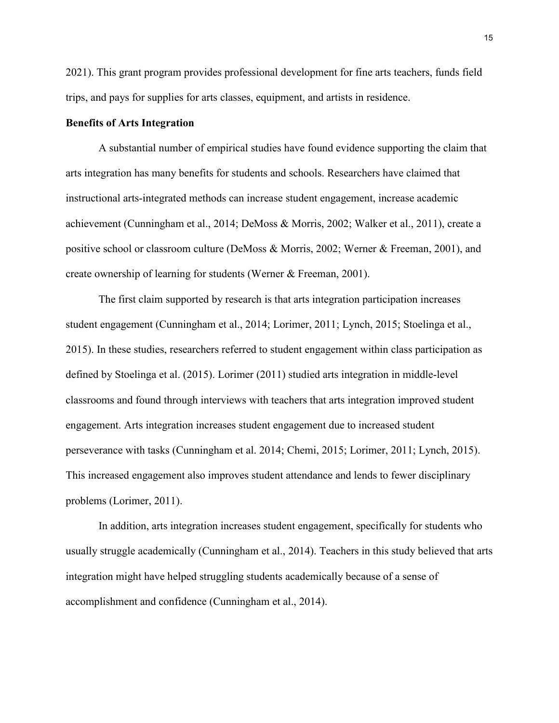2021). This grant program provides professional development for fine arts teachers, funds field trips, and pays for supplies for arts classes, equipment, and artists in residence.

# **Benefits of Arts Integration**

A substantial number of empirical studies have found evidence supporting the claim that arts integration has many benefits for students and schools. Researchers have claimed that instructional arts-integrated methods can increase student engagement, increase academic achievement (Cunningham et al., 2014; DeMoss & Morris, 2002; Walker et al., 2011), create a positive school or classroom culture (DeMoss & Morris, 2002; Werner & Freeman, 2001), and create ownership of learning for students (Werner & Freeman, 2001).

The first claim supported by research is that arts integration participation increases student engagement (Cunningham et al., 2014; Lorimer, 2011; Lynch, 2015; Stoelinga et al., 2015). In these studies, researchers referred to student engagement within class participation as defined by Stoelinga et al. (2015). Lorimer (2011) studied arts integration in middle-level classrooms and found through interviews with teachers that arts integration improved student engagement. Arts integration increases student engagement due to increased student perseverance with tasks (Cunningham et al. 2014; Chemi, 2015; Lorimer, 2011; Lynch, 2015). This increased engagement also improves student attendance and lends to fewer disciplinary problems (Lorimer, 2011).

In addition, arts integration increases student engagement, specifically for students who usually struggle academically (Cunningham et al., 2014). Teachers in this study believed that arts integration might have helped struggling students academically because of a sense of accomplishment and confidence (Cunningham et al., 2014).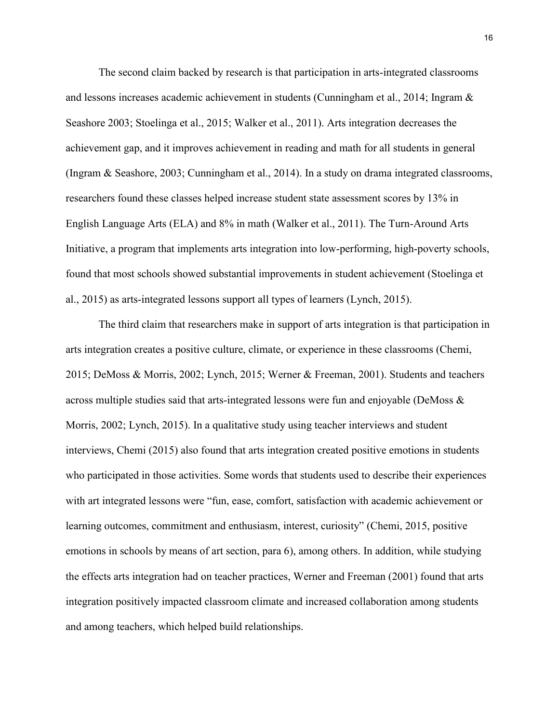The second claim backed by research is that participation in arts-integrated classrooms and lessons increases academic achievement in students (Cunningham et al., 2014; Ingram & Seashore 2003; Stoelinga et al., 2015; Walker et al., 2011). Arts integration decreases the achievement gap, and it improves achievement in reading and math for all students in general (Ingram & Seashore, 2003; Cunningham et al., 2014). In a study on drama integrated classrooms, researchers found these classes helped increase student state assessment scores by 13% in English Language Arts (ELA) and 8% in math (Walker et al., 2011). The Turn-Around Arts Initiative, a program that implements arts integration into low-performing, high-poverty schools, found that most schools showed substantial improvements in student achievement (Stoelinga et al., 2015) as arts-integrated lessons support all types of learners (Lynch, 2015).

The third claim that researchers make in support of arts integration is that participation in arts integration creates a positive culture, climate, or experience in these classrooms (Chemi, 2015; DeMoss & Morris, 2002; Lynch, 2015; Werner & Freeman, 2001). Students and teachers across multiple studies said that arts-integrated lessons were fun and enjoyable (DeMoss & Morris, 2002; Lynch, 2015). In a qualitative study using teacher interviews and student interviews, Chemi (2015) also found that arts integration created positive emotions in students who participated in those activities. Some words that students used to describe their experiences with art integrated lessons were "fun, ease, comfort, satisfaction with academic achievement or learning outcomes, commitment and enthusiasm, interest, curiosity" (Chemi, 2015, positive emotions in schools by means of art section, para 6), among others. In addition, while studying the effects arts integration had on teacher practices, Werner and Freeman (2001) found that arts integration positively impacted classroom climate and increased collaboration among students and among teachers, which helped build relationships.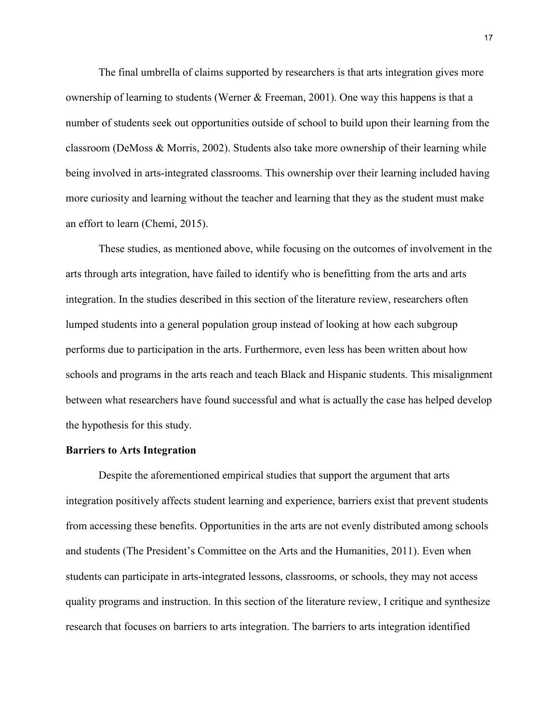The final umbrella of claims supported by researchers is that arts integration gives more ownership of learning to students (Werner & Freeman, 2001). One way this happens is that a number of students seek out opportunities outside of school to build upon their learning from the classroom (DeMoss & Morris, 2002). Students also take more ownership of their learning while being involved in arts-integrated classrooms. This ownership over their learning included having more curiosity and learning without the teacher and learning that they as the student must make an effort to learn (Chemi, 2015).

These studies, as mentioned above, while focusing on the outcomes of involvement in the arts through arts integration, have failed to identify who is benefitting from the arts and arts integration. In the studies described in this section of the literature review, researchers often lumped students into a general population group instead of looking at how each subgroup performs due to participation in the arts. Furthermore, even less has been written about how schools and programs in the arts reach and teach Black and Hispanic students. This misalignment between what researchers have found successful and what is actually the case has helped develop the hypothesis for this study.

# **Barriers to Arts Integration**

Despite the aforementioned empirical studies that support the argument that arts integration positively affects student learning and experience, barriers exist that prevent students from accessing these benefits. Opportunities in the arts are not evenly distributed among schools and students (The President's Committee on the Arts and the Humanities, 2011). Even when students can participate in arts-integrated lessons, classrooms, or schools, they may not access quality programs and instruction. In this section of the literature review, I critique and synthesize research that focuses on barriers to arts integration. The barriers to arts integration identified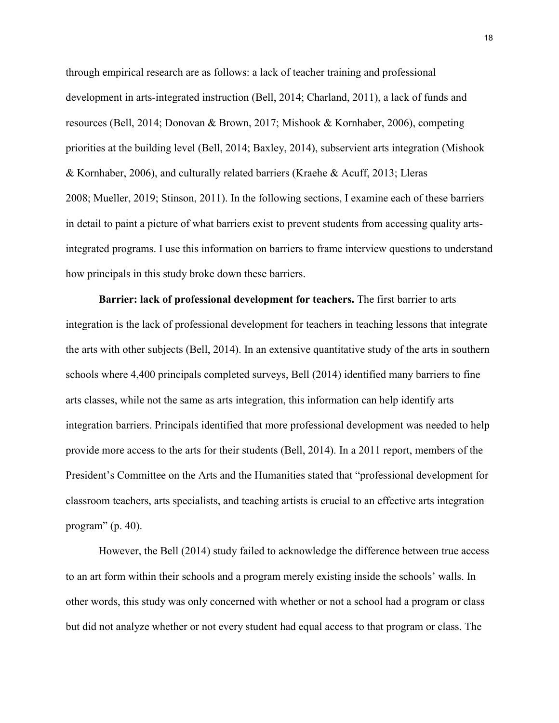through empirical research are as follows: a lack of teacher training and professional development in arts-integrated instruction (Bell, 2014; Charland, 2011), a lack of funds and resources (Bell, 2014; Donovan & Brown, 2017; Mishook & Kornhaber, 2006), competing priorities at the building level (Bell, 2014; Baxley, 2014), subservient arts integration (Mishook & Kornhaber, 2006), and culturally related barriers (Kraehe & Acuff, 2013; Lleras 2008; Mueller, 2019; Stinson, 2011). In the following sections, I examine each of these barriers in detail to paint a picture of what barriers exist to prevent students from accessing quality artsintegrated programs. I use this information on barriers to frame interview questions to understand how principals in this study broke down these barriers.

**Barrier: lack of professional development for teachers.** The first barrier to arts integration is the lack of professional development for teachers in teaching lessons that integrate the arts with other subjects (Bell, 2014). In an extensive quantitative study of the arts in southern schools where 4,400 principals completed surveys, Bell (2014) identified many barriers to fine arts classes, while not the same as arts integration, this information can help identify arts integration barriers. Principals identified that more professional development was needed to help provide more access to the arts for their students (Bell, 2014). In a 2011 report, members of the President's Committee on the Arts and the Humanities stated that "professional development for classroom teachers, arts specialists, and teaching artists is crucial to an effective arts integration program" (p. 40).

However, the Bell (2014) study failed to acknowledge the difference between true access to an art form within their schools and a program merely existing inside the schools' walls. In other words, this study was only concerned with whether or not a school had a program or class but did not analyze whether or not every student had equal access to that program or class. The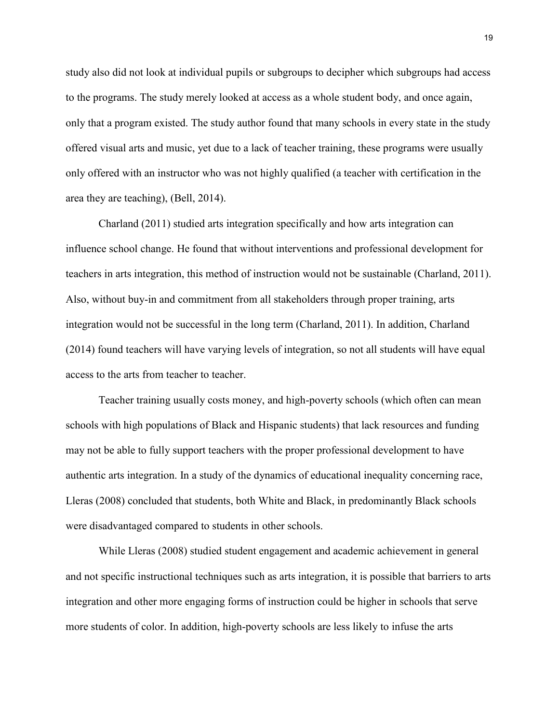study also did not look at individual pupils or subgroups to decipher which subgroups had access to the programs. The study merely looked at access as a whole student body, and once again, only that a program existed. The study author found that many schools in every state in the study offered visual arts and music, yet due to a lack of teacher training, these programs were usually only offered with an instructor who was not highly qualified (a teacher with certification in the area they are teaching), (Bell, 2014).

Charland (2011) studied arts integration specifically and how arts integration can influence school change. He found that without interventions and professional development for teachers in arts integration, this method of instruction would not be sustainable (Charland, 2011). Also, without buy-in and commitment from all stakeholders through proper training, arts integration would not be successful in the long term (Charland, 2011). In addition, Charland (2014) found teachers will have varying levels of integration, so not all students will have equal access to the arts from teacher to teacher.

Teacher training usually costs money, and high-poverty schools (which often can mean schools with high populations of Black and Hispanic students) that lack resources and funding may not be able to fully support teachers with the proper professional development to have authentic arts integration. In a study of the dynamics of educational inequality concerning race, Lleras (2008) concluded that students, both White and Black, in predominantly Black schools were disadvantaged compared to students in other schools.

While Lleras (2008) studied student engagement and academic achievement in general and not specific instructional techniques such as arts integration, it is possible that barriers to arts integration and other more engaging forms of instruction could be higher in schools that serve more students of color. In addition, high-poverty schools are less likely to infuse the arts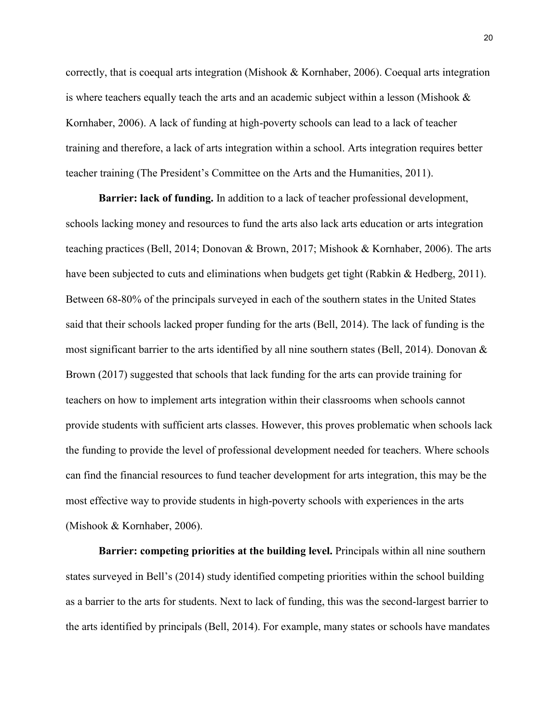correctly, that is coequal arts integration (Mishook & Kornhaber, 2006). Coequal arts integration is where teachers equally teach the arts and an academic subject within a lesson (Mishook & Kornhaber, 2006). A lack of funding at high-poverty schools can lead to a lack of teacher training and therefore, a lack of arts integration within a school. Arts integration requires better teacher training (The President's Committee on the Arts and the Humanities, 2011).

**Barrier: lack of funding.** In addition to a lack of teacher professional development, schools lacking money and resources to fund the arts also lack arts education or arts integration teaching practices (Bell, 2014; Donovan & Brown, 2017; Mishook & Kornhaber, 2006). The arts have been subjected to cuts and eliminations when budgets get tight (Rabkin & Hedberg, 2011). Between 68-80% of the principals surveyed in each of the southern states in the United States said that their schools lacked proper funding for the arts (Bell, 2014). The lack of funding is the most significant barrier to the arts identified by all nine southern states (Bell, 2014). Donovan  $\&$ Brown (2017) suggested that schools that lack funding for the arts can provide training for teachers on how to implement arts integration within their classrooms when schools cannot provide students with sufficient arts classes. However, this proves problematic when schools lack the funding to provide the level of professional development needed for teachers. Where schools can find the financial resources to fund teacher development for arts integration, this may be the most effective way to provide students in high-poverty schools with experiences in the arts (Mishook & Kornhaber, 2006).

**Barrier: competing priorities at the building level.** Principals within all nine southern states surveyed in Bell's (2014) study identified competing priorities within the school building as a barrier to the arts for students. Next to lack of funding, this was the second-largest barrier to the arts identified by principals (Bell, 2014). For example, many states or schools have mandates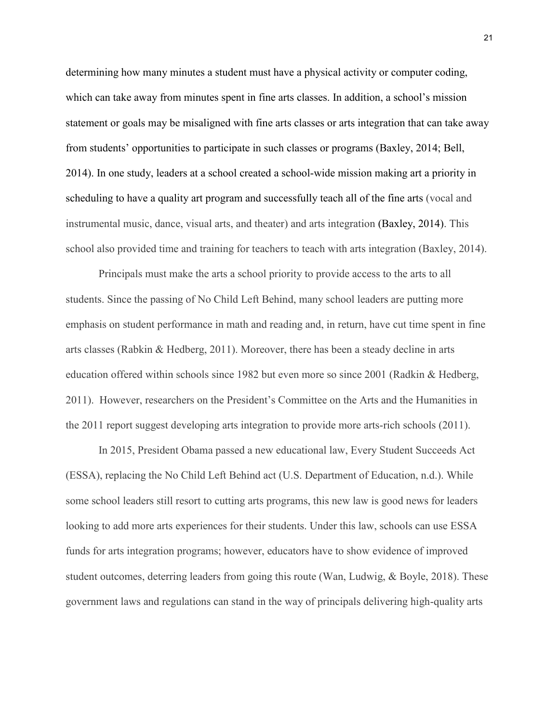determining how many minutes a student must have a physical activity or computer coding, which can take away from minutes spent in fine arts classes. In addition, a school's mission statement or goals may be misaligned with fine arts classes or arts integration that can take away from students' opportunities to participate in such classes or programs (Baxley, 2014; Bell, 2014). In one study, leaders at a school created a school-wide mission making art a priority in scheduling to have a quality art program and successfully teach all of the fine arts (vocal and instrumental music, dance, visual arts, and theater) and arts integration (Baxley, 2014). This school also provided time and training for teachers to teach with arts integration (Baxley, 2014).

Principals must make the arts a school priority to provide access to the arts to all students. Since the passing of No Child Left Behind, many school leaders are putting more emphasis on student performance in math and reading and, in return, have cut time spent in fine arts classes (Rabkin & Hedberg, 2011). Moreover, there has been a steady decline in arts education offered within schools since 1982 but even more so since 2001 (Radkin & Hedberg, 2011). However, researchers on the President's Committee on the Arts and the Humanities in the 2011 report suggest developing arts integration to provide more arts-rich schools (2011).

In 2015, President Obama passed a new educational law, Every Student Succeeds Act (ESSA), replacing the No Child Left Behind act (U.S. Department of Education, n.d.). While some school leaders still resort to cutting arts programs, this new law is good news for leaders looking to add more arts experiences for their students. Under this law, schools can use ESSA funds for arts integration programs; however, educators have to show evidence of improved student outcomes, deterring leaders from going this route (Wan, Ludwig, & Boyle, 2018). These government laws and regulations can stand in the way of principals delivering high-quality arts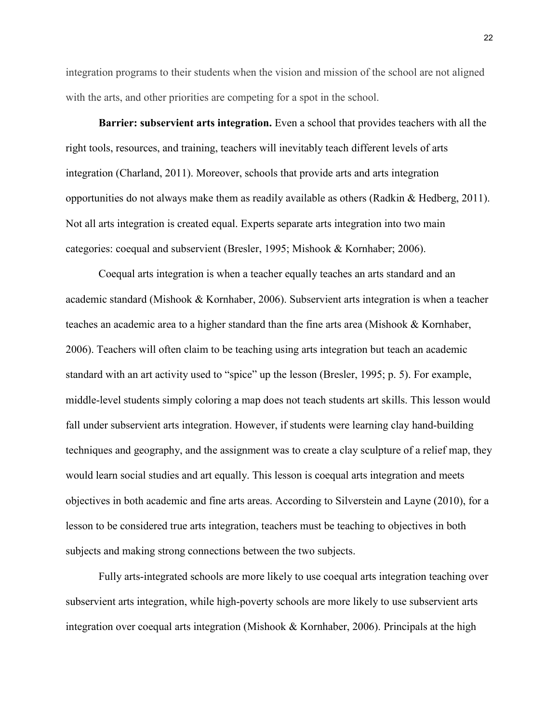integration programs to their students when the vision and mission of the school are not aligned with the arts, and other priorities are competing for a spot in the school.

**Barrier: subservient arts integration.** Even a school that provides teachers with all the right tools, resources, and training, teachers will inevitably teach different levels of arts integration (Charland, 2011). Moreover, schools that provide arts and arts integration opportunities do not always make them as readily available as others (Radkin & Hedberg, 2011). Not all arts integration is created equal. Experts separate arts integration into two main categories: coequal and subservient (Bresler, 1995; Mishook & Kornhaber; 2006).

Coequal arts integration is when a teacher equally teaches an arts standard and an academic standard (Mishook & Kornhaber, 2006). Subservient arts integration is when a teacher teaches an academic area to a higher standard than the fine arts area (Mishook & Kornhaber, 2006). Teachers will often claim to be teaching using arts integration but teach an academic standard with an art activity used to "spice" up the lesson (Bresler, 1995; p. 5). For example, middle-level students simply coloring a map does not teach students art skills. This lesson would fall under subservient arts integration. However, if students were learning clay hand-building techniques and geography, and the assignment was to create a clay sculpture of a relief map, they would learn social studies and art equally. This lesson is coequal arts integration and meets objectives in both academic and fine arts areas. According to Silverstein and Layne (2010), for a lesson to be considered true arts integration, teachers must be teaching to objectives in both subjects and making strong connections between the two subjects.

Fully arts-integrated schools are more likely to use coequal arts integration teaching over subservient arts integration, while high-poverty schools are more likely to use subservient arts integration over coequal arts integration (Mishook & Kornhaber, 2006). Principals at the high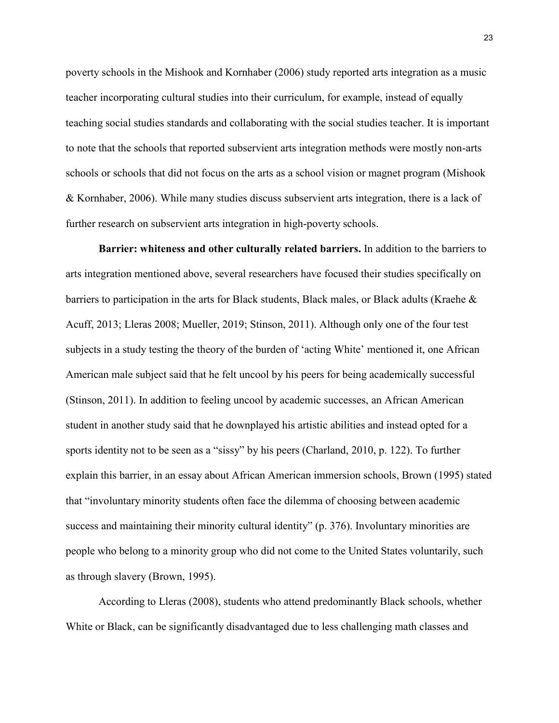poverty schools in the Mishook and Kornhaber (2006) study reported arts integration as a music teacher incorporating cultural studies into their curriculum, for example, instead of equally teaching social studies standards and collaborating with the social studies teacher. It is important to note that the schools that reported subservient arts integration methods were mostly non-arts schools or schools that did not focus on the arts as a school vision or magnet program (Mishook & Kornhaber, 2006). While many studies discuss subservient arts integration, there is a lack of further research on subservient arts integration in high-poverty schools.

**Barrier: whiteness and other culturally related barriers.** In addition to the barriers to arts integration mentioned above, several researchers have focused their studies specifically on barriers to participation in the arts for Black students, Black males, or Black adults (Kraehe & Acuff, 2013; Lleras 2008; Mueller, 2019; Stinson, 2011). Although only one of the four test subjects in a study testing the theory of the burden of 'acting White' mentioned it, one African American male subject said that he felt uncool by his peers for being academically successful (Stinson, 2011). In addition to feeling uncool by academic successes, an African American student in another study said that he downplayed his artistic abilities and instead opted for a sports identity not to be seen as a "sissy" by his peers (Charland, 2010, p. 122). To further explain this barrier, in an essay about African American immersion schools, Brown (1995) stated that "involuntary minority students often face the dilemma of choosing between academic success and maintaining their minority cultural identity" (p. 376). Involuntary minorities are people who belong to a minority group who did not come to the United States voluntarily, such as through slavery (Brown, 1995).

According to Lleras (2008), students who attend predominantly Black schools, whether White or Black, can be significantly disadvantaged due to less challenging math classes and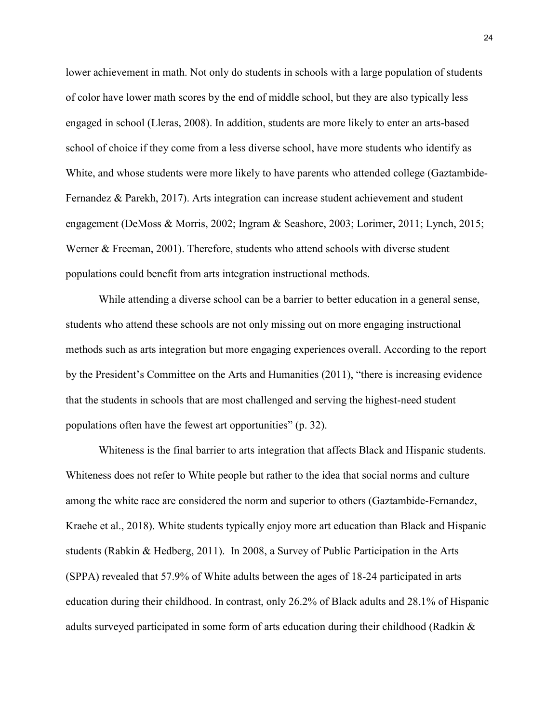lower achievement in math. Not only do students in schools with a large population of students of color have lower math scores by the end of middle school, but they are also typically less engaged in school (Lleras, 2008). In addition, students are more likely to enter an arts-based school of choice if they come from a less diverse school, have more students who identify as White, and whose students were more likely to have parents who attended college (Gaztambide-Fernandez & Parekh, 2017). Arts integration can increase student achievement and student engagement (DeMoss & Morris, 2002; Ingram & Seashore, 2003; Lorimer, 2011; Lynch, 2015; Werner & Freeman, 2001). Therefore, students who attend schools with diverse student populations could benefit from arts integration instructional methods.

While attending a diverse school can be a barrier to better education in a general sense, students who attend these schools are not only missing out on more engaging instructional methods such as arts integration but more engaging experiences overall. According to the report by the President's Committee on the Arts and Humanities (2011), "there is increasing evidence that the students in schools that are most challenged and serving the highest-need student populations often have the fewest art opportunities" (p. 32).

Whiteness is the final barrier to arts integration that affects Black and Hispanic students. Whiteness does not refer to White people but rather to the idea that social norms and culture among the white race are considered the norm and superior to others (Gaztambide-Fernandez, Kraehe et al., 2018). White students typically enjoy more art education than Black and Hispanic students (Rabkin & Hedberg, 2011). In 2008, a Survey of Public Participation in the Arts (SPPA) revealed that 57.9% of White adults between the ages of 18-24 participated in arts education during their childhood. In contrast, only 26.2% of Black adults and 28.1% of Hispanic adults surveyed participated in some form of arts education during their childhood (Radkin &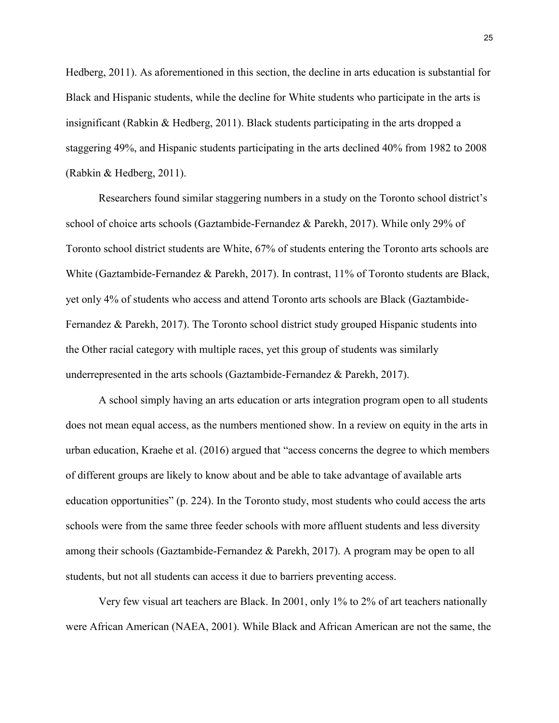Hedberg, 2011). As aforementioned in this section, the decline in arts education is substantial for Black and Hispanic students, while the decline for White students who participate in the arts is insignificant (Rabkin & Hedberg, 2011). Black students participating in the arts dropped a staggering 49%, and Hispanic students participating in the arts declined 40% from 1982 to 2008 (Rabkin & Hedberg, 2011).

Researchers found similar staggering numbers in a study on the Toronto school district's school of choice arts schools (Gaztambide-Fernandez & Parekh, 2017). While only 29% of Toronto school district students are White, 67% of students entering the Toronto arts schools are White (Gaztambide-Fernandez & Parekh, 2017). In contrast, 11% of Toronto students are Black, yet only 4% of students who access and attend Toronto arts schools are Black (Gaztambide-Fernandez & Parekh, 2017). The Toronto school district study grouped Hispanic students into the Other racial category with multiple races, yet this group of students was similarly underrepresented in the arts schools (Gaztambide-Fernandez & Parekh, 2017).

A school simply having an arts education or arts integration program open to all students does not mean equal access, as the numbers mentioned show. In a review on equity in the arts in urban education, Kraehe et al. (2016) argued that "access concerns the degree to which members of different groups are likely to know about and be able to take advantage of available arts education opportunities" (p. 224). In the Toronto study, most students who could access the arts schools were from the same three feeder schools with more affluent students and less diversity among their schools (Gaztambide-Fernandez & Parekh, 2017). A program may be open to all students, but not all students can access it due to barriers preventing access.

Very few visual art teachers are Black. In 2001, only 1% to 2% of art teachers nationally were African American (NAEA, 2001). While Black and African American are not the same, the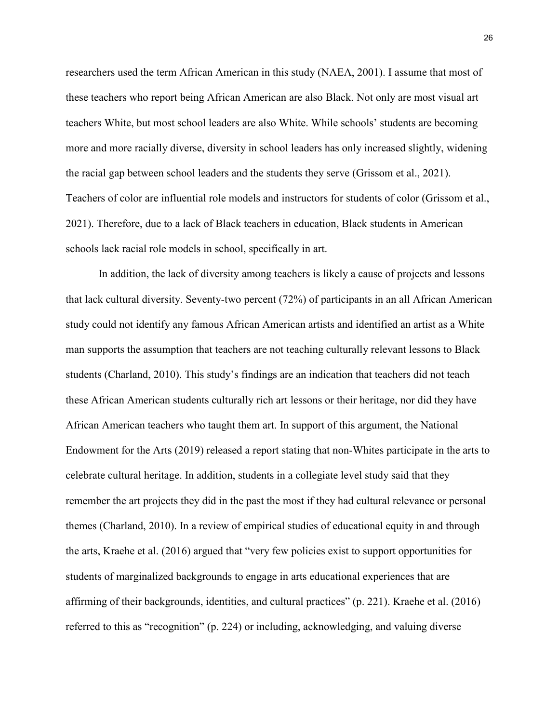researchers used the term African American in this study (NAEA, 2001). I assume that most of these teachers who report being African American are also Black. Not only are most visual art teachers White, but most school leaders are also White. While schools' students are becoming more and more racially diverse, diversity in school leaders has only increased slightly, widening the racial gap between school leaders and the students they serve (Grissom et al., 2021). Teachers of color are influential role models and instructors for students of color (Grissom et al., 2021). Therefore, due to a lack of Black teachers in education, Black students in American schools lack racial role models in school, specifically in art.

In addition, the lack of diversity among teachers is likely a cause of projects and lessons that lack cultural diversity. Seventy-two percent (72%) of participants in an all African American study could not identify any famous African American artists and identified an artist as a White man supports the assumption that teachers are not teaching culturally relevant lessons to Black students (Charland, 2010). This study's findings are an indication that teachers did not teach these African American students culturally rich art lessons or their heritage, nor did they have African American teachers who taught them art. In support of this argument, the National Endowment for the Arts (2019) released a report stating that non-Whites participate in the arts to celebrate cultural heritage. In addition, students in a collegiate level study said that they remember the art projects they did in the past the most if they had cultural relevance or personal themes (Charland, 2010). In a review of empirical studies of educational equity in and through the arts, Kraehe et al. (2016) argued that "very few policies exist to support opportunities for students of marginalized backgrounds to engage in arts educational experiences that are affirming of their backgrounds, identities, and cultural practices" (p. 221). Kraehe et al. (2016) referred to this as "recognition" (p. 224) or including, acknowledging, and valuing diverse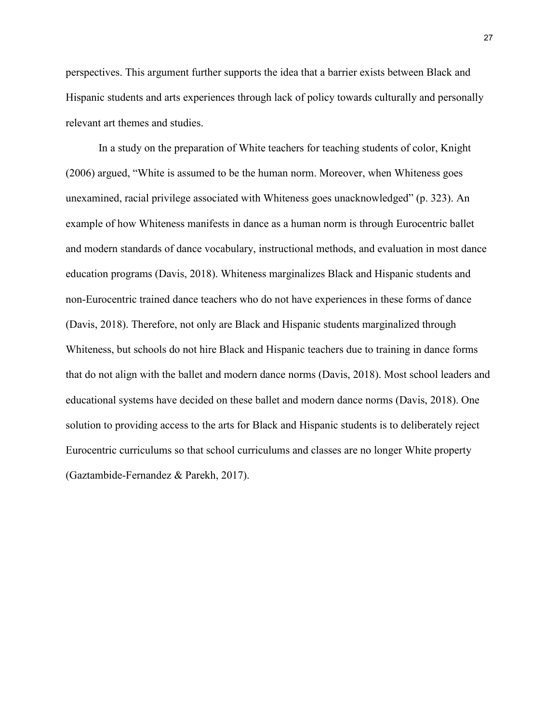perspectives. This argument further supports the idea that a barrier exists between Black and Hispanic students and arts experiences through lack of policy towards culturally and personally relevant art themes and studies.

In a study on the preparation of White teachers for teaching students of color, Knight (2006) argued, "White is assumed to be the human norm. Moreover, when Whiteness goes unexamined, racial privilege associated with Whiteness goes unacknowledged" (p. 323). An example of how Whiteness manifests in dance as a human norm is through Eurocentric ballet and modern standards of dance vocabulary, instructional methods, and evaluation in most dance education programs (Davis, 2018). Whiteness marginalizes Black and Hispanic students and non-Eurocentric trained dance teachers who do not have experiences in these forms of dance (Davis, 2018). Therefore, not only are Black and Hispanic students marginalized through Whiteness, but schools do not hire Black and Hispanic teachers due to training in dance forms that do not align with the ballet and modern dance norms (Davis, 2018). Most school leaders and educational systems have decided on these ballet and modern dance norms (Davis, 2018). One solution to providing access to the arts for Black and Hispanic students is to deliberately reject Eurocentric curriculums so that school curriculums and classes are no longer White property (Gaztambide-Fernandez & Parekh, 2017).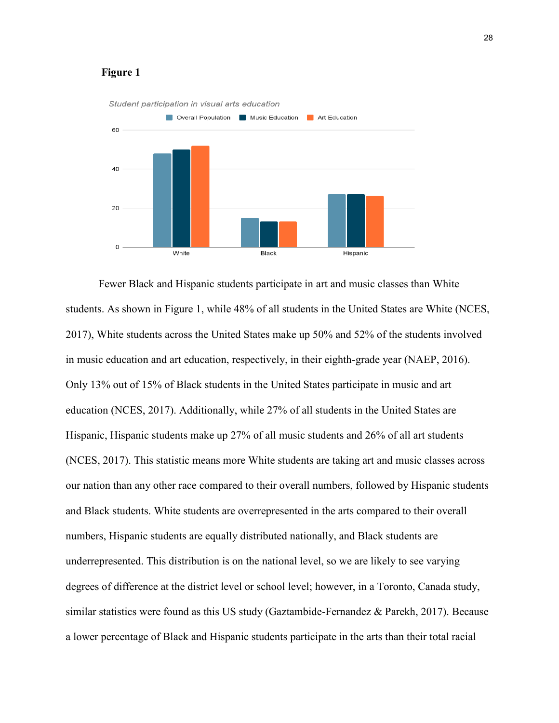# **Figure 1**



Fewer Black and Hispanic students participate in art and music classes than White students. As shown in Figure 1, while 48% of all students in the United States are White (NCES, 2017), White students across the United States make up 50% and 52% of the students involved in music education and art education, respectively, in their eighth-grade year (NAEP, 2016). Only 13% out of 15% of Black students in the United States participate in music and art education (NCES, 2017). Additionally, while 27% of all students in the United States are Hispanic, Hispanic students make up 27% of all music students and 26% of all art students (NCES, 2017). This statistic means more White students are taking art and music classes across our nation than any other race compared to their overall numbers, followed by Hispanic students and Black students. White students are overrepresented in the arts compared to their overall numbers, Hispanic students are equally distributed nationally, and Black students are underrepresented. This distribution is on the national level, so we are likely to see varying degrees of difference at the district level or school level; however, in a Toronto, Canada study, similar statistics were found as this US study (Gaztambide-Fernandez & Parekh, 2017). Because a lower percentage of Black and Hispanic students participate in the arts than their total racial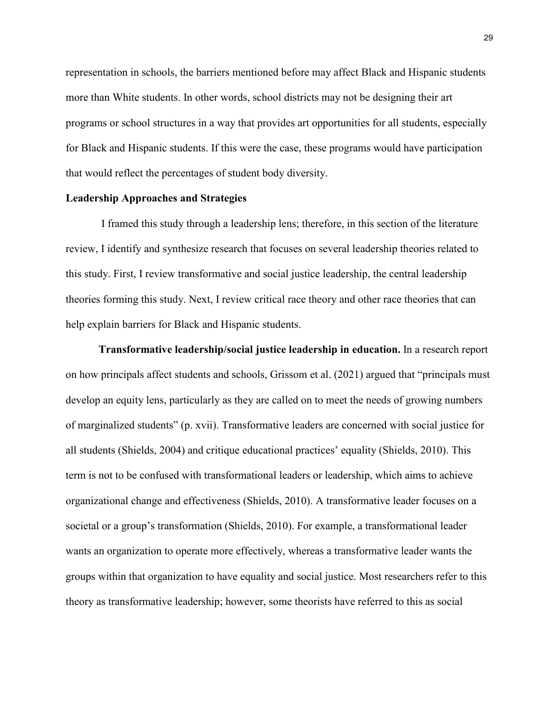representation in schools, the barriers mentioned before may affect Black and Hispanic students more than White students. In other words, school districts may not be designing their art programs or school structures in a way that provides art opportunities for all students, especially for Black and Hispanic students. If this were the case, these programs would have participation that would reflect the percentages of student body diversity.

# **Leadership Approaches and Strategies**

I framed this study through a leadership lens; therefore, in this section of the literature review, I identify and synthesize research that focuses on several leadership theories related to this study. First, I review transformative and social justice leadership, the central leadership theories forming this study. Next, I review critical race theory and other race theories that can help explain barriers for Black and Hispanic students.

**Transformative leadership/social justice leadership in education.** In a research report on how principals affect students and schools, Grissom et al. (2021) argued that "principals must develop an equity lens, particularly as they are called on to meet the needs of growing numbers of marginalized students" (p. xvii). Transformative leaders are concerned with social justice for all students (Shields, 2004) and critique educational practices' equality (Shields, 2010). This term is not to be confused with transformational leaders or leadership, which aims to achieve organizational change and effectiveness (Shields, 2010). A transformative leader focuses on a societal or a group's transformation (Shields, 2010). For example, a transformational leader wants an organization to operate more effectively, whereas a transformative leader wants the groups within that organization to have equality and social justice. Most researchers refer to this theory as transformative leadership; however, some theorists have referred to this as social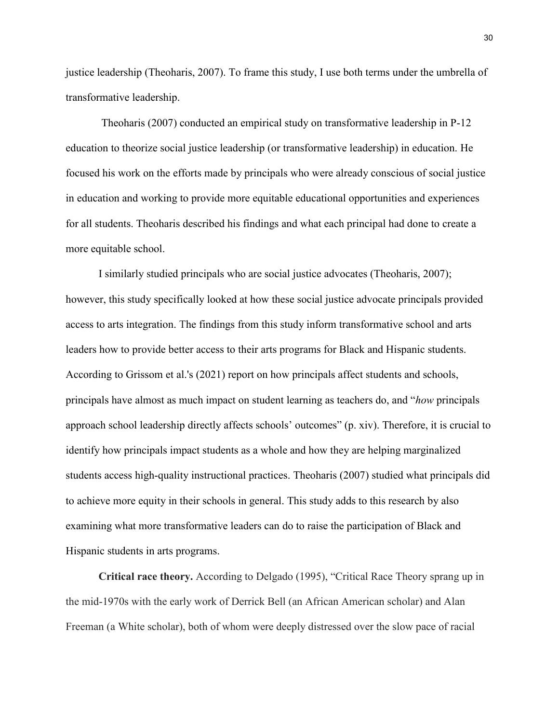justice leadership (Theoharis, 2007). To frame this study, I use both terms under the umbrella of transformative leadership.

Theoharis (2007) conducted an empirical study on transformative leadership in P-12 education to theorize social justice leadership (or transformative leadership) in education. He focused his work on the efforts made by principals who were already conscious of social justice in education and working to provide more equitable educational opportunities and experiences for all students. Theoharis described his findings and what each principal had done to create a more equitable school.

I similarly studied principals who are social justice advocates (Theoharis, 2007); however, this study specifically looked at how these social justice advocate principals provided access to arts integration. The findings from this study inform transformative school and arts leaders how to provide better access to their arts programs for Black and Hispanic students. According to Grissom et al.'s (2021) report on how principals affect students and schools, principals have almost as much impact on student learning as teachers do, and "*how* principals approach school leadership directly affects schools' outcomes" (p. xiv). Therefore, it is crucial to identify how principals impact students as a whole and how they are helping marginalized students access high-quality instructional practices. Theoharis (2007) studied what principals did to achieve more equity in their schools in general. This study adds to this research by also examining what more transformative leaders can do to raise the participation of Black and Hispanic students in arts programs.

**Critical race theory.** According to Delgado (1995), "Critical Race Theory sprang up in the mid-1970s with the early work of Derrick Bell (an African American scholar) and Alan Freeman (a White scholar), both of whom were deeply distressed over the slow pace of racial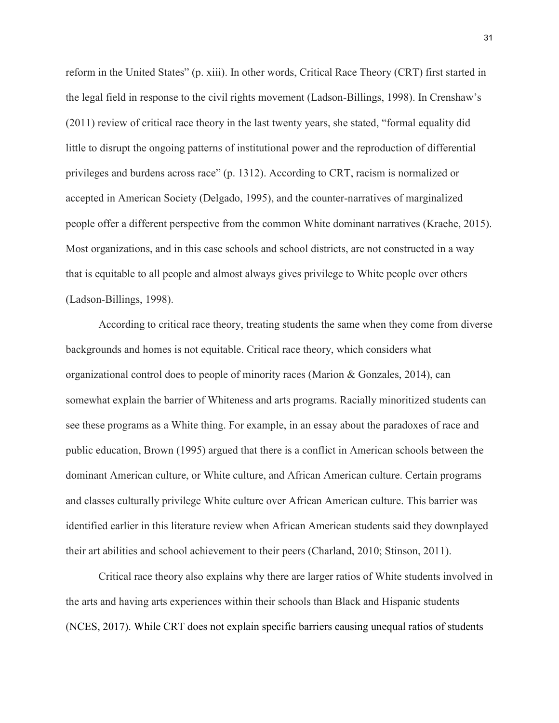reform in the United States" (p. xiii). In other words, Critical Race Theory (CRT) first started in the legal field in response to the civil rights movement (Ladson-Billings, 1998). In Crenshaw's (2011) review of critical race theory in the last twenty years, she stated, "formal equality did little to disrupt the ongoing patterns of institutional power and the reproduction of differential privileges and burdens across race" (p. 1312). According to CRT, racism is normalized or accepted in American Society (Delgado, 1995), and the counter-narratives of marginalized people offer a different perspective from the common White dominant narratives (Kraehe, 2015). Most organizations, and in this case schools and school districts, are not constructed in a way that is equitable to all people and almost always gives privilege to White people over others (Ladson-Billings, 1998).

According to critical race theory, treating students the same when they come from diverse backgrounds and homes is not equitable. Critical race theory, which considers what organizational control does to people of minority races (Marion  $\&$  Gonzales, 2014), can somewhat explain the barrier of Whiteness and arts programs. Racially minoritized students can see these programs as a White thing. For example, in an essay about the paradoxes of race and public education, Brown (1995) argued that there is a conflict in American schools between the dominant American culture, or White culture, and African American culture. Certain programs and classes culturally privilege White culture over African American culture. This barrier was identified earlier in this literature review when African American students said they downplayed their art abilities and school achievement to their peers (Charland, 2010; Stinson, 2011).

Critical race theory also explains why there are larger ratios of White students involved in the arts and having arts experiences within their schools than Black and Hispanic students (NCES, 2017). While CRT does not explain specific barriers causing unequal ratios of students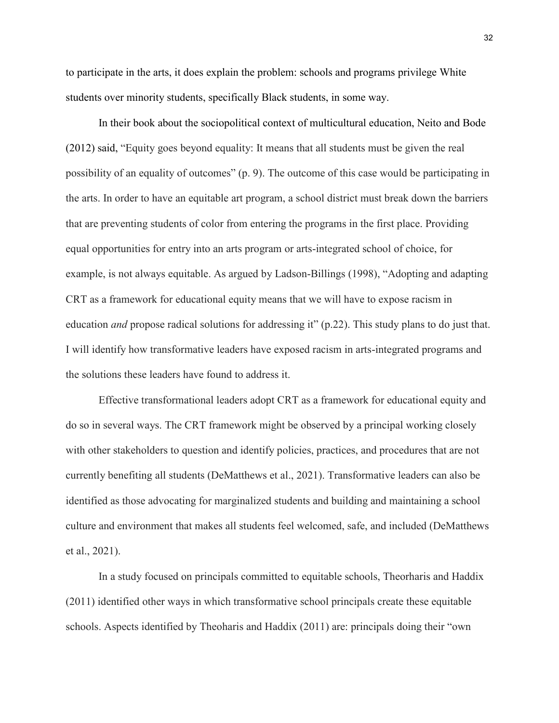to participate in the arts, it does explain the problem: schools and programs privilege White students over minority students, specifically Black students, in some way.

In their book about the sociopolitical context of multicultural education, Neito and Bode (2012) said, "Equity goes beyond equality: It means that all students must be given the real possibility of an equality of outcomes" (p. 9). The outcome of this case would be participating in the arts. In order to have an equitable art program, a school district must break down the barriers that are preventing students of color from entering the programs in the first place. Providing equal opportunities for entry into an arts program or arts-integrated school of choice, for example, is not always equitable. As argued by Ladson-Billings (1998), "Adopting and adapting CRT as a framework for educational equity means that we will have to expose racism in education *and* propose radical solutions for addressing it" (p.22). This study plans to do just that. I will identify how transformative leaders have exposed racism in arts-integrated programs and the solutions these leaders have found to address it.

Effective transformational leaders adopt CRT as a framework for educational equity and do so in several ways. The CRT framework might be observed by a principal working closely with other stakeholders to question and identify policies, practices, and procedures that are not currently benefiting all students (DeMatthews et al., 2021). Transformative leaders can also be identified as those advocating for marginalized students and building and maintaining a school culture and environment that makes all students feel welcomed, safe, and included (DeMatthews et al., 2021).

In a study focused on principals committed to equitable schools, Theorharis and Haddix (2011) identified other ways in which transformative school principals create these equitable schools. Aspects identified by Theoharis and Haddix (2011) are: principals doing their "own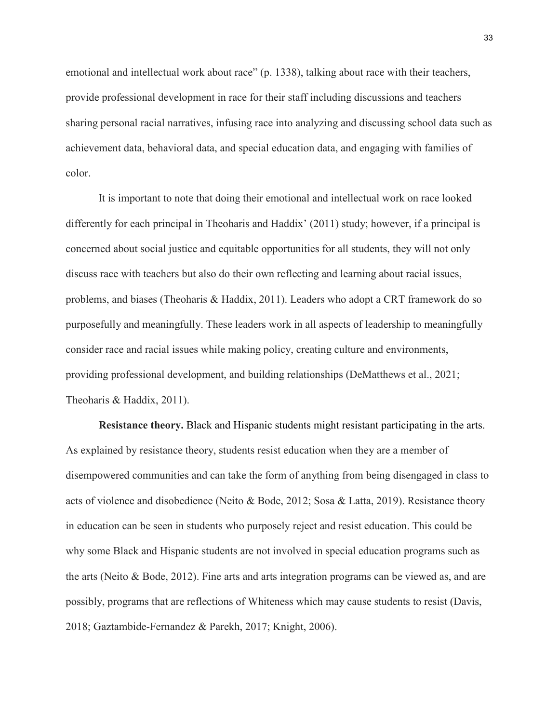emotional and intellectual work about race" (p. 1338), talking about race with their teachers, provide professional development in race for their staff including discussions and teachers sharing personal racial narratives, infusing race into analyzing and discussing school data such as achievement data, behavioral data, and special education data, and engaging with families of color.

It is important to note that doing their emotional and intellectual work on race looked differently for each principal in Theoharis and Haddix' (2011) study; however, if a principal is concerned about social justice and equitable opportunities for all students, they will not only discuss race with teachers but also do their own reflecting and learning about racial issues, problems, and biases (Theoharis & Haddix, 2011). Leaders who adopt a CRT framework do so purposefully and meaningfully. These leaders work in all aspects of leadership to meaningfully consider race and racial issues while making policy, creating culture and environments, providing professional development, and building relationships (DeMatthews et al., 2021; Theoharis & Haddix, 2011).

**Resistance theory.** Black and Hispanic students might resistant participating in the arts. As explained by resistance theory, students resist education when they are a member of disempowered communities and can take the form of anything from being disengaged in class to acts of violence and disobedience (Neito & Bode, 2012; Sosa & Latta, 2019). Resistance theory in education can be seen in students who purposely reject and resist education. This could be why some Black and Hispanic students are not involved in special education programs such as the arts (Neito & Bode, 2012). Fine arts and arts integration programs can be viewed as, and are possibly, programs that are reflections of Whiteness which may cause students to resist (Davis, 2018; Gaztambide-Fernandez & Parekh, 2017; Knight, 2006).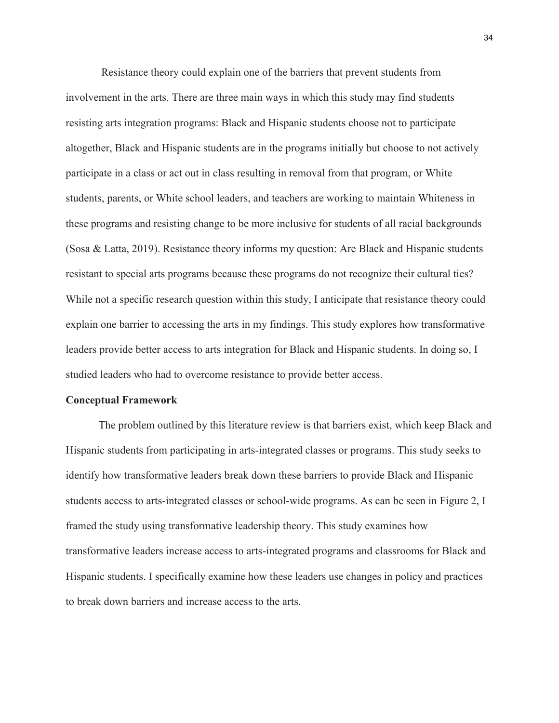Resistance theory could explain one of the barriers that prevent students from involvement in the arts. There are three main ways in which this study may find students resisting arts integration programs: Black and Hispanic students choose not to participate altogether, Black and Hispanic students are in the programs initially but choose to not actively participate in a class or act out in class resulting in removal from that program, or White students, parents, or White school leaders, and teachers are working to maintain Whiteness in these programs and resisting change to be more inclusive for students of all racial backgrounds (Sosa & Latta, 2019). Resistance theory informs my question: Are Black and Hispanic students resistant to special arts programs because these programs do not recognize their cultural ties? While not a specific research question within this study, I anticipate that resistance theory could explain one barrier to accessing the arts in my findings. This study explores how transformative leaders provide better access to arts integration for Black and Hispanic students. In doing so, I studied leaders who had to overcome resistance to provide better access.

#### **Conceptual Framework**

The problem outlined by this literature review is that barriers exist, which keep Black and Hispanic students from participating in arts-integrated classes or programs. This study seeks to identify how transformative leaders break down these barriers to provide Black and Hispanic students access to arts-integrated classes or school-wide programs. As can be seen in Figure 2, I framed the study using transformative leadership theory. This study examines how transformative leaders increase access to arts-integrated programs and classrooms for Black and Hispanic students. I specifically examine how these leaders use changes in policy and practices to break down barriers and increase access to the arts.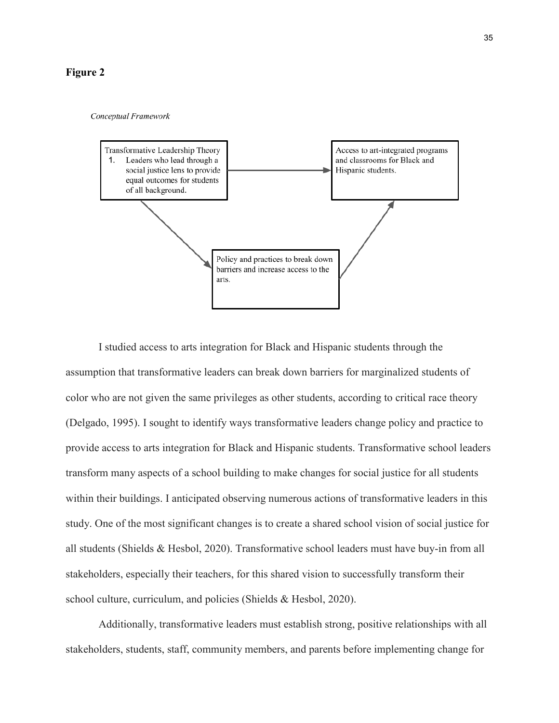# **Figure 2**

#### Conceptual Framework



I studied access to arts integration for Black and Hispanic students through the assumption that transformative leaders can break down barriers for marginalized students of color who are not given the same privileges as other students, according to critical race theory (Delgado, 1995). I sought to identify ways transformative leaders change policy and practice to provide access to arts integration for Black and Hispanic students. Transformative school leaders transform many aspects of a school building to make changes for social justice for all students within their buildings. I anticipated observing numerous actions of transformative leaders in this study. One of the most significant changes is to create a shared school vision of social justice for all students (Shields & Hesbol, 2020). Transformative school leaders must have buy-in from all stakeholders, especially their teachers, for this shared vision to successfully transform their school culture, curriculum, and policies (Shields & Hesbol, 2020).

Additionally, transformative leaders must establish strong, positive relationships with all stakeholders, students, staff, community members, and parents before implementing change for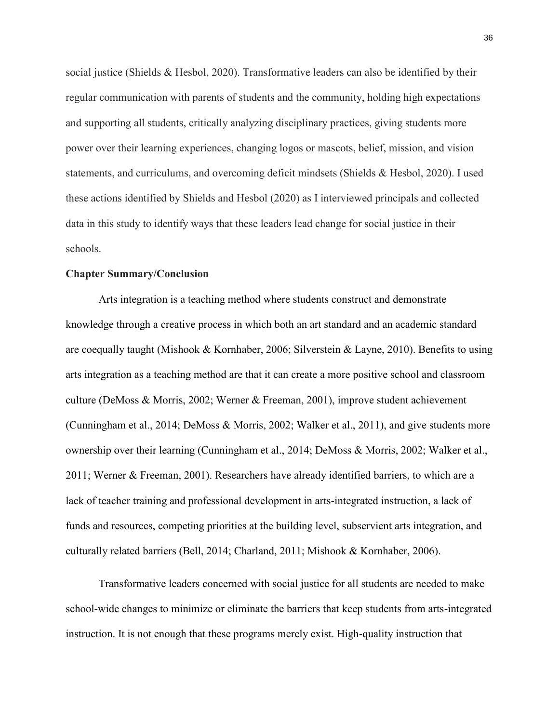social justice (Shields & Hesbol, 2020). Transformative leaders can also be identified by their regular communication with parents of students and the community, holding high expectations and supporting all students, critically analyzing disciplinary practices, giving students more power over their learning experiences, changing logos or mascots, belief, mission, and vision statements, and curriculums, and overcoming deficit mindsets (Shields & Hesbol, 2020). I used these actions identified by Shields and Hesbol (2020) as I interviewed principals and collected data in this study to identify ways that these leaders lead change for social justice in their schools.

# **Chapter Summary/Conclusion**

Arts integration is a teaching method where students construct and demonstrate knowledge through a creative process in which both an art standard and an academic standard are coequally taught (Mishook & Kornhaber, 2006; Silverstein & Layne, 2010). Benefits to using arts integration as a teaching method are that it can create a more positive school and classroom culture (DeMoss & Morris, 2002; Werner & Freeman, 2001), improve student achievement (Cunningham et al., 2014; DeMoss & Morris, 2002; Walker et al., 2011), and give students more ownership over their learning (Cunningham et al., 2014; DeMoss & Morris, 2002; Walker et al., 2011; Werner & Freeman, 2001). Researchers have already identified barriers, to which are a lack of teacher training and professional development in arts-integrated instruction, a lack of funds and resources, competing priorities at the building level, subservient arts integration, and culturally related barriers (Bell, 2014; Charland, 2011; Mishook & Kornhaber, 2006).

Transformative leaders concerned with social justice for all students are needed to make school-wide changes to minimize or eliminate the barriers that keep students from arts-integrated instruction. It is not enough that these programs merely exist. High-quality instruction that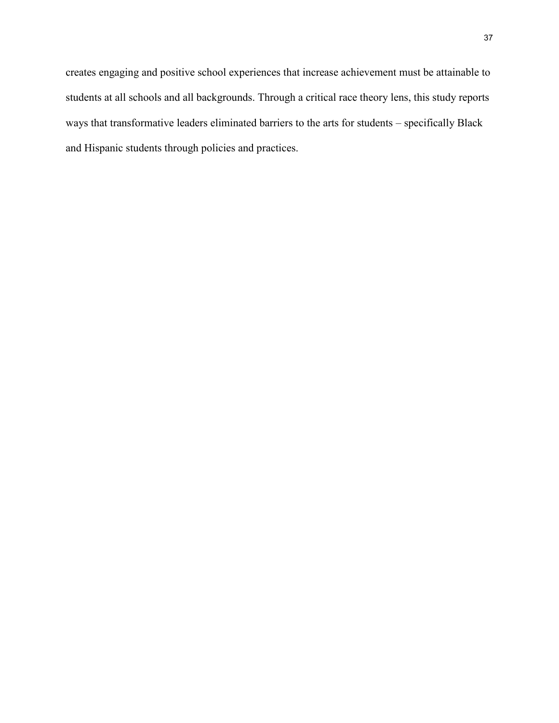creates engaging and positive school experiences that increase achievement must be attainable to students at all schools and all backgrounds. Through a critical race theory lens, this study reports ways that transformative leaders eliminated barriers to the arts for students – specifically Black and Hispanic students through policies and practices.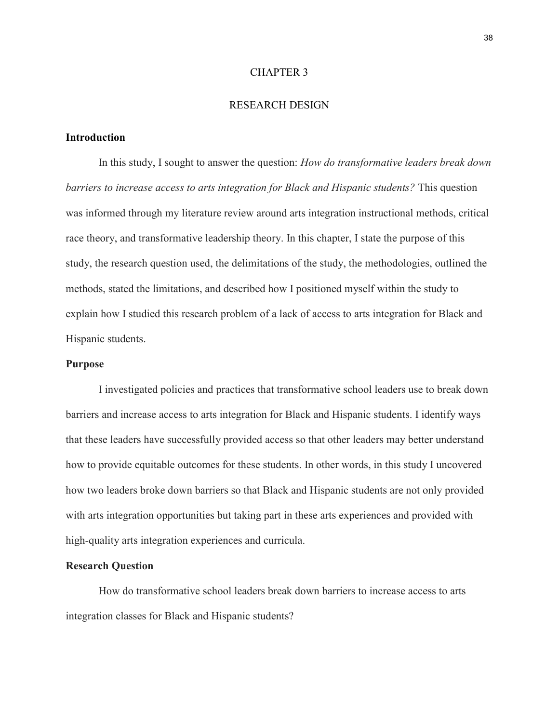## CHAPTER 3

# RESEARCH DESIGN

# **Introduction**

In this study, I sought to answer the question: *How do transformative leaders break down barriers to increase access to arts integration for Black and Hispanic students?* This question was informed through my literature review around arts integration instructional methods, critical race theory, and transformative leadership theory. In this chapter, I state the purpose of this study, the research question used, the delimitations of the study, the methodologies, outlined the methods, stated the limitations, and described how I positioned myself within the study to explain how I studied this research problem of a lack of access to arts integration for Black and Hispanic students.

# **Purpose**

I investigated policies and practices that transformative school leaders use to break down barriers and increase access to arts integration for Black and Hispanic students. I identify ways that these leaders have successfully provided access so that other leaders may better understand how to provide equitable outcomes for these students. In other words, in this study I uncovered how two leaders broke down barriers so that Black and Hispanic students are not only provided with arts integration opportunities but taking part in these arts experiences and provided with high-quality arts integration experiences and curricula.

# **Research Question**

How do transformative school leaders break down barriers to increase access to arts integration classes for Black and Hispanic students?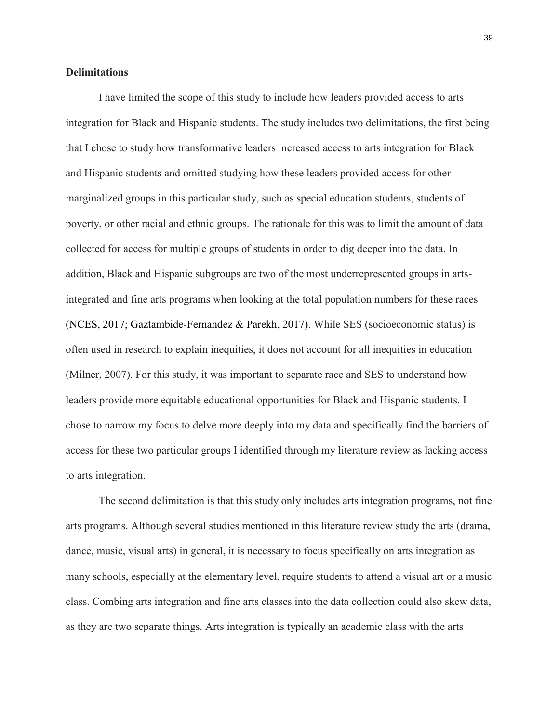# **Delimitations**

I have limited the scope of this study to include how leaders provided access to arts integration for Black and Hispanic students. The study includes two delimitations, the first being that I chose to study how transformative leaders increased access to arts integration for Black and Hispanic students and omitted studying how these leaders provided access for other marginalized groups in this particular study, such as special education students, students of poverty, or other racial and ethnic groups. The rationale for this was to limit the amount of data collected for access for multiple groups of students in order to dig deeper into the data. In addition, Black and Hispanic subgroups are two of the most underrepresented groups in artsintegrated and fine arts programs when looking at the total population numbers for these races (NCES, 2017; Gaztambide-Fernandez & Parekh, 2017). While SES (socioeconomic status) is often used in research to explain inequities, it does not account for all inequities in education (Milner, 2007). For this study, it was important to separate race and SES to understand how leaders provide more equitable educational opportunities for Black and Hispanic students. I chose to narrow my focus to delve more deeply into my data and specifically find the barriers of access for these two particular groups I identified through my literature review as lacking access to arts integration.

The second delimitation is that this study only includes arts integration programs, not fine arts programs. Although several studies mentioned in this literature review study the arts (drama, dance, music, visual arts) in general, it is necessary to focus specifically on arts integration as many schools, especially at the elementary level, require students to attend a visual art or a music class. Combing arts integration and fine arts classes into the data collection could also skew data, as they are two separate things. Arts integration is typically an academic class with the arts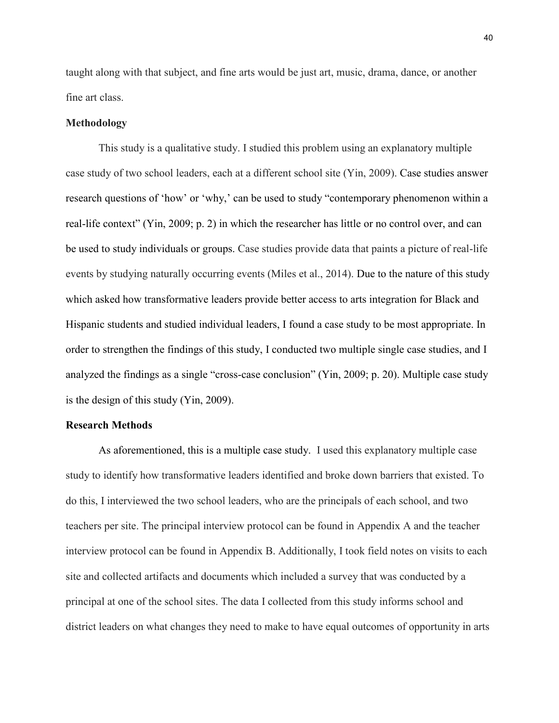taught along with that subject, and fine arts would be just art, music, drama, dance, or another fine art class.

### **Methodology**

This study is a qualitative study. I studied this problem using an explanatory multiple case study of two school leaders, each at a different school site (Yin, 2009). Case studies answer research questions of 'how' or 'why,' can be used to study "contemporary phenomenon within a real-life context" (Yin, 2009; p. 2) in which the researcher has little or no control over, and can be used to study individuals or groups. Case studies provide data that paints a picture of real-life events by studying naturally occurring events (Miles et al., 2014). Due to the nature of this study which asked how transformative leaders provide better access to arts integration for Black and Hispanic students and studied individual leaders, I found a case study to be most appropriate. In order to strengthen the findings of this study, I conducted two multiple single case studies, and I analyzed the findings as a single "cross-case conclusion" (Yin, 2009; p. 20). Multiple case study is the design of this study (Yin, 2009).

### **Research Methods**

As aforementioned, this is a multiple case study. I used this explanatory multiple case study to identify how transformative leaders identified and broke down barriers that existed. To do this, I interviewed the two school leaders, who are the principals of each school, and two teachers per site. The principal interview protocol can be found in Appendix A and the teacher interview protocol can be found in Appendix B. Additionally, I took field notes on visits to each site and collected artifacts and documents which included a survey that was conducted by a principal at one of the school sites. The data I collected from this study informs school and district leaders on what changes they need to make to have equal outcomes of opportunity in arts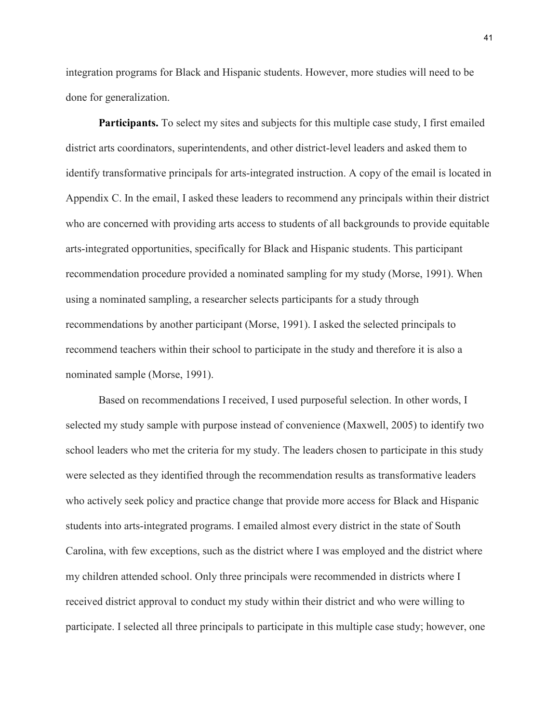integration programs for Black and Hispanic students. However, more studies will need to be done for generalization.

**Participants.** To select my sites and subjects for this multiple case study, I first emailed district arts coordinators, superintendents, and other district-level leaders and asked them to identify transformative principals for arts-integrated instruction. A copy of the email is located in Appendix C. In the email, I asked these leaders to recommend any principals within their district who are concerned with providing arts access to students of all backgrounds to provide equitable arts-integrated opportunities, specifically for Black and Hispanic students. This participant recommendation procedure provided a nominated sampling for my study (Morse, 1991). When using a nominated sampling, a researcher selects participants for a study through recommendations by another participant (Morse, 1991). I asked the selected principals to recommend teachers within their school to participate in the study and therefore it is also a nominated sample (Morse, 1991).

Based on recommendations I received, I used purposeful selection. In other words, I selected my study sample with purpose instead of convenience (Maxwell, 2005) to identify two school leaders who met the criteria for my study. The leaders chosen to participate in this study were selected as they identified through the recommendation results as transformative leaders who actively seek policy and practice change that provide more access for Black and Hispanic students into arts-integrated programs. I emailed almost every district in the state of South Carolina, with few exceptions, such as the district where I was employed and the district where my children attended school. Only three principals were recommended in districts where I received district approval to conduct my study within their district and who were willing to participate. I selected all three principals to participate in this multiple case study; however, one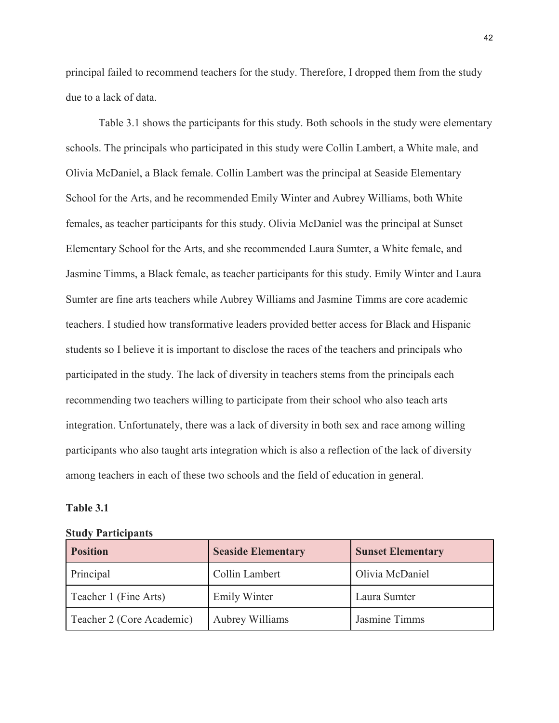principal failed to recommend teachers for the study. Therefore, I dropped them from the study due to a lack of data.

Table 3.1 shows the participants for this study. Both schools in the study were elementary schools. The principals who participated in this study were Collin Lambert, a White male, and Olivia McDaniel, a Black female. Collin Lambert was the principal at Seaside Elementary School for the Arts, and he recommended Emily Winter and Aubrey Williams, both White females, as teacher participants for this study. Olivia McDaniel was the principal at Sunset Elementary School for the Arts, and she recommended Laura Sumter, a White female, and Jasmine Timms, a Black female, as teacher participants for this study. Emily Winter and Laura Sumter are fine arts teachers while Aubrey Williams and Jasmine Timms are core academic teachers. I studied how transformative leaders provided better access for Black and Hispanic students so I believe it is important to disclose the races of the teachers and principals who participated in the study. The lack of diversity in teachers stems from the principals each recommending two teachers willing to participate from their school who also teach arts integration. Unfortunately, there was a lack of diversity in both sex and race among willing participants who also taught arts integration which is also a reflection of the lack of diversity among teachers in each of these two schools and the field of education in general.

## **Table 3.1**

#### **Study Participants**

| <b>Position</b>           | <b>Seaside Elementary</b> | <b>Sunset Elementary</b> |
|---------------------------|---------------------------|--------------------------|
| Principal                 | Collin Lambert            | Olivia McDaniel          |
| Teacher 1 (Fine Arts)     | <b>Emily Winter</b>       | Laura Sumter             |
| Teacher 2 (Core Academic) | Aubrey Williams           | Jasmine Timms            |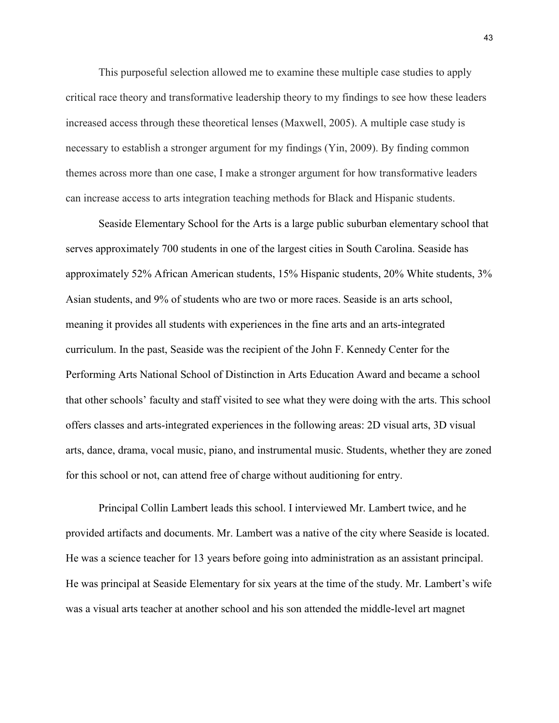This purposeful selection allowed me to examine these multiple case studies to apply critical race theory and transformative leadership theory to my findings to see how these leaders increased access through these theoretical lenses (Maxwell, 2005). A multiple case study is necessary to establish a stronger argument for my findings (Yin, 2009). By finding common themes across more than one case, I make a stronger argument for how transformative leaders can increase access to arts integration teaching methods for Black and Hispanic students.

Seaside Elementary School for the Arts is a large public suburban elementary school that serves approximately 700 students in one of the largest cities in South Carolina. Seaside has approximately 52% African American students, 15% Hispanic students, 20% White students, 3% Asian students, and 9% of students who are two or more races. Seaside is an arts school, meaning it provides all students with experiences in the fine arts and an arts-integrated curriculum. In the past, Seaside was the recipient of the John F. Kennedy Center for the Performing Arts National School of Distinction in Arts Education Award and became a school that other schools' faculty and staff visited to see what they were doing with the arts. This school offers classes and arts-integrated experiences in the following areas: 2D visual arts, 3D visual arts, dance, drama, vocal music, piano, and instrumental music. Students, whether they are zoned for this school or not, can attend free of charge without auditioning for entry.

Principal Collin Lambert leads this school. I interviewed Mr. Lambert twice, and he provided artifacts and documents. Mr. Lambert was a native of the city where Seaside is located. He was a science teacher for 13 years before going into administration as an assistant principal. He was principal at Seaside Elementary for six years at the time of the study. Mr. Lambert's wife was a visual arts teacher at another school and his son attended the middle-level art magnet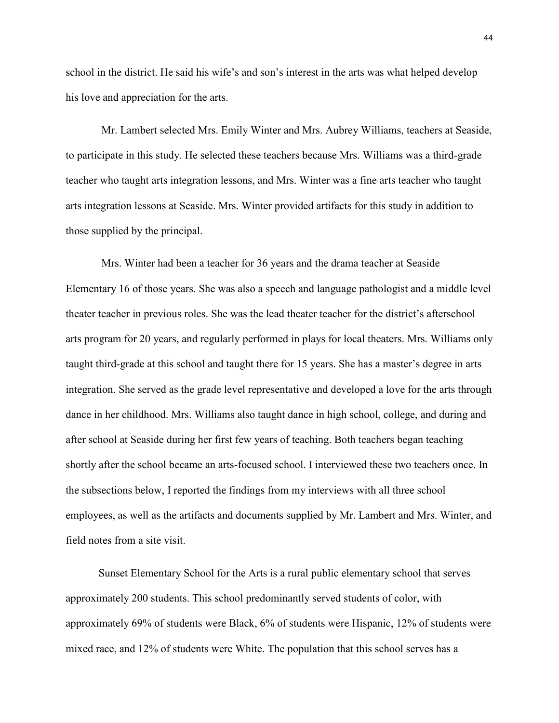school in the district. He said his wife's and son's interest in the arts was what helped develop his love and appreciation for the arts.

Mr. Lambert selected Mrs. Emily Winter and Mrs. Aubrey Williams, teachers at Seaside, to participate in this study. He selected these teachers because Mrs. Williams was a third-grade teacher who taught arts integration lessons, and Mrs. Winter was a fine arts teacher who taught arts integration lessons at Seaside. Mrs. Winter provided artifacts for this study in addition to those supplied by the principal.

Mrs. Winter had been a teacher for 36 years and the drama teacher at Seaside Elementary 16 of those years. She was also a speech and language pathologist and a middle level theater teacher in previous roles. She was the lead theater teacher for the district's afterschool arts program for 20 years, and regularly performed in plays for local theaters. Mrs. Williams only taught third-grade at this school and taught there for 15 years. She has a master's degree in arts integration. She served as the grade level representative and developed a love for the arts through dance in her childhood. Mrs. Williams also taught dance in high school, college, and during and after school at Seaside during her first few years of teaching. Both teachers began teaching shortly after the school became an arts-focused school. I interviewed these two teachers once. In the subsections below, I reported the findings from my interviews with all three school employees, as well as the artifacts and documents supplied by Mr. Lambert and Mrs. Winter, and field notes from a site visit.

Sunset Elementary School for the Arts is a rural public elementary school that serves approximately 200 students. This school predominantly served students of color, with approximately 69% of students were Black, 6% of students were Hispanic, 12% of students were mixed race, and 12% of students were White. The population that this school serves has a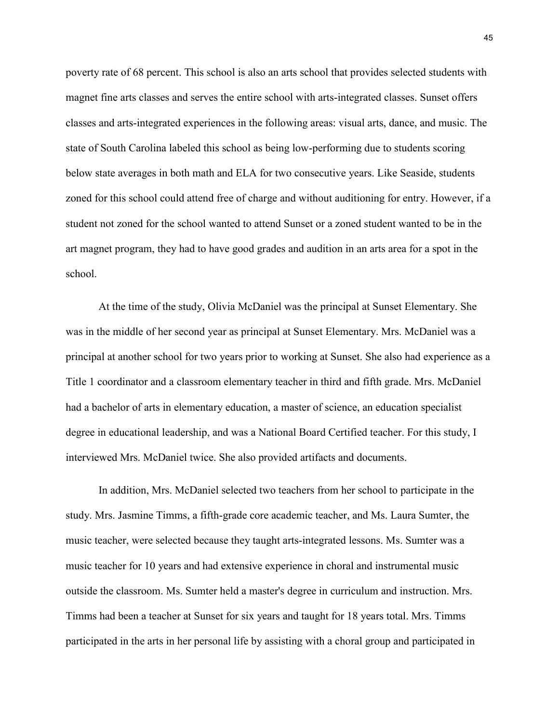poverty rate of 68 percent. This school is also an arts school that provides selected students with magnet fine arts classes and serves the entire school with arts-integrated classes. Sunset offers classes and arts-integrated experiences in the following areas: visual arts, dance, and music. The state of South Carolina labeled this school as being low-performing due to students scoring below state averages in both math and ELA for two consecutive years. Like Seaside, students zoned for this school could attend free of charge and without auditioning for entry. However, if a student not zoned for the school wanted to attend Sunset or a zoned student wanted to be in the art magnet program, they had to have good grades and audition in an arts area for a spot in the school.

At the time of the study, Olivia McDaniel was the principal at Sunset Elementary. She was in the middle of her second year as principal at Sunset Elementary. Mrs. McDaniel was a principal at another school for two years prior to working at Sunset. She also had experience as a Title 1 coordinator and a classroom elementary teacher in third and fifth grade. Mrs. McDaniel had a bachelor of arts in elementary education, a master of science, an education specialist degree in educational leadership, and was a National Board Certified teacher. For this study, I interviewed Mrs. McDaniel twice. She also provided artifacts and documents.

In addition, Mrs. McDaniel selected two teachers from her school to participate in the study. Mrs. Jasmine Timms, a fifth-grade core academic teacher, and Ms. Laura Sumter, the music teacher, were selected because they taught arts-integrated lessons. Ms. Sumter was a music teacher for 10 years and had extensive experience in choral and instrumental music outside the classroom. Ms. Sumter held a master's degree in curriculum and instruction. Mrs. Timms had been a teacher at Sunset for six years and taught for 18 years total. Mrs. Timms participated in the arts in her personal life by assisting with a choral group and participated in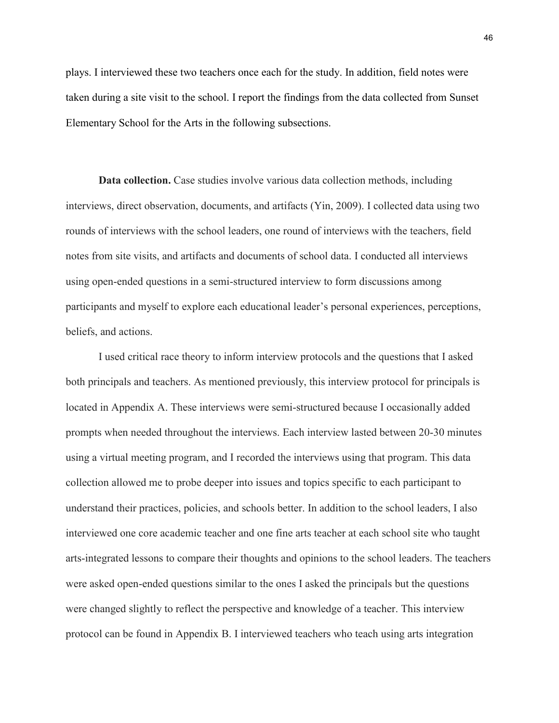plays. I interviewed these two teachers once each for the study. In addition, field notes were taken during a site visit to the school. I report the findings from the data collected from Sunset Elementary School for the Arts in the following subsections.

**Data collection.** Case studies involve various data collection methods, including interviews, direct observation, documents, and artifacts (Yin, 2009). I collected data using two rounds of interviews with the school leaders, one round of interviews with the teachers, field notes from site visits, and artifacts and documents of school data. I conducted all interviews using open-ended questions in a semi-structured interview to form discussions among participants and myself to explore each educational leader's personal experiences, perceptions, beliefs, and actions.

I used critical race theory to inform interview protocols and the questions that I asked both principals and teachers. As mentioned previously, this interview protocol for principals is located in Appendix A. These interviews were semi-structured because I occasionally added prompts when needed throughout the interviews. Each interview lasted between 20-30 minutes using a virtual meeting program, and I recorded the interviews using that program. This data collection allowed me to probe deeper into issues and topics specific to each participant to understand their practices, policies, and schools better. In addition to the school leaders, I also interviewed one core academic teacher and one fine arts teacher at each school site who taught arts-integrated lessons to compare their thoughts and opinions to the school leaders. The teachers were asked open-ended questions similar to the ones I asked the principals but the questions were changed slightly to reflect the perspective and knowledge of a teacher. This interview protocol can be found in Appendix B. I interviewed teachers who teach using arts integration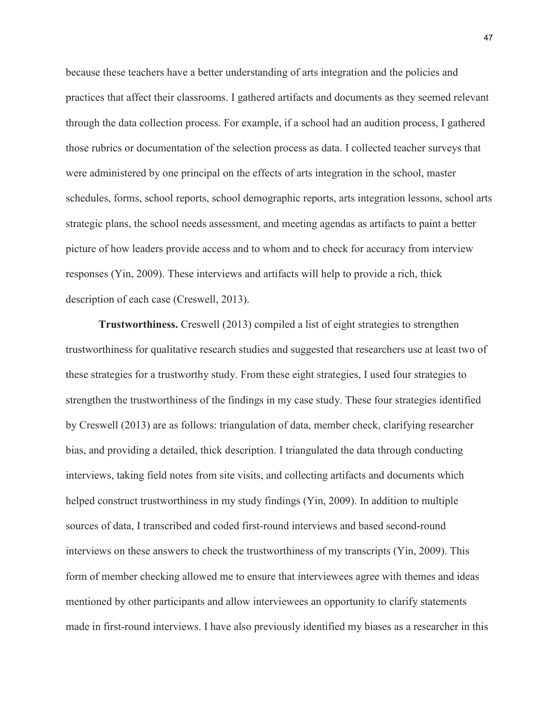because these teachers have a better understanding of arts integration and the policies and practices that affect their classrooms. I gathered artifacts and documents as they seemed relevant through the data collection process. For example, if a school had an audition process, I gathered those rubrics or documentation of the selection process as data. I collected teacher surveys that were administered by one principal on the effects of arts integration in the school, master schedules, forms, school reports, school demographic reports, arts integration lessons, school arts strategic plans, the school needs assessment, and meeting agendas as artifacts to paint a better picture of how leaders provide access and to whom and to check for accuracy from interview responses (Yin, 2009). These interviews and artifacts will help to provide a rich, thick description of each case (Creswell, 2013).

**Trustworthiness.** Creswell (2013) compiled a list of eight strategies to strengthen trustworthiness for qualitative research studies and suggested that researchers use at least two of these strategies for a trustworthy study. From these eight strategies, I used four strategies to strengthen the trustworthiness of the findings in my case study. These four strategies identified by Creswell (2013) are as follows: triangulation of data, member check, clarifying researcher bias, and providing a detailed, thick description. I triangulated the data through conducting interviews, taking field notes from site visits, and collecting artifacts and documents which helped construct trustworthiness in my study findings (Yin, 2009). In addition to multiple sources of data, I transcribed and coded first-round interviews and based second-round interviews on these answers to check the trustworthiness of my transcripts (Yin, 2009). This form of member checking allowed me to ensure that interviewees agree with themes and ideas mentioned by other participants and allow interviewees an opportunity to clarify statements made in first-round interviews. I have also previously identified my biases as a researcher in this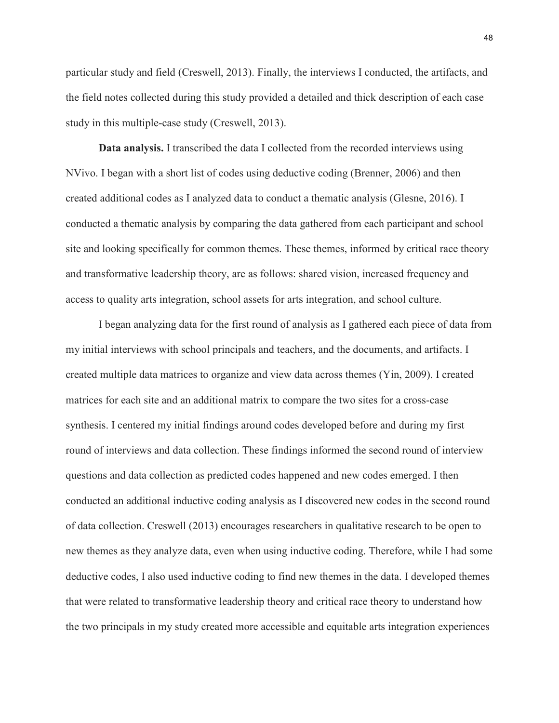particular study and field (Creswell, 2013). Finally, the interviews I conducted, the artifacts, and the field notes collected during this study provided a detailed and thick description of each case study in this multiple-case study (Creswell, 2013).

**Data analysis.** I transcribed the data I collected from the recorded interviews using NVivo. I began with a short list of codes using deductive coding (Brenner, 2006) and then created additional codes as I analyzed data to conduct a thematic analysis (Glesne, 2016). I conducted a thematic analysis by comparing the data gathered from each participant and school site and looking specifically for common themes. These themes, informed by critical race theory and transformative leadership theory, are as follows: shared vision, increased frequency and access to quality arts integration, school assets for arts integration, and school culture.

I began analyzing data for the first round of analysis as I gathered each piece of data from my initial interviews with school principals and teachers, and the documents, and artifacts. I created multiple data matrices to organize and view data across themes (Yin, 2009). I created matrices for each site and an additional matrix to compare the two sites for a cross-case synthesis. I centered my initial findings around codes developed before and during my first round of interviews and data collection. These findings informed the second round of interview questions and data collection as predicted codes happened and new codes emerged. I then conducted an additional inductive coding analysis as I discovered new codes in the second round of data collection. Creswell (2013) encourages researchers in qualitative research to be open to new themes as they analyze data, even when using inductive coding. Therefore, while I had some deductive codes, I also used inductive coding to find new themes in the data. I developed themes that were related to transformative leadership theory and critical race theory to understand how the two principals in my study created more accessible and equitable arts integration experiences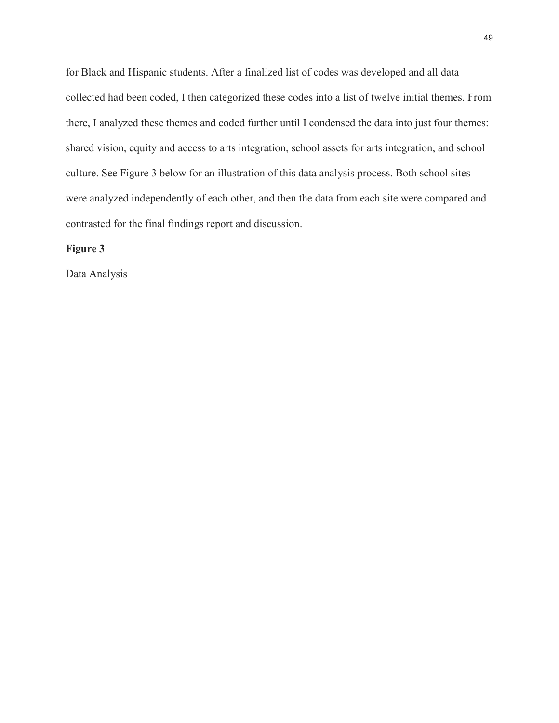for Black and Hispanic students. After a finalized list of codes was developed and all data collected had been coded, I then categorized these codes into a list of twelve initial themes. From there, I analyzed these themes and coded further until I condensed the data into just four themes: shared vision, equity and access to arts integration, school assets for arts integration, and school culture. See Figure 3 below for an illustration of this data analysis process. Both school sites were analyzed independently of each other, and then the data from each site were compared and contrasted for the final findings report and discussion.

# **Figure 3**

Data Analysis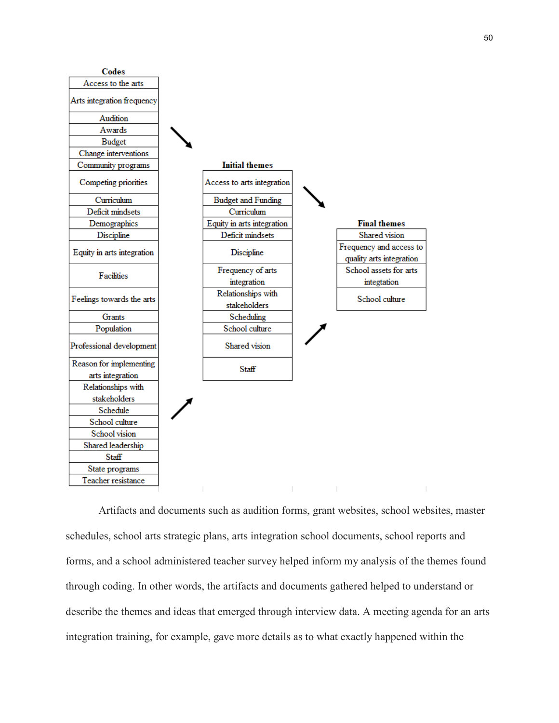

Artifacts and documents such as audition forms, grant websites, school websites, master schedules, school arts strategic plans, arts integration school documents, school reports and forms, and a school administered teacher survey helped inform my analysis of the themes found through coding. In other words, the artifacts and documents gathered helped to understand or describe the themes and ideas that emerged through interview data. A meeting agenda for an arts integration training, for example, gave more details as to what exactly happened within the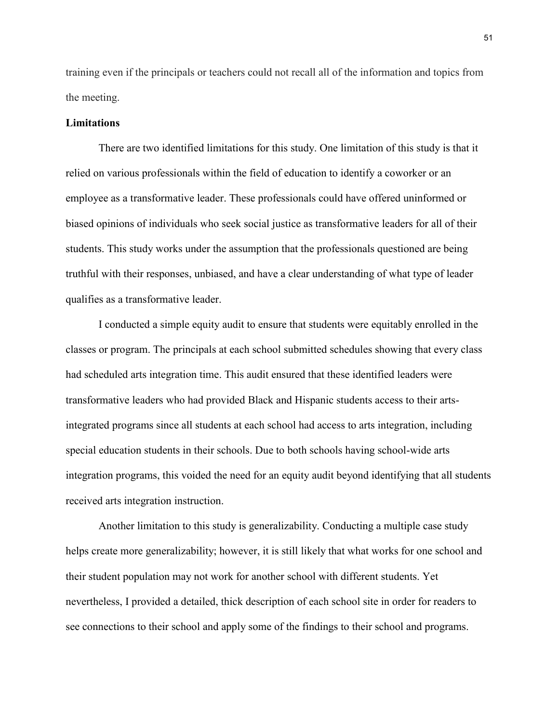training even if the principals or teachers could not recall all of the information and topics from the meeting.

# **Limitations**

There are two identified limitations for this study. One limitation of this study is that it relied on various professionals within the field of education to identify a coworker or an employee as a transformative leader. These professionals could have offered uninformed or biased opinions of individuals who seek social justice as transformative leaders for all of their students. This study works under the assumption that the professionals questioned are being truthful with their responses, unbiased, and have a clear understanding of what type of leader qualifies as a transformative leader.

I conducted a simple equity audit to ensure that students were equitably enrolled in the classes or program. The principals at each school submitted schedules showing that every class had scheduled arts integration time. This audit ensured that these identified leaders were transformative leaders who had provided Black and Hispanic students access to their artsintegrated programs since all students at each school had access to arts integration, including special education students in their schools. Due to both schools having school-wide arts integration programs, this voided the need for an equity audit beyond identifying that all students received arts integration instruction.

Another limitation to this study is generalizability. Conducting a multiple case study helps create more generalizability; however, it is still likely that what works for one school and their student population may not work for another school with different students. Yet nevertheless, I provided a detailed, thick description of each school site in order for readers to see connections to their school and apply some of the findings to their school and programs.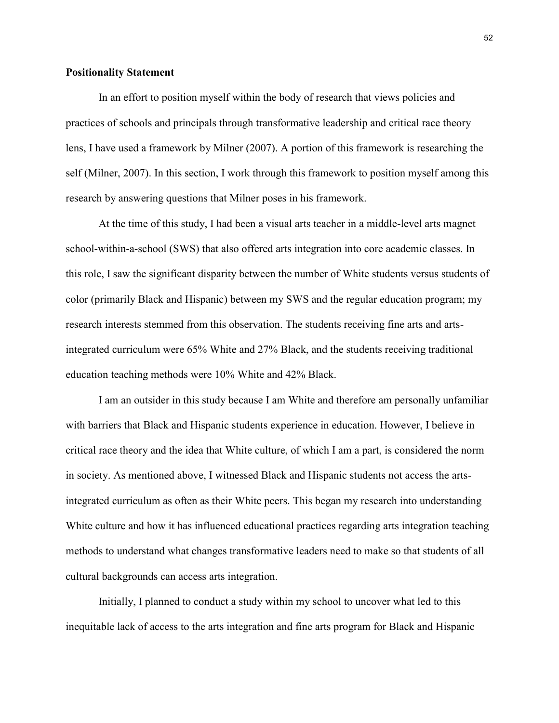# **Positionality Statement**

In an effort to position myself within the body of research that views policies and practices of schools and principals through transformative leadership and critical race theory lens, I have used a framework by Milner (2007). A portion of this framework is researching the self (Milner, 2007). In this section, I work through this framework to position myself among this research by answering questions that Milner poses in his framework.

At the time of this study, I had been a visual arts teacher in a middle-level arts magnet school-within-a-school (SWS) that also offered arts integration into core academic classes. In this role, I saw the significant disparity between the number of White students versus students of color (primarily Black and Hispanic) between my SWS and the regular education program; my research interests stemmed from this observation. The students receiving fine arts and artsintegrated curriculum were 65% White and 27% Black, and the students receiving traditional education teaching methods were 10% White and 42% Black.

I am an outsider in this study because I am White and therefore am personally unfamiliar with barriers that Black and Hispanic students experience in education. However, I believe in critical race theory and the idea that White culture, of which I am a part, is considered the norm in society. As mentioned above, I witnessed Black and Hispanic students not access the artsintegrated curriculum as often as their White peers. This began my research into understanding White culture and how it has influenced educational practices regarding arts integration teaching methods to understand what changes transformative leaders need to make so that students of all cultural backgrounds can access arts integration.

Initially, I planned to conduct a study within my school to uncover what led to this inequitable lack of access to the arts integration and fine arts program for Black and Hispanic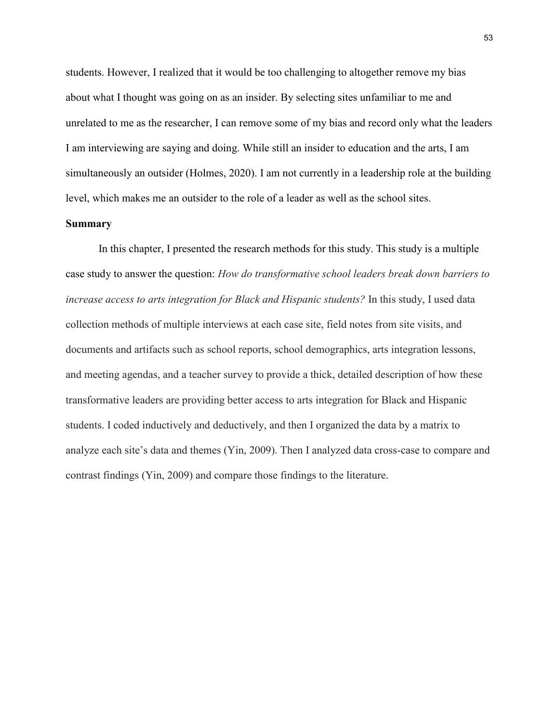students. However, I realized that it would be too challenging to altogether remove my bias about what I thought was going on as an insider. By selecting sites unfamiliar to me and unrelated to me as the researcher, I can remove some of my bias and record only what the leaders I am interviewing are saying and doing. While still an insider to education and the arts, I am simultaneously an outsider (Holmes, 2020). I am not currently in a leadership role at the building level, which makes me an outsider to the role of a leader as well as the school sites.

# **Summary**

In this chapter, I presented the research methods for this study. This study is a multiple case study to answer the question: *How do transformative school leaders break down barriers to increase access to arts integration for Black and Hispanic students?* In this study, I used data collection methods of multiple interviews at each case site, field notes from site visits, and documents and artifacts such as school reports, school demographics, arts integration lessons, and meeting agendas, and a teacher survey to provide a thick, detailed description of how these transformative leaders are providing better access to arts integration for Black and Hispanic students. I coded inductively and deductively, and then I organized the data by a matrix to analyze each site's data and themes (Yin, 2009). Then I analyzed data cross-case to compare and contrast findings (Yin, 2009) and compare those findings to the literature.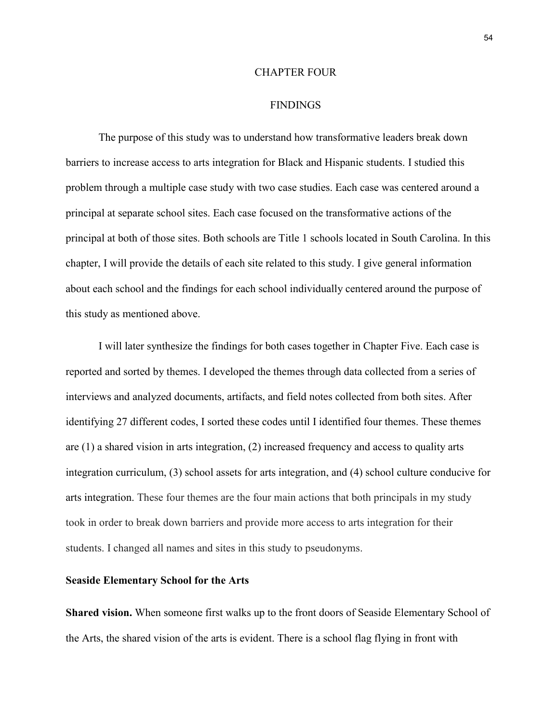### CHAPTER FOUR

## FINDINGS

The purpose of this study was to understand how transformative leaders break down barriers to increase access to arts integration for Black and Hispanic students. I studied this problem through a multiple case study with two case studies. Each case was centered around a principal at separate school sites. Each case focused on the transformative actions of the principal at both of those sites. Both schools are Title 1 schools located in South Carolina. In this chapter, I will provide the details of each site related to this study. I give general information about each school and the findings for each school individually centered around the purpose of this study as mentioned above.

I will later synthesize the findings for both cases together in Chapter Five. Each case is reported and sorted by themes. I developed the themes through data collected from a series of interviews and analyzed documents, artifacts, and field notes collected from both sites. After identifying 27 different codes, I sorted these codes until I identified four themes. These themes are (1) a shared vision in arts integration, (2) increased frequency and access to quality arts integration curriculum, (3) school assets for arts integration, and (4) school culture conducive for arts integration. These four themes are the four main actions that both principals in my study took in order to break down barriers and provide more access to arts integration for their students. I changed all names and sites in this study to pseudonyms.

#### **Seaside Elementary School for the Arts**

**Shared vision.** When someone first walks up to the front doors of Seaside Elementary School of the Arts, the shared vision of the arts is evident. There is a school flag flying in front with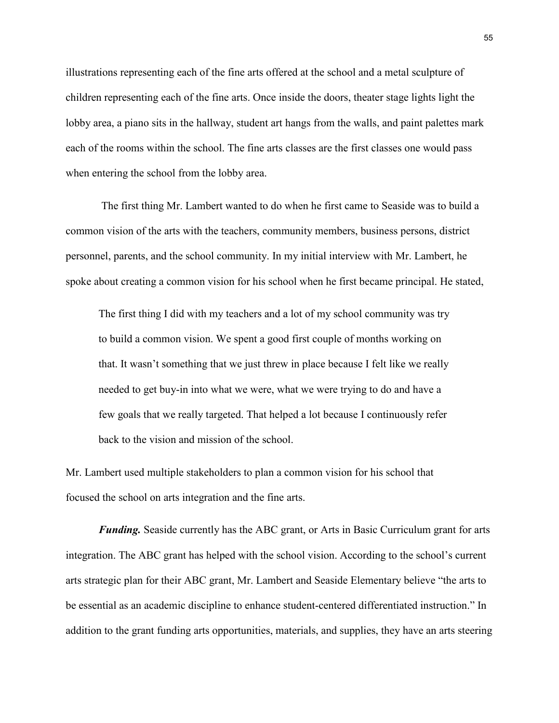illustrations representing each of the fine arts offered at the school and a metal sculpture of children representing each of the fine arts. Once inside the doors, theater stage lights light the lobby area, a piano sits in the hallway, student art hangs from the walls, and paint palettes mark each of the rooms within the school. The fine arts classes are the first classes one would pass when entering the school from the lobby area.

The first thing Mr. Lambert wanted to do when he first came to Seaside was to build a common vision of the arts with the teachers, community members, business persons, district personnel, parents, and the school community. In my initial interview with Mr. Lambert, he spoke about creating a common vision for his school when he first became principal. He stated,

The first thing I did with my teachers and a lot of my school community was try to build a common vision. We spent a good first couple of months working on that. It wasn't something that we just threw in place because I felt like we really needed to get buy-in into what we were, what we were trying to do and have a few goals that we really targeted. That helped a lot because I continuously refer back to the vision and mission of the school.

Mr. Lambert used multiple stakeholders to plan a common vision for his school that focused the school on arts integration and the fine arts.

*Funding.* Seaside currently has the ABC grant, or Arts in Basic Curriculum grant for arts integration. The ABC grant has helped with the school vision. According to the school's current arts strategic plan for their ABC grant, Mr. Lambert and Seaside Elementary believe "the arts to be essential as an academic discipline to enhance student-centered differentiated instruction." In addition to the grant funding arts opportunities, materials, and supplies, they have an arts steering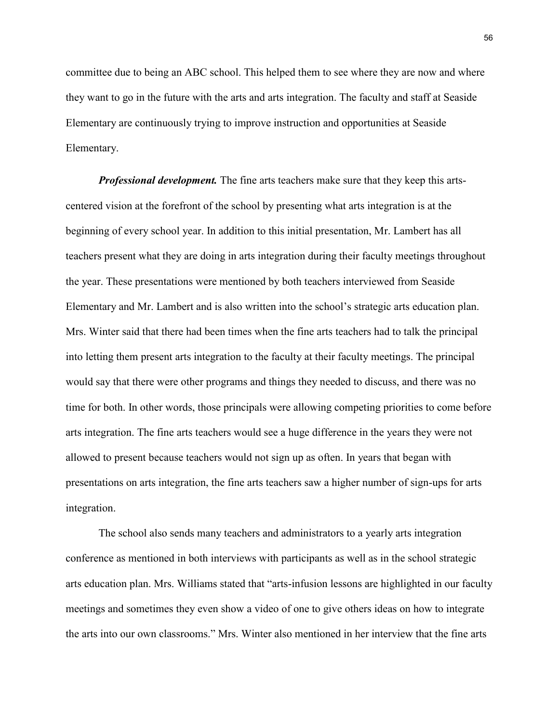committee due to being an ABC school. This helped them to see where they are now and where they want to go in the future with the arts and arts integration. The faculty and staff at Seaside Elementary are continuously trying to improve instruction and opportunities at Seaside Elementary.

*Professional development.* The fine arts teachers make sure that they keep this artscentered vision at the forefront of the school by presenting what arts integration is at the beginning of every school year. In addition to this initial presentation, Mr. Lambert has all teachers present what they are doing in arts integration during their faculty meetings throughout the year. These presentations were mentioned by both teachers interviewed from Seaside Elementary and Mr. Lambert and is also written into the school's strategic arts education plan. Mrs. Winter said that there had been times when the fine arts teachers had to talk the principal into letting them present arts integration to the faculty at their faculty meetings. The principal would say that there were other programs and things they needed to discuss, and there was no time for both. In other words, those principals were allowing competing priorities to come before arts integration. The fine arts teachers would see a huge difference in the years they were not allowed to present because teachers would not sign up as often. In years that began with presentations on arts integration, the fine arts teachers saw a higher number of sign-ups for arts integration.

The school also sends many teachers and administrators to a yearly arts integration conference as mentioned in both interviews with participants as well as in the school strategic arts education plan. Mrs. Williams stated that "arts-infusion lessons are highlighted in our faculty meetings and sometimes they even show a video of one to give others ideas on how to integrate the arts into our own classrooms." Mrs. Winter also mentioned in her interview that the fine arts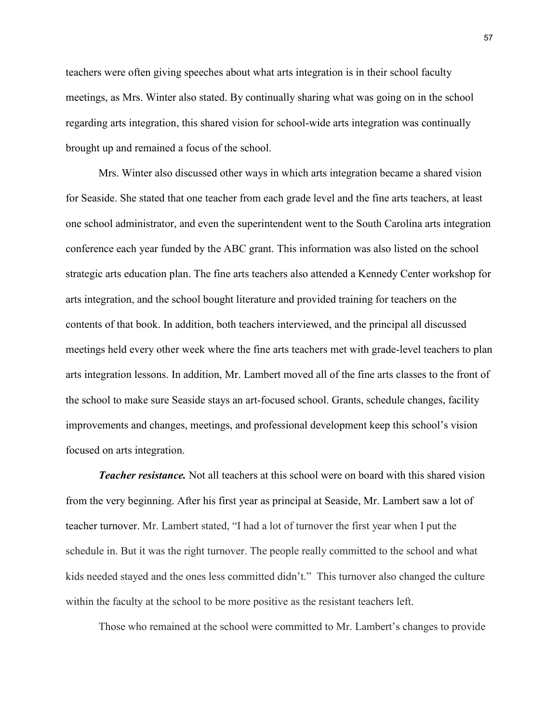teachers were often giving speeches about what arts integration is in their school faculty meetings, as Mrs. Winter also stated. By continually sharing what was going on in the school regarding arts integration, this shared vision for school-wide arts integration was continually brought up and remained a focus of the school.

Mrs. Winter also discussed other ways in which arts integration became a shared vision for Seaside. She stated that one teacher from each grade level and the fine arts teachers, at least one school administrator, and even the superintendent went to the South Carolina arts integration conference each year funded by the ABC grant. This information was also listed on the school strategic arts education plan. The fine arts teachers also attended a Kennedy Center workshop for arts integration, and the school bought literature and provided training for teachers on the contents of that book. In addition, both teachers interviewed, and the principal all discussed meetings held every other week where the fine arts teachers met with grade-level teachers to plan arts integration lessons. In addition, Mr. Lambert moved all of the fine arts classes to the front of the school to make sure Seaside stays an art-focused school. Grants, schedule changes, facility improvements and changes, meetings, and professional development keep this school's vision focused on arts integration.

*Teacher resistance.* Not all teachers at this school were on board with this shared vision from the very beginning. After his first year as principal at Seaside, Mr. Lambert saw a lot of teacher turnover. Mr. Lambert stated, "I had a lot of turnover the first year when I put the schedule in. But it was the right turnover. The people really committed to the school and what kids needed stayed and the ones less committed didn't." This turnover also changed the culture within the faculty at the school to be more positive as the resistant teachers left.

Those who remained at the school were committed to Mr. Lambert's changes to provide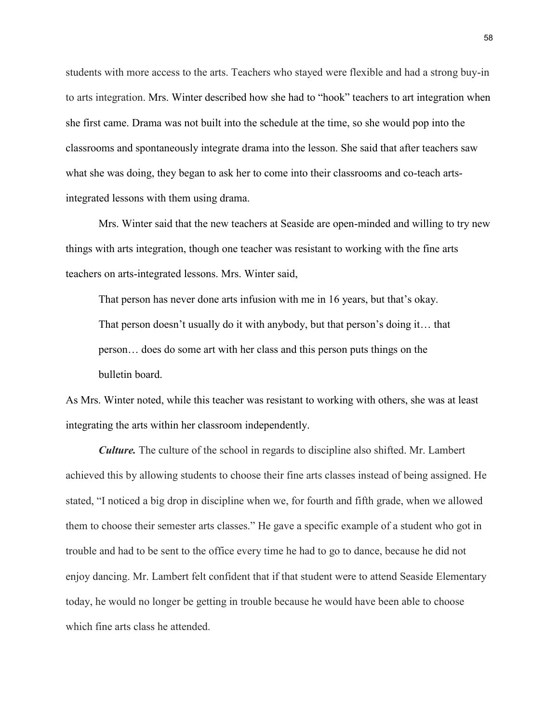students with more access to the arts. Teachers who stayed were flexible and had a strong buy-in to arts integration. Mrs. Winter described how she had to "hook" teachers to art integration when she first came. Drama was not built into the schedule at the time, so she would pop into the classrooms and spontaneously integrate drama into the lesson. She said that after teachers saw what she was doing, they began to ask her to come into their classrooms and co-teach artsintegrated lessons with them using drama.

Mrs. Winter said that the new teachers at Seaside are open-minded and willing to try new things with arts integration, though one teacher was resistant to working with the fine arts teachers on arts-integrated lessons. Mrs. Winter said,

That person has never done arts infusion with me in 16 years, but that's okay. That person doesn't usually do it with anybody, but that person's doing it… that person… does do some art with her class and this person puts things on the bulletin board.

As Mrs. Winter noted, while this teacher was resistant to working with others, she was at least integrating the arts within her classroom independently.

*Culture.* The culture of the school in regards to discipline also shifted. Mr. Lambert achieved this by allowing students to choose their fine arts classes instead of being assigned. He stated, "I noticed a big drop in discipline when we, for fourth and fifth grade, when we allowed them to choose their semester arts classes." He gave a specific example of a student who got in trouble and had to be sent to the office every time he had to go to dance, because he did not enjoy dancing. Mr. Lambert felt confident that if that student were to attend Seaside Elementary today, he would no longer be getting in trouble because he would have been able to choose which fine arts class he attended.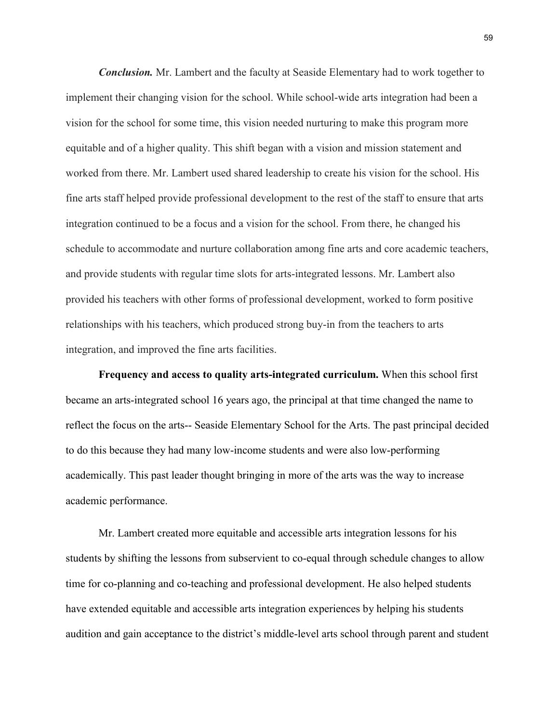*Conclusion.* Mr. Lambert and the faculty at Seaside Elementary had to work together to implement their changing vision for the school. While school-wide arts integration had been a vision for the school for some time, this vision needed nurturing to make this program more equitable and of a higher quality. This shift began with a vision and mission statement and worked from there. Mr. Lambert used shared leadership to create his vision for the school. His fine arts staff helped provide professional development to the rest of the staff to ensure that arts integration continued to be a focus and a vision for the school. From there, he changed his schedule to accommodate and nurture collaboration among fine arts and core academic teachers, and provide students with regular time slots for arts-integrated lessons. Mr. Lambert also provided his teachers with other forms of professional development, worked to form positive relationships with his teachers, which produced strong buy-in from the teachers to arts integration, and improved the fine arts facilities.

**Frequency and access to quality arts-integrated curriculum.** When this school first became an arts-integrated school 16 years ago, the principal at that time changed the name to reflect the focus on the arts-- Seaside Elementary School for the Arts. The past principal decided to do this because they had many low-income students and were also low-performing academically. This past leader thought bringing in more of the arts was the way to increase academic performance.

Mr. Lambert created more equitable and accessible arts integration lessons for his students by shifting the lessons from subservient to co-equal through schedule changes to allow time for co-planning and co-teaching and professional development. He also helped students have extended equitable and accessible arts integration experiences by helping his students audition and gain acceptance to the district's middle-level arts school through parent and student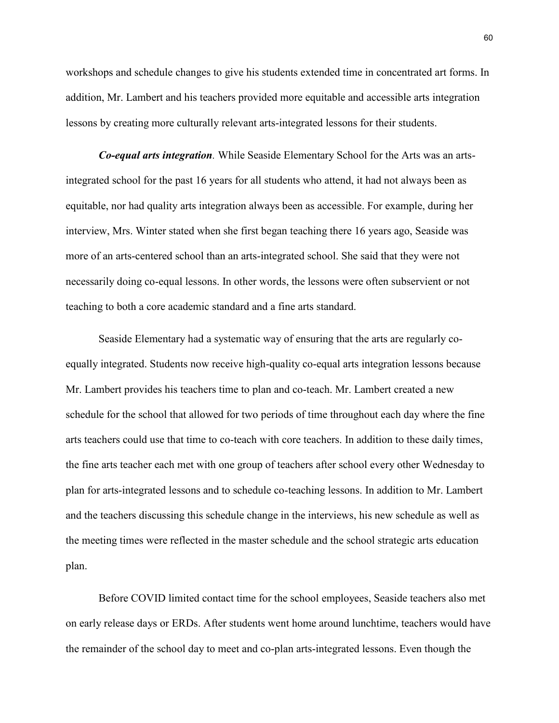workshops and schedule changes to give his students extended time in concentrated art forms. In addition, Mr. Lambert and his teachers provided more equitable and accessible arts integration lessons by creating more culturally relevant arts-integrated lessons for their students.

*Co-equal arts integration.* While Seaside Elementary School for the Arts was an artsintegrated school for the past 16 years for all students who attend, it had not always been as equitable, nor had quality arts integration always been as accessible. For example, during her interview, Mrs. Winter stated when she first began teaching there 16 years ago, Seaside was more of an arts-centered school than an arts-integrated school. She said that they were not necessarily doing co-equal lessons. In other words, the lessons were often subservient or not teaching to both a core academic standard and a fine arts standard.

Seaside Elementary had a systematic way of ensuring that the arts are regularly coequally integrated. Students now receive high-quality co-equal arts integration lessons because Mr. Lambert provides his teachers time to plan and co-teach. Mr. Lambert created a new schedule for the school that allowed for two periods of time throughout each day where the fine arts teachers could use that time to co-teach with core teachers. In addition to these daily times, the fine arts teacher each met with one group of teachers after school every other Wednesday to plan for arts-integrated lessons and to schedule co-teaching lessons. In addition to Mr. Lambert and the teachers discussing this schedule change in the interviews, his new schedule as well as the meeting times were reflected in the master schedule and the school strategic arts education plan.

Before COVID limited contact time for the school employees, Seaside teachers also met on early release days or ERDs. After students went home around lunchtime, teachers would have the remainder of the school day to meet and co-plan arts-integrated lessons. Even though the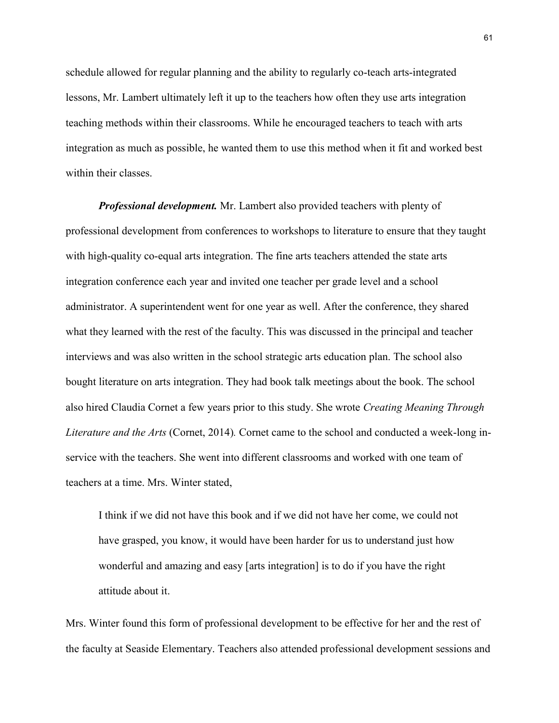schedule allowed for regular planning and the ability to regularly co-teach arts-integrated lessons, Mr. Lambert ultimately left it up to the teachers how often they use arts integration teaching methods within their classrooms. While he encouraged teachers to teach with arts integration as much as possible, he wanted them to use this method when it fit and worked best within their classes.

*Professional development.* Mr. Lambert also provided teachers with plenty of professional development from conferences to workshops to literature to ensure that they taught with high-quality co-equal arts integration. The fine arts teachers attended the state arts integration conference each year and invited one teacher per grade level and a school administrator. A superintendent went for one year as well. After the conference, they shared what they learned with the rest of the faculty. This was discussed in the principal and teacher interviews and was also written in the school strategic arts education plan. The school also bought literature on arts integration. They had book talk meetings about the book. The school also hired Claudia Cornet a few years prior to this study. She wrote *Creating Meaning Through Literature and the Arts* (Cornet, 2014)*.* Cornet came to the school and conducted a week-long inservice with the teachers. She went into different classrooms and worked with one team of teachers at a time. Mrs. Winter stated,

I think if we did not have this book and if we did not have her come, we could not have grasped, you know, it would have been harder for us to understand just how wonderful and amazing and easy [arts integration] is to do if you have the right attitude about it.

Mrs. Winter found this form of professional development to be effective for her and the rest of the faculty at Seaside Elementary. Teachers also attended professional development sessions and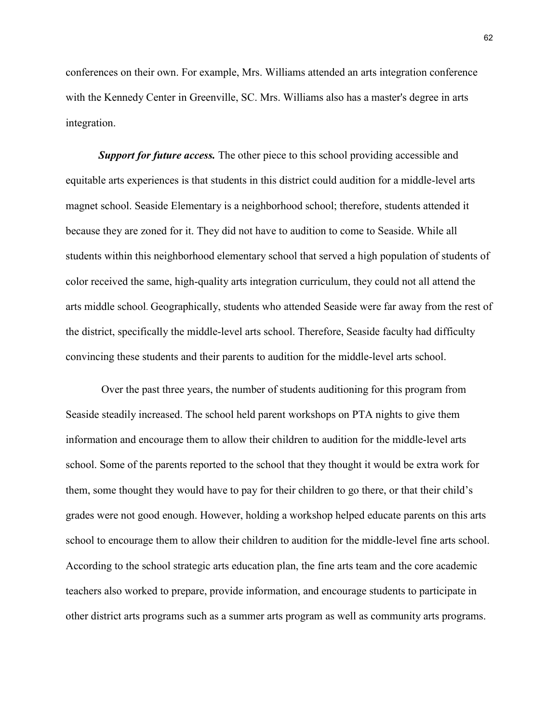conferences on their own. For example, Mrs. Williams attended an arts integration conference with the Kennedy Center in Greenville, SC. Mrs. Williams also has a master's degree in arts integration.

*Support for future access.* The other piece to this school providing accessible and equitable arts experiences is that students in this district could audition for a middle-level arts magnet school. Seaside Elementary is a neighborhood school; therefore, students attended it because they are zoned for it. They did not have to audition to come to Seaside. While all students within this neighborhood elementary school that served a high population of students of color received the same, high-quality arts integration curriculum, they could not all attend the arts middle school. Geographically, students who attended Seaside were far away from the rest of the district, specifically the middle-level arts school. Therefore, Seaside faculty had difficulty convincing these students and their parents to audition for the middle-level arts school.

Over the past three years, the number of students auditioning for this program from Seaside steadily increased. The school held parent workshops on PTA nights to give them information and encourage them to allow their children to audition for the middle-level arts school. Some of the parents reported to the school that they thought it would be extra work for them, some thought they would have to pay for their children to go there, or that their child's grades were not good enough. However, holding a workshop helped educate parents on this arts school to encourage them to allow their children to audition for the middle-level fine arts school. According to the school strategic arts education plan, the fine arts team and the core academic teachers also worked to prepare, provide information, and encourage students to participate in other district arts programs such as a summer arts program as well as community arts programs.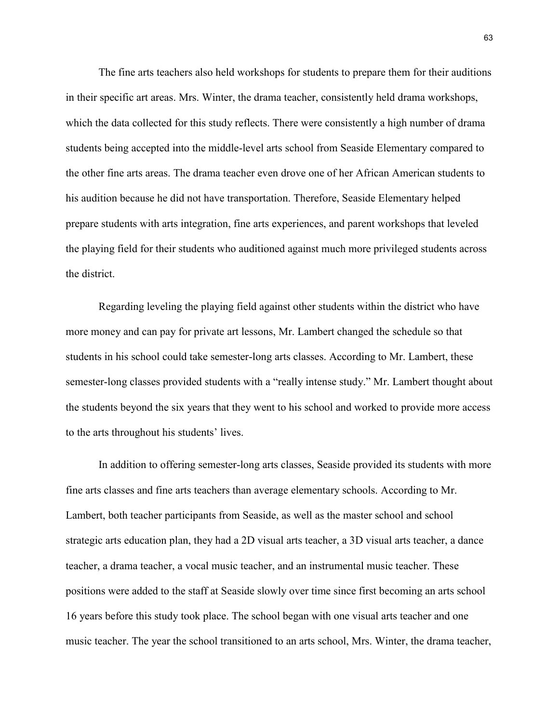The fine arts teachers also held workshops for students to prepare them for their auditions in their specific art areas. Mrs. Winter, the drama teacher, consistently held drama workshops, which the data collected for this study reflects. There were consistently a high number of drama students being accepted into the middle-level arts school from Seaside Elementary compared to the other fine arts areas. The drama teacher even drove one of her African American students to his audition because he did not have transportation. Therefore, Seaside Elementary helped prepare students with arts integration, fine arts experiences, and parent workshops that leveled the playing field for their students who auditioned against much more privileged students across the district.

Regarding leveling the playing field against other students within the district who have more money and can pay for private art lessons, Mr. Lambert changed the schedule so that students in his school could take semester-long arts classes. According to Mr. Lambert, these semester-long classes provided students with a "really intense study." Mr. Lambert thought about the students beyond the six years that they went to his school and worked to provide more access to the arts throughout his students' lives.

In addition to offering semester-long arts classes, Seaside provided its students with more fine arts classes and fine arts teachers than average elementary schools. According to Mr. Lambert, both teacher participants from Seaside, as well as the master school and school strategic arts education plan, they had a 2D visual arts teacher, a 3D visual arts teacher, a dance teacher, a drama teacher, a vocal music teacher, and an instrumental music teacher. These positions were added to the staff at Seaside slowly over time since first becoming an arts school 16 years before this study took place. The school began with one visual arts teacher and one music teacher. The year the school transitioned to an arts school, Mrs. Winter, the drama teacher,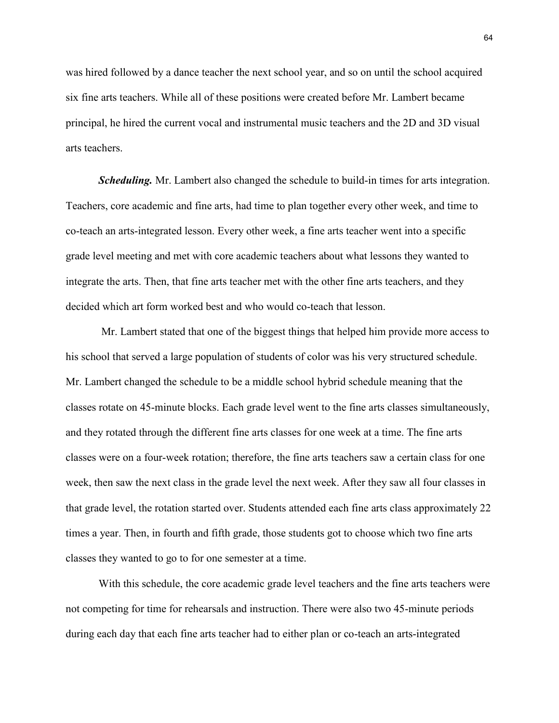was hired followed by a dance teacher the next school year, and so on until the school acquired six fine arts teachers. While all of these positions were created before Mr. Lambert became principal, he hired the current vocal and instrumental music teachers and the 2D and 3D visual arts teachers.

*Scheduling.* Mr. Lambert also changed the schedule to build-in times for arts integration. Teachers, core academic and fine arts, had time to plan together every other week, and time to co-teach an arts-integrated lesson. Every other week, a fine arts teacher went into a specific grade level meeting and met with core academic teachers about what lessons they wanted to integrate the arts. Then, that fine arts teacher met with the other fine arts teachers, and they decided which art form worked best and who would co-teach that lesson.

Mr. Lambert stated that one of the biggest things that helped him provide more access to his school that served a large population of students of color was his very structured schedule. Mr. Lambert changed the schedule to be a middle school hybrid schedule meaning that the classes rotate on 45-minute blocks. Each grade level went to the fine arts classes simultaneously, and they rotated through the different fine arts classes for one week at a time. The fine arts classes were on a four-week rotation; therefore, the fine arts teachers saw a certain class for one week, then saw the next class in the grade level the next week. After they saw all four classes in that grade level, the rotation started over. Students attended each fine arts class approximately 22 times a year. Then, in fourth and fifth grade, those students got to choose which two fine arts classes they wanted to go to for one semester at a time.

With this schedule, the core academic grade level teachers and the fine arts teachers were not competing for time for rehearsals and instruction. There were also two 45-minute periods during each day that each fine arts teacher had to either plan or co-teach an arts-integrated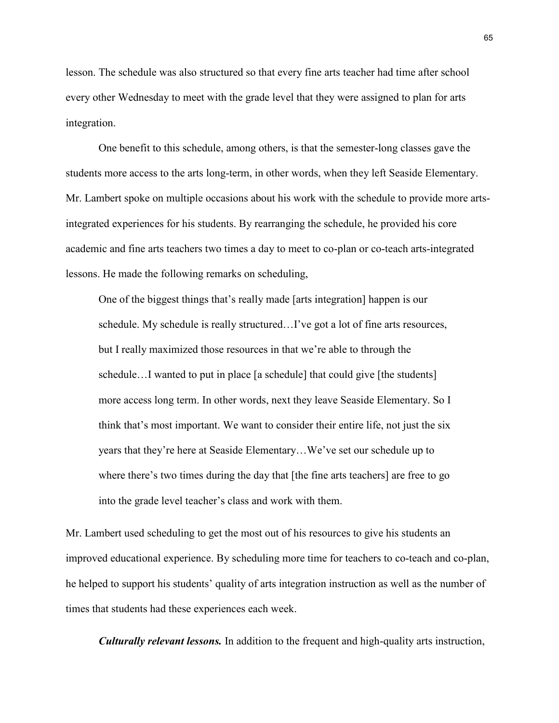lesson. The schedule was also structured so that every fine arts teacher had time after school every other Wednesday to meet with the grade level that they were assigned to plan for arts integration.

One benefit to this schedule, among others, is that the semester-long classes gave the students more access to the arts long-term, in other words, when they left Seaside Elementary. Mr. Lambert spoke on multiple occasions about his work with the schedule to provide more artsintegrated experiences for his students. By rearranging the schedule, he provided his core academic and fine arts teachers two times a day to meet to co-plan or co-teach arts-integrated lessons. He made the following remarks on scheduling,

One of the biggest things that's really made [arts integration] happen is our schedule. My schedule is really structured…I've got a lot of fine arts resources, but I really maximized those resources in that we're able to through the schedule…I wanted to put in place [a schedule] that could give [the students] more access long term. In other words, next they leave Seaside Elementary. So I think that's most important. We want to consider their entire life, not just the six years that they're here at Seaside Elementary…We've set our schedule up to where there's two times during the day that [the fine arts teachers] are free to go into the grade level teacher's class and work with them.

Mr. Lambert used scheduling to get the most out of his resources to give his students an improved educational experience. By scheduling more time for teachers to co-teach and co-plan, he helped to support his students' quality of arts integration instruction as well as the number of times that students had these experiences each week.

*Culturally relevant lessons.* In addition to the frequent and high-quality arts instruction,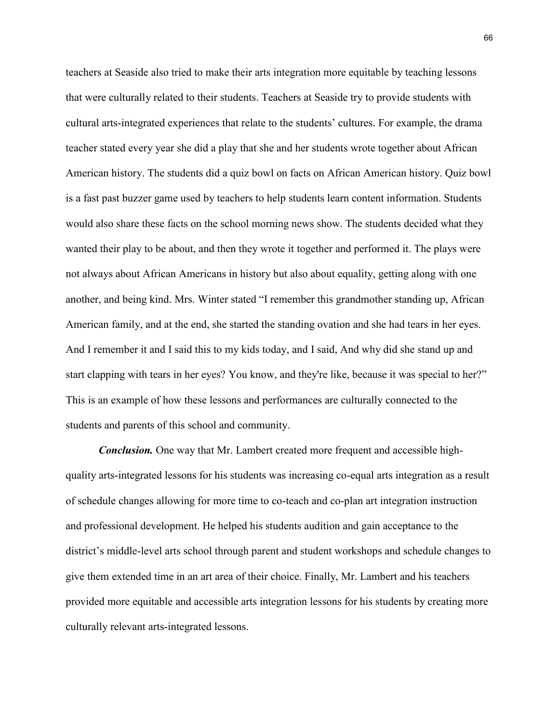teachers at Seaside also tried to make their arts integration more equitable by teaching lessons that were culturally related to their students. Teachers at Seaside try to provide students with cultural arts-integrated experiences that relate to the students' cultures. For example, the drama teacher stated every year she did a play that she and her students wrote together about African American history. The students did a quiz bowl on facts on African American history. Quiz bowl is a fast past buzzer game used by teachers to help students learn content information. Students would also share these facts on the school morning news show. The students decided what they wanted their play to be about, and then they wrote it together and performed it. The plays were not always about African Americans in history but also about equality, getting along with one another, and being kind. Mrs. Winter stated "I remember this grandmother standing up, African American family, and at the end, she started the standing ovation and she had tears in her eyes. And I remember it and I said this to my kids today, and I said, And why did she stand up and start clapping with tears in her eyes? You know, and they're like, because it was special to her?" This is an example of how these lessons and performances are culturally connected to the students and parents of this school and community.

*Conclusion.* One way that Mr. Lambert created more frequent and accessible highquality arts-integrated lessons for his students was increasing co-equal arts integration as a result of schedule changes allowing for more time to co-teach and co-plan art integration instruction and professional development. He helped his students audition and gain acceptance to the district's middle-level arts school through parent and student workshops and schedule changes to give them extended time in an art area of their choice. Finally, Mr. Lambert and his teachers provided more equitable and accessible arts integration lessons for his students by creating more culturally relevant arts-integrated lessons.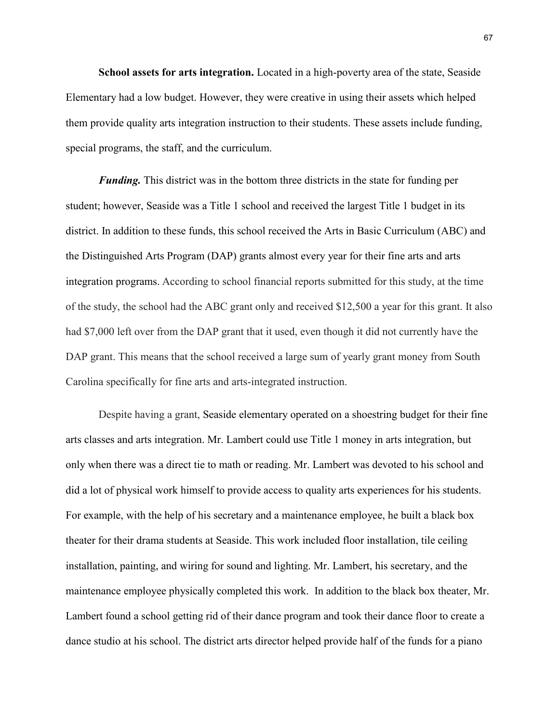**School assets for arts integration.** Located in a high-poverty area of the state, Seaside Elementary had a low budget. However, they were creative in using their assets which helped them provide quality arts integration instruction to their students. These assets include funding, special programs, the staff, and the curriculum.

*Funding*. This district was in the bottom three districts in the state for funding per student; however, Seaside was a Title 1 school and received the largest Title 1 budget in its district. In addition to these funds, this school received the Arts in Basic Curriculum (ABC) and the Distinguished Arts Program (DAP) grants almost every year for their fine arts and arts integration programs. According to school financial reports submitted for this study, at the time of the study, the school had the ABC grant only and received \$12,500 a year for this grant. It also had \$7,000 left over from the DAP grant that it used, even though it did not currently have the DAP grant. This means that the school received a large sum of yearly grant money from South Carolina specifically for fine arts and arts-integrated instruction.

Despite having a grant, Seaside elementary operated on a shoestring budget for their fine arts classes and arts integration. Mr. Lambert could use Title 1 money in arts integration, but only when there was a direct tie to math or reading. Mr. Lambert was devoted to his school and did a lot of physical work himself to provide access to quality arts experiences for his students. For example, with the help of his secretary and a maintenance employee, he built a black box theater for their drama students at Seaside. This work included floor installation, tile ceiling installation, painting, and wiring for sound and lighting. Mr. Lambert, his secretary, and the maintenance employee physically completed this work. In addition to the black box theater, Mr. Lambert found a school getting rid of their dance program and took their dance floor to create a dance studio at his school. The district arts director helped provide half of the funds for a piano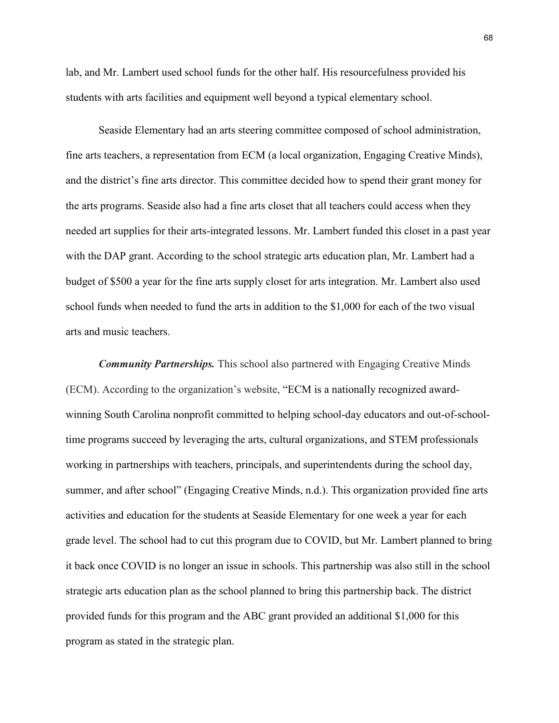lab, and Mr. Lambert used school funds for the other half. His resourcefulness provided his students with arts facilities and equipment well beyond a typical elementary school.

Seaside Elementary had an arts steering committee composed of school administration, fine arts teachers, a representation from ECM (a local organization, Engaging Creative Minds), and the district's fine arts director. This committee decided how to spend their grant money for the arts programs. Seaside also had a fine arts closet that all teachers could access when they needed art supplies for their arts-integrated lessons. Mr. Lambert funded this closet in a past year with the DAP grant. According to the school strategic arts education plan, Mr. Lambert had a budget of \$500 a year for the fine arts supply closet for arts integration. Mr. Lambert also used school funds when needed to fund the arts in addition to the \$1,000 for each of the two visual arts and music teachers.

*Community Partnerships.* This school also partnered with Engaging Creative Minds (ECM). According to the organization's website, "ECM is a nationally recognized awardwinning South Carolina nonprofit committed to helping school-day educators and out-of-schooltime programs succeed by leveraging the arts, cultural organizations, and STEM professionals working in partnerships with teachers, principals, and superintendents during the school day, summer, and after school" (Engaging Creative Minds, n.d.). This organization provided fine arts activities and education for the students at Seaside Elementary for one week a year for each grade level. The school had to cut this program due to COVID, but Mr. Lambert planned to bring it back once COVID is no longer an issue in schools. This partnership was also still in the school strategic arts education plan as the school planned to bring this partnership back. The district provided funds for this program and the ABC grant provided an additional \$1,000 for this program as stated in the strategic plan.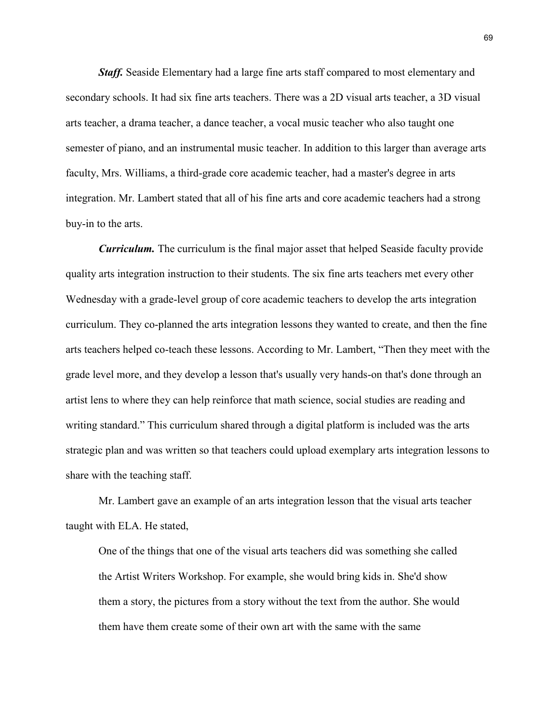*Staff.* Seaside Elementary had a large fine arts staff compared to most elementary and secondary schools. It had six fine arts teachers. There was a 2D visual arts teacher, a 3D visual arts teacher, a drama teacher, a dance teacher, a vocal music teacher who also taught one semester of piano, and an instrumental music teacher. In addition to this larger than average arts faculty, Mrs. Williams, a third-grade core academic teacher, had a master's degree in arts integration. Mr. Lambert stated that all of his fine arts and core academic teachers had a strong buy-in to the arts.

*Curriculum.* The curriculum is the final major asset that helped Seaside faculty provide quality arts integration instruction to their students. The six fine arts teachers met every other Wednesday with a grade-level group of core academic teachers to develop the arts integration curriculum. They co-planned the arts integration lessons they wanted to create, and then the fine arts teachers helped co-teach these lessons. According to Mr. Lambert, "Then they meet with the grade level more, and they develop a lesson that's usually very hands-on that's done through an artist lens to where they can help reinforce that math science, social studies are reading and writing standard." This curriculum shared through a digital platform is included was the arts strategic plan and was written so that teachers could upload exemplary arts integration lessons to share with the teaching staff.

Mr. Lambert gave an example of an arts integration lesson that the visual arts teacher taught with ELA. He stated,

One of the things that one of the visual arts teachers did was something she called the Artist Writers Workshop. For example, she would bring kids in. She'd show them a story, the pictures from a story without the text from the author. She would them have them create some of their own art with the same with the same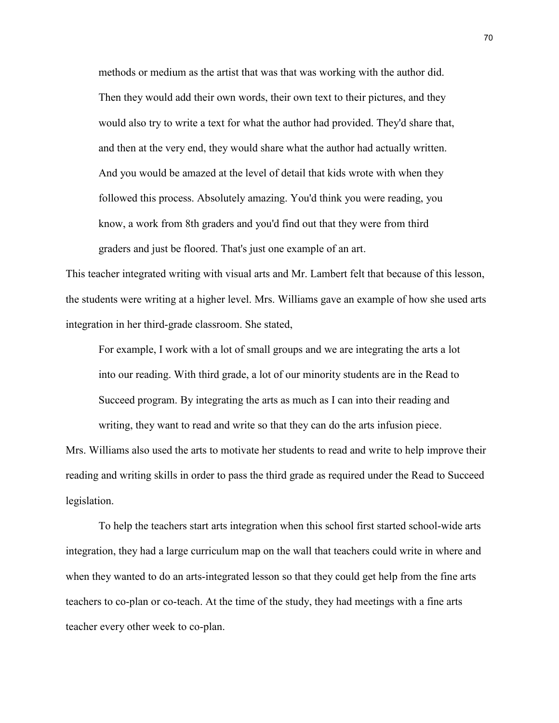methods or medium as the artist that was that was working with the author did. Then they would add their own words, their own text to their pictures, and they would also try to write a text for what the author had provided. They'd share that, and then at the very end, they would share what the author had actually written. And you would be amazed at the level of detail that kids wrote with when they followed this process. Absolutely amazing. You'd think you were reading, you know, a work from 8th graders and you'd find out that they were from third graders and just be floored. That's just one example of an art.

This teacher integrated writing with visual arts and Mr. Lambert felt that because of this lesson, the students were writing at a higher level. Mrs. Williams gave an example of how she used arts integration in her third-grade classroom. She stated,

For example, I work with a lot of small groups and we are integrating the arts a lot into our reading. With third grade, a lot of our minority students are in the Read to Succeed program. By integrating the arts as much as I can into their reading and writing, they want to read and write so that they can do the arts infusion piece.

Mrs. Williams also used the arts to motivate her students to read and write to help improve their reading and writing skills in order to pass the third grade as required under the Read to Succeed legislation.

To help the teachers start arts integration when this school first started school-wide arts integration, they had a large curriculum map on the wall that teachers could write in where and when they wanted to do an arts-integrated lesson so that they could get help from the fine arts teachers to co-plan or co-teach. At the time of the study, they had meetings with a fine arts teacher every other week to co-plan.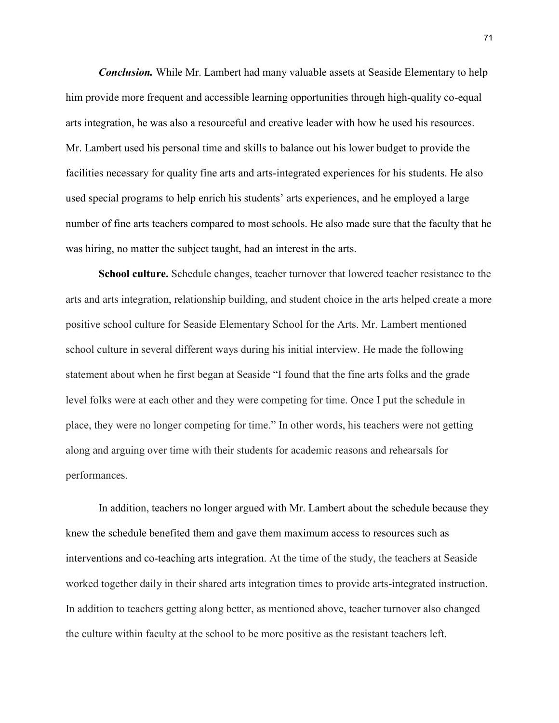*Conclusion.* While Mr. Lambert had many valuable assets at Seaside Elementary to help him provide more frequent and accessible learning opportunities through high-quality co-equal arts integration, he was also a resourceful and creative leader with how he used his resources. Mr. Lambert used his personal time and skills to balance out his lower budget to provide the facilities necessary for quality fine arts and arts-integrated experiences for his students. He also used special programs to help enrich his students' arts experiences, and he employed a large number of fine arts teachers compared to most schools. He also made sure that the faculty that he was hiring, no matter the subject taught, had an interest in the arts.

**School culture.** Schedule changes, teacher turnover that lowered teacher resistance to the arts and arts integration, relationship building, and student choice in the arts helped create a more positive school culture for Seaside Elementary School for the Arts. Mr. Lambert mentioned school culture in several different ways during his initial interview. He made the following statement about when he first began at Seaside "I found that the fine arts folks and the grade level folks were at each other and they were competing for time. Once I put the schedule in place, they were no longer competing for time." In other words, his teachers were not getting along and arguing over time with their students for academic reasons and rehearsals for performances.

In addition, teachers no longer argued with Mr. Lambert about the schedule because they knew the schedule benefited them and gave them maximum access to resources such as interventions and co-teaching arts integration. At the time of the study, the teachers at Seaside worked together daily in their shared arts integration times to provide arts-integrated instruction. In addition to teachers getting along better, as mentioned above, teacher turnover also changed the culture within faculty at the school to be more positive as the resistant teachers left.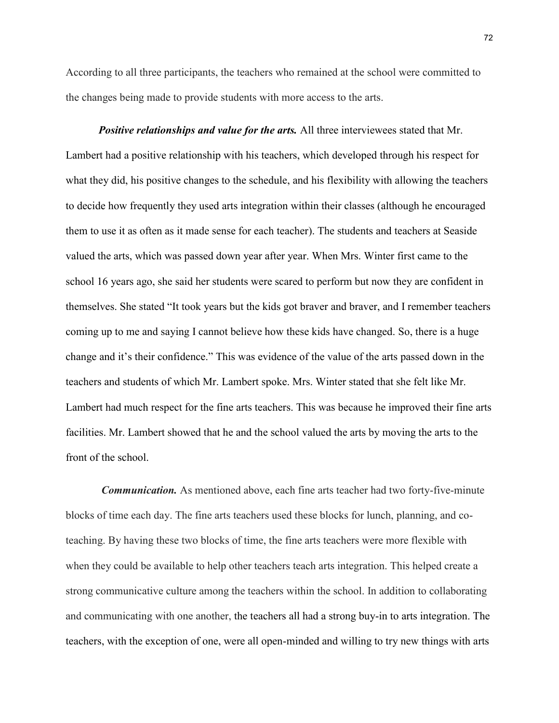According to all three participants, the teachers who remained at the school were committed to the changes being made to provide students with more access to the arts.

*Positive relationships and value for the arts.* All three interviewees stated that Mr. Lambert had a positive relationship with his teachers, which developed through his respect for what they did, his positive changes to the schedule, and his flexibility with allowing the teachers to decide how frequently they used arts integration within their classes (although he encouraged them to use it as often as it made sense for each teacher). The students and teachers at Seaside valued the arts, which was passed down year after year. When Mrs. Winter first came to the school 16 years ago, she said her students were scared to perform but now they are confident in themselves. She stated "It took years but the kids got braver and braver, and I remember teachers coming up to me and saying I cannot believe how these kids have changed. So, there is a huge change and it's their confidence." This was evidence of the value of the arts passed down in the teachers and students of which Mr. Lambert spoke. Mrs. Winter stated that she felt like Mr. Lambert had much respect for the fine arts teachers. This was because he improved their fine arts facilities. Mr. Lambert showed that he and the school valued the arts by moving the arts to the front of the school.

*Communication.* As mentioned above, each fine arts teacher had two forty-five-minute blocks of time each day. The fine arts teachers used these blocks for lunch, planning, and coteaching. By having these two blocks of time, the fine arts teachers were more flexible with when they could be available to help other teachers teach arts integration. This helped create a strong communicative culture among the teachers within the school. In addition to collaborating and communicating with one another, the teachers all had a strong buy-in to arts integration. The teachers, with the exception of one, were all open-minded and willing to try new things with arts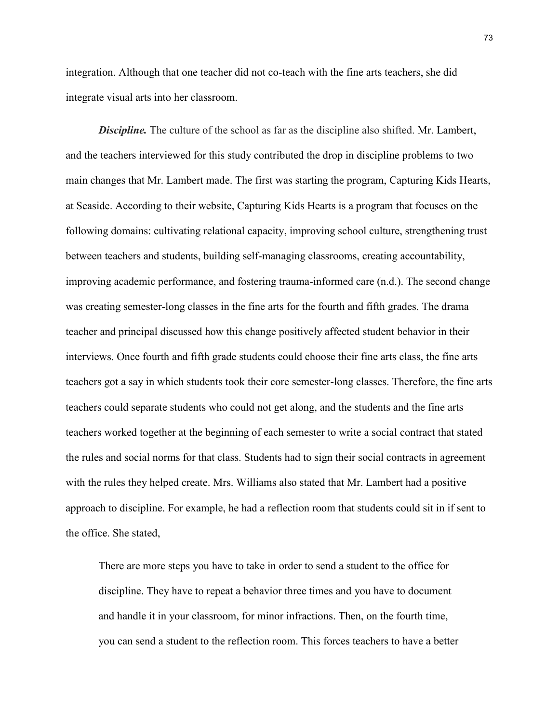integration. Although that one teacher did not co-teach with the fine arts teachers, she did integrate visual arts into her classroom.

**Discipline.** The culture of the school as far as the discipline also shifted. Mr. Lambert, and the teachers interviewed for this study contributed the drop in discipline problems to two main changes that Mr. Lambert made. The first was starting the program, Capturing Kids Hearts, at Seaside. According to their website, Capturing Kids Hearts is a program that focuses on the following domains: cultivating relational capacity, improving school culture, strengthening trust between teachers and students, building self-managing classrooms, creating accountability, improving academic performance, and fostering trauma-informed care (n.d.). The second change was creating semester-long classes in the fine arts for the fourth and fifth grades. The drama teacher and principal discussed how this change positively affected student behavior in their interviews. Once fourth and fifth grade students could choose their fine arts class, the fine arts teachers got a say in which students took their core semester-long classes. Therefore, the fine arts teachers could separate students who could not get along, and the students and the fine arts teachers worked together at the beginning of each semester to write a social contract that stated the rules and social norms for that class. Students had to sign their social contracts in agreement with the rules they helped create. Mrs. Williams also stated that Mr. Lambert had a positive approach to discipline. For example, he had a reflection room that students could sit in if sent to the office. She stated,

There are more steps you have to take in order to send a student to the office for discipline. They have to repeat a behavior three times and you have to document and handle it in your classroom, for minor infractions. Then, on the fourth time, you can send a student to the reflection room. This forces teachers to have a better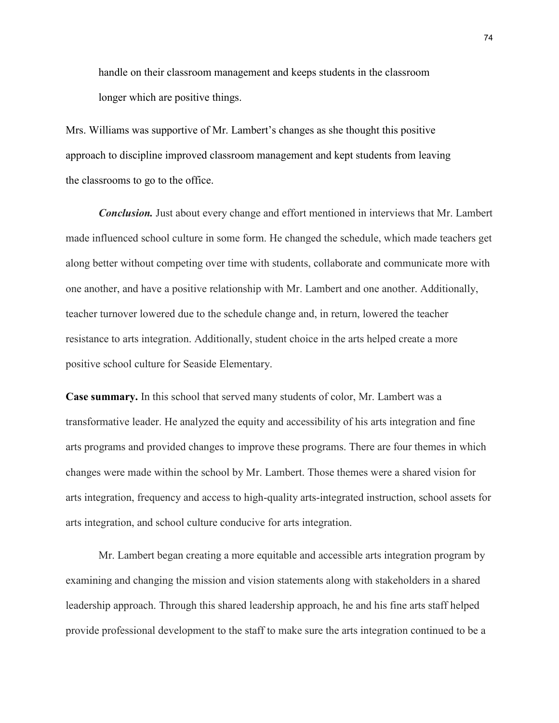handle on their classroom management and keeps students in the classroom longer which are positive things.

Mrs. Williams was supportive of Mr. Lambert's changes as she thought this positive approach to discipline improved classroom management and kept students from leaving the classrooms to go to the office.

*Conclusion.* Just about every change and effort mentioned in interviews that Mr. Lambert made influenced school culture in some form. He changed the schedule, which made teachers get along better without competing over time with students, collaborate and communicate more with one another, and have a positive relationship with Mr. Lambert and one another. Additionally, teacher turnover lowered due to the schedule change and, in return, lowered the teacher resistance to arts integration. Additionally, student choice in the arts helped create a more positive school culture for Seaside Elementary.

**Case summary.** In this school that served many students of color, Mr. Lambert was a transformative leader. He analyzed the equity and accessibility of his arts integration and fine arts programs and provided changes to improve these programs. There are four themes in which changes were made within the school by Mr. Lambert. Those themes were a shared vision for arts integration, frequency and access to high-quality arts-integrated instruction, school assets for arts integration, and school culture conducive for arts integration.

Mr. Lambert began creating a more equitable and accessible arts integration program by examining and changing the mission and vision statements along with stakeholders in a shared leadership approach. Through this shared leadership approach, he and his fine arts staff helped provide professional development to the staff to make sure the arts integration continued to be a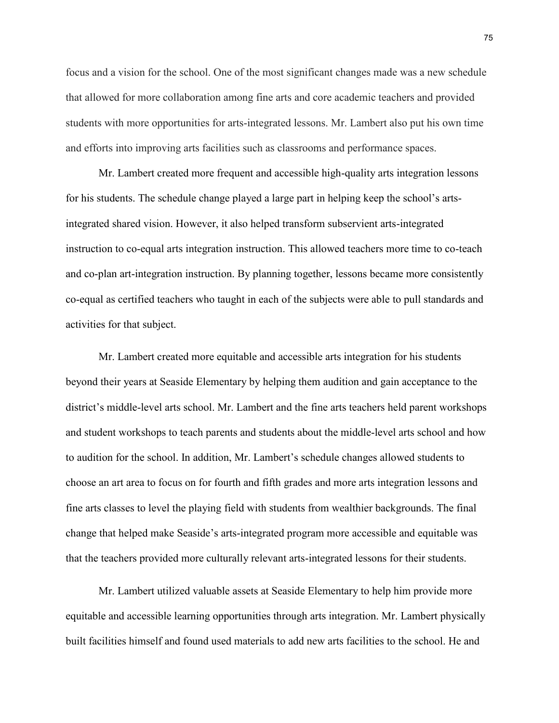focus and a vision for the school. One of the most significant changes made was a new schedule that allowed for more collaboration among fine arts and core academic teachers and provided students with more opportunities for arts-integrated lessons. Mr. Lambert also put his own time and efforts into improving arts facilities such as classrooms and performance spaces.

Mr. Lambert created more frequent and accessible high-quality arts integration lessons for his students. The schedule change played a large part in helping keep the school's artsintegrated shared vision. However, it also helped transform subservient arts-integrated instruction to co-equal arts integration instruction. This allowed teachers more time to co-teach and co-plan art-integration instruction. By planning together, lessons became more consistently co-equal as certified teachers who taught in each of the subjects were able to pull standards and activities for that subject.

Mr. Lambert created more equitable and accessible arts integration for his students beyond their years at Seaside Elementary by helping them audition and gain acceptance to the district's middle-level arts school. Mr. Lambert and the fine arts teachers held parent workshops and student workshops to teach parents and students about the middle-level arts school and how to audition for the school. In addition, Mr. Lambert's schedule changes allowed students to choose an art area to focus on for fourth and fifth grades and more arts integration lessons and fine arts classes to level the playing field with students from wealthier backgrounds. The final change that helped make Seaside's arts-integrated program more accessible and equitable was that the teachers provided more culturally relevant arts-integrated lessons for their students.

Mr. Lambert utilized valuable assets at Seaside Elementary to help him provide more equitable and accessible learning opportunities through arts integration. Mr. Lambert physically built facilities himself and found used materials to add new arts facilities to the school. He and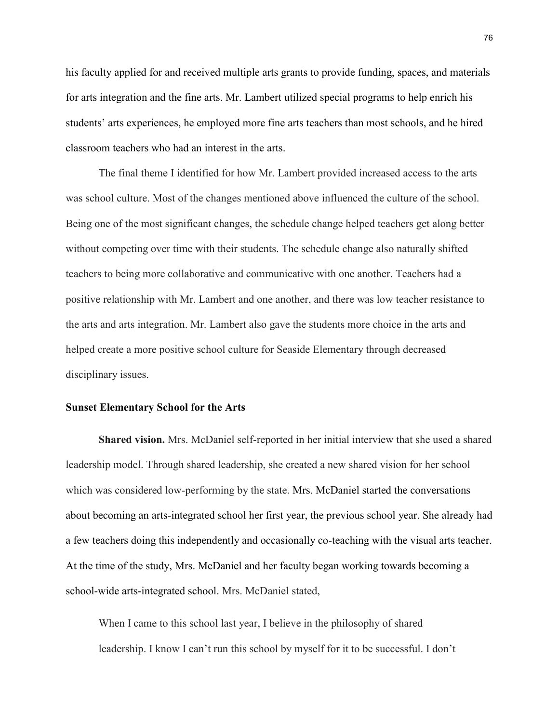his faculty applied for and received multiple arts grants to provide funding, spaces, and materials for arts integration and the fine arts. Mr. Lambert utilized special programs to help enrich his students' arts experiences, he employed more fine arts teachers than most schools, and he hired classroom teachers who had an interest in the arts.

The final theme I identified for how Mr. Lambert provided increased access to the arts was school culture. Most of the changes mentioned above influenced the culture of the school. Being one of the most significant changes, the schedule change helped teachers get along better without competing over time with their students. The schedule change also naturally shifted teachers to being more collaborative and communicative with one another. Teachers had a positive relationship with Mr. Lambert and one another, and there was low teacher resistance to the arts and arts integration. Mr. Lambert also gave the students more choice in the arts and helped create a more positive school culture for Seaside Elementary through decreased disciplinary issues.

## **Sunset Elementary School for the Arts**

**Shared vision.** Mrs. McDaniel self-reported in her initial interview that she used a shared leadership model. Through shared leadership, she created a new shared vision for her school which was considered low-performing by the state. Mrs. McDaniel started the conversations about becoming an arts-integrated school her first year, the previous school year. She already had a few teachers doing this independently and occasionally co-teaching with the visual arts teacher. At the time of the study, Mrs. McDaniel and her faculty began working towards becoming a school-wide arts-integrated school. Mrs. McDaniel stated,

When I came to this school last year, I believe in the philosophy of shared leadership. I know I can't run this school by myself for it to be successful. I don't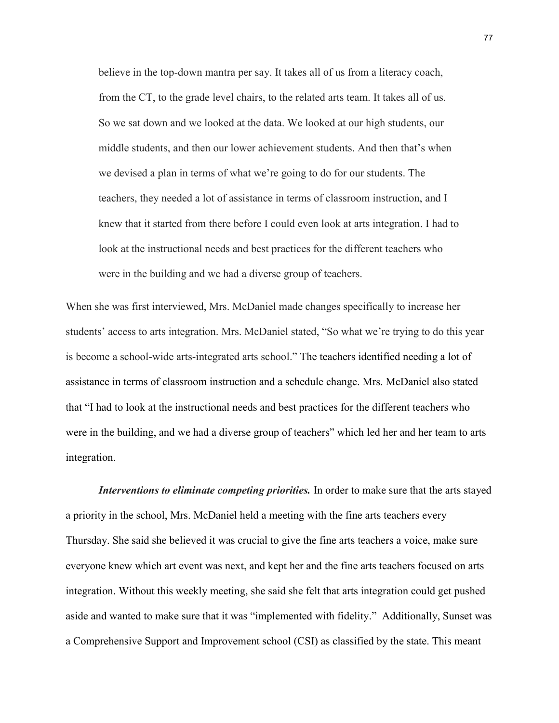believe in the top-down mantra per say. It takes all of us from a literacy coach, from the CT, to the grade level chairs, to the related arts team. It takes all of us. So we sat down and we looked at the data. We looked at our high students, our middle students, and then our lower achievement students. And then that's when we devised a plan in terms of what we're going to do for our students. The teachers, they needed a lot of assistance in terms of classroom instruction, and I knew that it started from there before I could even look at arts integration. I had to look at the instructional needs and best practices for the different teachers who were in the building and we had a diverse group of teachers.

When she was first interviewed, Mrs. McDaniel made changes specifically to increase her students' access to arts integration. Mrs. McDaniel stated, "So what we're trying to do this year is become a school-wide arts-integrated arts school." The teachers identified needing a lot of assistance in terms of classroom instruction and a schedule change. Mrs. McDaniel also stated that "I had to look at the instructional needs and best practices for the different teachers who were in the building, and we had a diverse group of teachers" which led her and her team to arts integration.

*Interventions to eliminate competing priorities.* In order to make sure that the arts stayed a priority in the school, Mrs. McDaniel held a meeting with the fine arts teachers every Thursday. She said she believed it was crucial to give the fine arts teachers a voice, make sure everyone knew which art event was next, and kept her and the fine arts teachers focused on arts integration. Without this weekly meeting, she said she felt that arts integration could get pushed aside and wanted to make sure that it was "implemented with fidelity." Additionally, Sunset was a Comprehensive Support and Improvement school (CSI) as classified by the state. This meant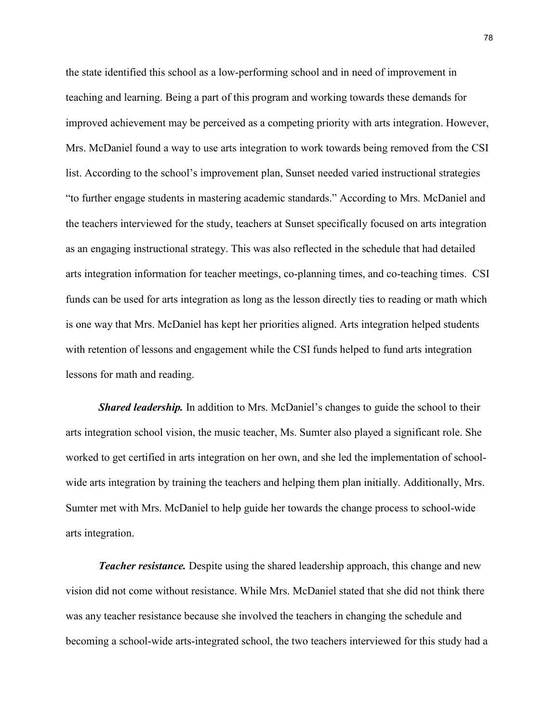the state identified this school as a low-performing school and in need of improvement in teaching and learning. Being a part of this program and working towards these demands for improved achievement may be perceived as a competing priority with arts integration. However, Mrs. McDaniel found a way to use arts integration to work towards being removed from the CSI list. According to the school's improvement plan, Sunset needed varied instructional strategies "to further engage students in mastering academic standards." According to Mrs. McDaniel and the teachers interviewed for the study, teachers at Sunset specifically focused on arts integration as an engaging instructional strategy. This was also reflected in the schedule that had detailed arts integration information for teacher meetings, co-planning times, and co-teaching times. CSI funds can be used for arts integration as long as the lesson directly ties to reading or math which is one way that Mrs. McDaniel has kept her priorities aligned. Arts integration helped students with retention of lessons and engagement while the CSI funds helped to fund arts integration lessons for math and reading.

*Shared leadership.* In addition to Mrs. McDaniel's changes to guide the school to their arts integration school vision, the music teacher, Ms. Sumter also played a significant role. She worked to get certified in arts integration on her own, and she led the implementation of schoolwide arts integration by training the teachers and helping them plan initially. Additionally, Mrs. Sumter met with Mrs. McDaniel to help guide her towards the change process to school-wide arts integration.

*Teacher resistance.* Despite using the shared leadership approach, this change and new vision did not come without resistance. While Mrs. McDaniel stated that she did not think there was any teacher resistance because she involved the teachers in changing the schedule and becoming a school-wide arts-integrated school, the two teachers interviewed for this study had a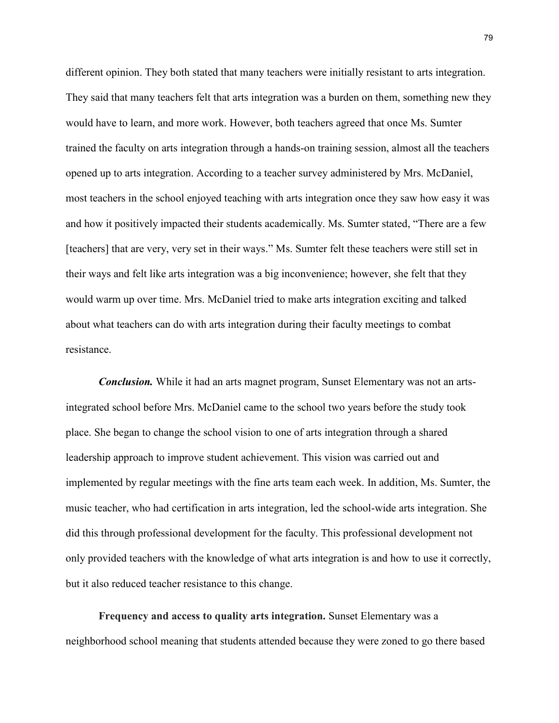different opinion. They both stated that many teachers were initially resistant to arts integration. They said that many teachers felt that arts integration was a burden on them, something new they would have to learn, and more work. However, both teachers agreed that once Ms. Sumter trained the faculty on arts integration through a hands-on training session, almost all the teachers opened up to arts integration. According to a teacher survey administered by Mrs. McDaniel, most teachers in the school enjoyed teaching with arts integration once they saw how easy it was and how it positively impacted their students academically. Ms. Sumter stated, "There are a few [teachers] that are very, very set in their ways." Ms. Sumter felt these teachers were still set in their ways and felt like arts integration was a big inconvenience; however, she felt that they would warm up over time. Mrs. McDaniel tried to make arts integration exciting and talked about what teachers can do with arts integration during their faculty meetings to combat resistance.

*Conclusion.* While it had an arts magnet program, Sunset Elementary was not an artsintegrated school before Mrs. McDaniel came to the school two years before the study took place. She began to change the school vision to one of arts integration through a shared leadership approach to improve student achievement. This vision was carried out and implemented by regular meetings with the fine arts team each week. In addition, Ms. Sumter, the music teacher, who had certification in arts integration, led the school-wide arts integration. She did this through professional development for the faculty. This professional development not only provided teachers with the knowledge of what arts integration is and how to use it correctly, but it also reduced teacher resistance to this change.

**Frequency and access to quality arts integration.** Sunset Elementary was a neighborhood school meaning that students attended because they were zoned to go there based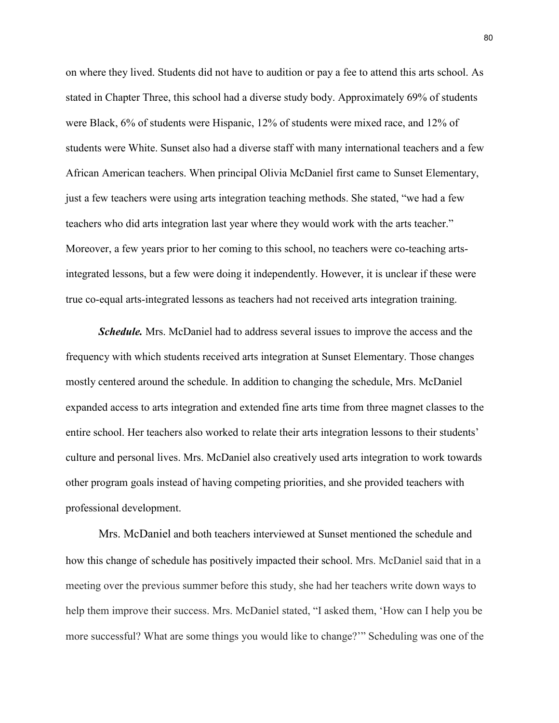on where they lived. Students did not have to audition or pay a fee to attend this arts school. As stated in Chapter Three, this school had a diverse study body. Approximately 69% of students were Black, 6% of students were Hispanic, 12% of students were mixed race, and 12% of students were White. Sunset also had a diverse staff with many international teachers and a few African American teachers. When principal Olivia McDaniel first came to Sunset Elementary, just a few teachers were using arts integration teaching methods. She stated, "we had a few teachers who did arts integration last year where they would work with the arts teacher." Moreover, a few years prior to her coming to this school, no teachers were co-teaching artsintegrated lessons, but a few were doing it independently. However, it is unclear if these were true co-equal arts-integrated lessons as teachers had not received arts integration training.

*Schedule.* Mrs. McDaniel had to address several issues to improve the access and the frequency with which students received arts integration at Sunset Elementary. Those changes mostly centered around the schedule. In addition to changing the schedule, Mrs. McDaniel expanded access to arts integration and extended fine arts time from three magnet classes to the entire school. Her teachers also worked to relate their arts integration lessons to their students' culture and personal lives. Mrs. McDaniel also creatively used arts integration to work towards other program goals instead of having competing priorities, and she provided teachers with professional development.

Mrs. McDaniel and both teachers interviewed at Sunset mentioned the schedule and how this change of schedule has positively impacted their school. Mrs. McDaniel said that in a meeting over the previous summer before this study, she had her teachers write down ways to help them improve their success. Mrs. McDaniel stated, "I asked them, 'How can I help you be more successful? What are some things you would like to change?'" Scheduling was one of the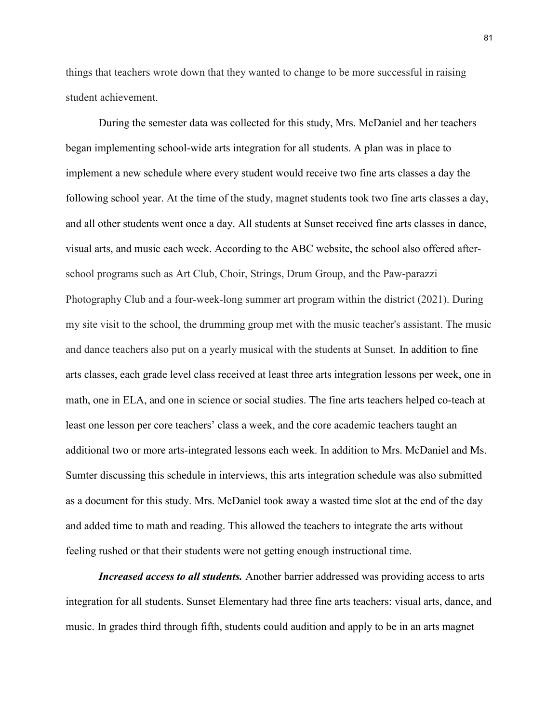things that teachers wrote down that they wanted to change to be more successful in raising student achievement.

During the semester data was collected for this study, Mrs. McDaniel and her teachers began implementing school-wide arts integration for all students. A plan was in place to implement a new schedule where every student would receive two fine arts classes a day the following school year. At the time of the study, magnet students took two fine arts classes a day, and all other students went once a day. All students at Sunset received fine arts classes in dance, visual arts, and music each week. According to the ABC website, the school also offered afterschool programs such as Art Club, Choir, Strings, Drum Group, and the Paw-parazzi Photography Club and a four-week-long summer art program within the district (2021). During my site visit to the school, the drumming group met with the music teacher's assistant. The music and dance teachers also put on a yearly musical with the students at Sunset. In addition to fine arts classes, each grade level class received at least three arts integration lessons per week, one in math, one in ELA, and one in science or social studies. The fine arts teachers helped co-teach at least one lesson per core teachers' class a week, and the core academic teachers taught an additional two or more arts-integrated lessons each week. In addition to Mrs. McDaniel and Ms. Sumter discussing this schedule in interviews, this arts integration schedule was also submitted as a document for this study. Mrs. McDaniel took away a wasted time slot at the end of the day and added time to math and reading. This allowed the teachers to integrate the arts without feeling rushed or that their students were not getting enough instructional time.

*Increased access to all students.* Another barrier addressed was providing access to arts integration for all students. Sunset Elementary had three fine arts teachers: visual arts, dance, and music. In grades third through fifth, students could audition and apply to be in an arts magnet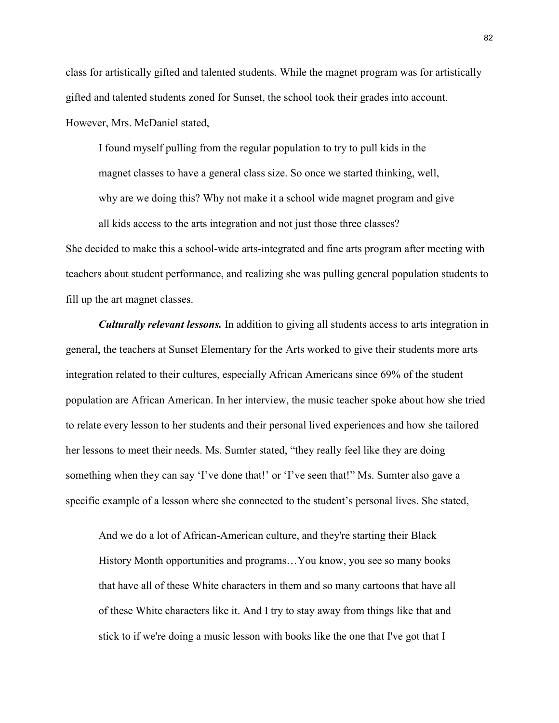class for artistically gifted and talented students. While the magnet program was for artistically gifted and talented students zoned for Sunset, the school took their grades into account. However, Mrs. McDaniel stated,

I found myself pulling from the regular population to try to pull kids in the magnet classes to have a general class size. So once we started thinking, well, why are we doing this? Why not make it a school wide magnet program and give all kids access to the arts integration and not just those three classes?

She decided to make this a school-wide arts-integrated and fine arts program after meeting with teachers about student performance, and realizing she was pulling general population students to fill up the art magnet classes.

*Culturally relevant lessons.* In addition to giving all students access to arts integration in general, the teachers at Sunset Elementary for the Arts worked to give their students more arts integration related to their cultures, especially African Americans since 69% of the student population are African American. In her interview, the music teacher spoke about how she tried to relate every lesson to her students and their personal lived experiences and how she tailored her lessons to meet their needs. Ms. Sumter stated, "they really feel like they are doing something when they can say 'I've done that!' or 'I've seen that!'' Ms. Sumter also gave a specific example of a lesson where she connected to the student's personal lives. She stated,

And we do a lot of African-American culture, and they're starting their Black History Month opportunities and programs…You know, you see so many books that have all of these White characters in them and so many cartoons that have all of these White characters like it. And I try to stay away from things like that and stick to if we're doing a music lesson with books like the one that I've got that I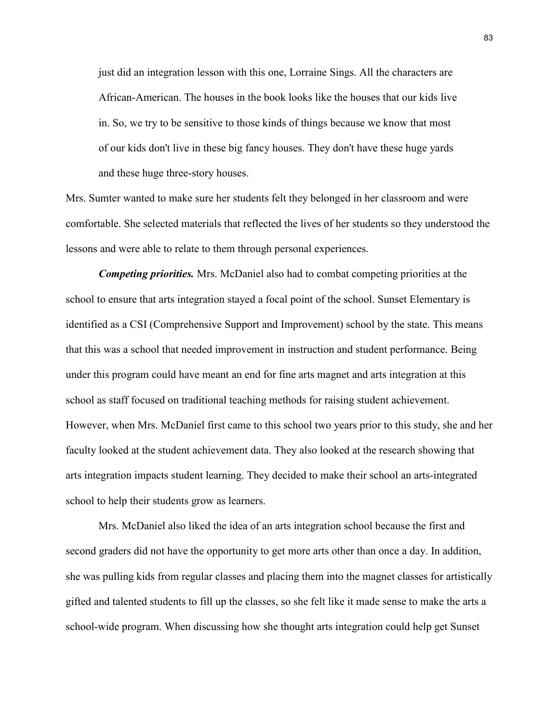just did an integration lesson with this one, Lorraine Sings. All the characters are African-American. The houses in the book looks like the houses that our kids live in. So, we try to be sensitive to those kinds of things because we know that most of our kids don't live in these big fancy houses. They don't have these huge yards and these huge three-story houses.

Mrs. Sumter wanted to make sure her students felt they belonged in her classroom and were comfortable. She selected materials that reflected the lives of her students so they understood the lessons and were able to relate to them through personal experiences.

*Competing priorities.* Mrs. McDaniel also had to combat competing priorities at the school to ensure that arts integration stayed a focal point of the school. Sunset Elementary is identified as a CSI (Comprehensive Support and Improvement) school by the state. This means that this was a school that needed improvement in instruction and student performance. Being under this program could have meant an end for fine arts magnet and arts integration at this school as staff focused on traditional teaching methods for raising student achievement. However, when Mrs. McDaniel first came to this school two years prior to this study, she and her faculty looked at the student achievement data. They also looked at the research showing that arts integration impacts student learning. They decided to make their school an arts-integrated school to help their students grow as learners.

Mrs. McDaniel also liked the idea of an arts integration school because the first and second graders did not have the opportunity to get more arts other than once a day. In addition, she was pulling kids from regular classes and placing them into the magnet classes for artistically gifted and talented students to fill up the classes, so she felt like it made sense to make the arts a school-wide program. When discussing how she thought arts integration could help get Sunset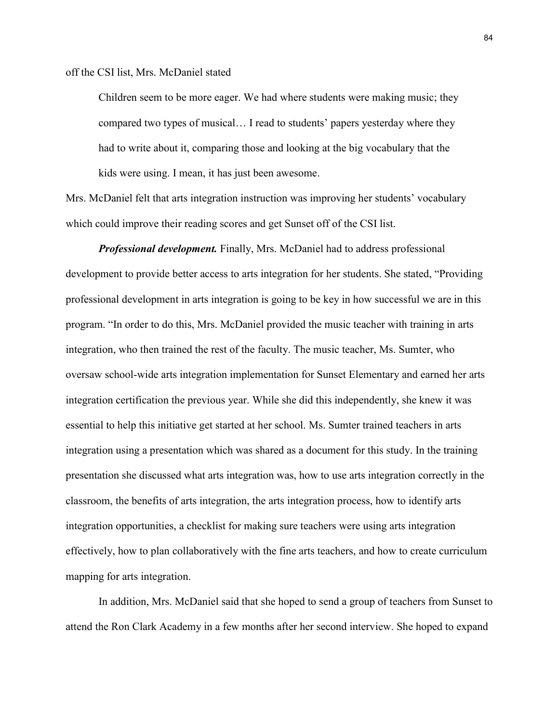off the CSI list, Mrs. McDaniel stated

Children seem to be more eager. We had where students were making music; they compared two types of musical… I read to students' papers yesterday where they had to write about it, comparing those and looking at the big vocabulary that the kids were using. I mean, it has just been awesome.

Mrs. McDaniel felt that arts integration instruction was improving her students' vocabulary which could improve their reading scores and get Sunset off of the CSI list.

*Professional development.* Finally, Mrs. McDaniel had to address professional development to provide better access to arts integration for her students. She stated, "Providing professional development in arts integration is going to be key in how successful we are in this program. "In order to do this, Mrs. McDaniel provided the music teacher with training in arts integration, who then trained the rest of the faculty. The music teacher, Ms. Sumter, who oversaw school-wide arts integration implementation for Sunset Elementary and earned her arts integration certification the previous year. While she did this independently, she knew it was essential to help this initiative get started at her school. Ms. Sumter trained teachers in arts integration using a presentation which was shared as a document for this study. In the training presentation she discussed what arts integration was, how to use arts integration correctly in the classroom, the benefits of arts integration, the arts integration process, how to identify arts integration opportunities, a checklist for making sure teachers were using arts integration effectively, how to plan collaboratively with the fine arts teachers, and how to create curriculum mapping for arts integration.

In addition, Mrs. McDaniel said that she hoped to send a group of teachers from Sunset to attend the Ron Clark Academy in a few months after her second interview. She hoped to expand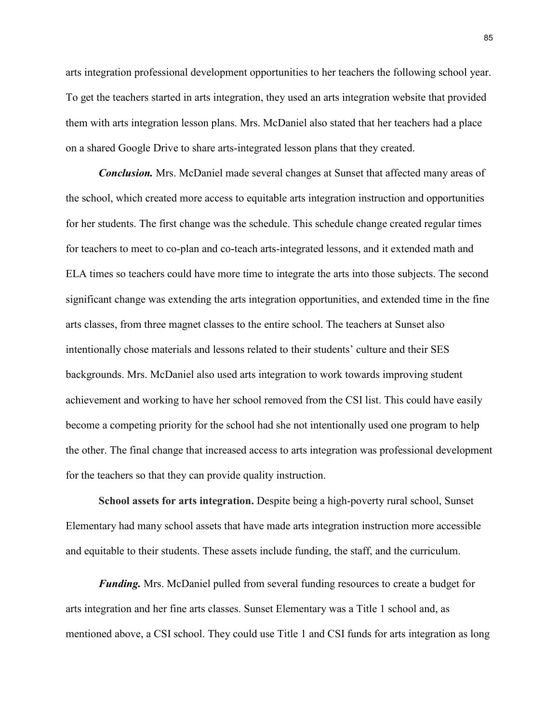arts integration professional development opportunities to her teachers the following school year. To get the teachers started in arts integration, they used an arts integration website that provided them with arts integration lesson plans. Mrs. McDaniel also stated that her teachers had a place on a shared Google Drive to share arts-integrated lesson plans that they created.

*Conclusion.* Mrs. McDaniel made several changes at Sunset that affected many areas of the school, which created more access to equitable arts integration instruction and opportunities for her students. The first change was the schedule. This schedule change created regular times for teachers to meet to co-plan and co-teach arts-integrated lessons, and it extended math and ELA times so teachers could have more time to integrate the arts into those subjects. The second significant change was extending the arts integration opportunities, and extended time in the fine arts classes, from three magnet classes to the entire school. The teachers at Sunset also intentionally chose materials and lessons related to their students' culture and their SES backgrounds. Mrs. McDaniel also used arts integration to work towards improving student achievement and working to have her school removed from the CSI list. This could have easily become a competing priority for the school had she not intentionally used one program to help the other. The final change that increased access to arts integration was professional development for the teachers so that they can provide quality instruction.

**School assets for arts integration.** Despite being a high-poverty rural school, Sunset Elementary had many school assets that have made arts integration instruction more accessible and equitable to their students. These assets include funding, the staff, and the curriculum.

*Funding.* Mrs. McDaniel pulled from several funding resources to create a budget for arts integration and her fine arts classes. Sunset Elementary was a Title 1 school and, as mentioned above, a CSI school. They could use Title 1 and CSI funds for arts integration as long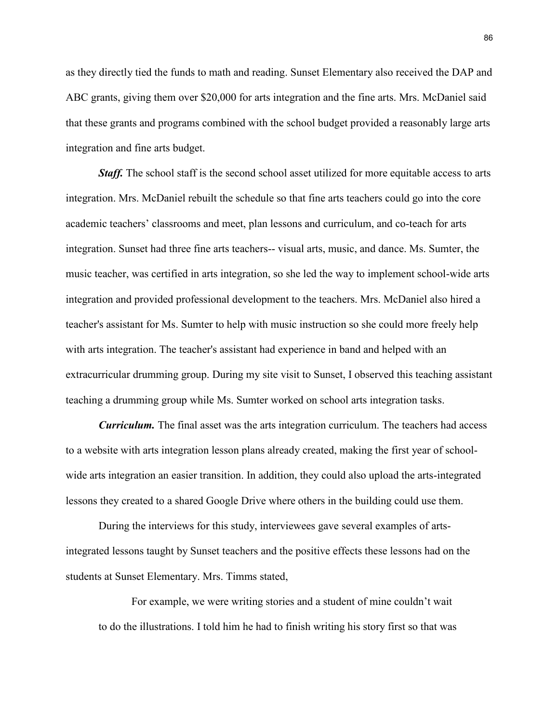as they directly tied the funds to math and reading. Sunset Elementary also received the DAP and ABC grants, giving them over \$20,000 for arts integration and the fine arts. Mrs. McDaniel said that these grants and programs combined with the school budget provided a reasonably large arts integration and fine arts budget.

*Staff.* The school staff is the second school asset utilized for more equitable access to arts integration. Mrs. McDaniel rebuilt the schedule so that fine arts teachers could go into the core academic teachers' classrooms and meet, plan lessons and curriculum, and co-teach for arts integration. Sunset had three fine arts teachers-- visual arts, music, and dance. Ms. Sumter, the music teacher, was certified in arts integration, so she led the way to implement school-wide arts integration and provided professional development to the teachers. Mrs. McDaniel also hired a teacher's assistant for Ms. Sumter to help with music instruction so she could more freely help with arts integration. The teacher's assistant had experience in band and helped with an extracurricular drumming group. During my site visit to Sunset, I observed this teaching assistant teaching a drumming group while Ms. Sumter worked on school arts integration tasks.

*Curriculum.* The final asset was the arts integration curriculum. The teachers had access to a website with arts integration lesson plans already created, making the first year of schoolwide arts integration an easier transition. In addition, they could also upload the arts-integrated lessons they created to a shared Google Drive where others in the building could use them.

During the interviews for this study, interviewees gave several examples of artsintegrated lessons taught by Sunset teachers and the positive effects these lessons had on the students at Sunset Elementary. Mrs. Timms stated,

For example, we were writing stories and a student of mine couldn't wait to do the illustrations. I told him he had to finish writing his story first so that was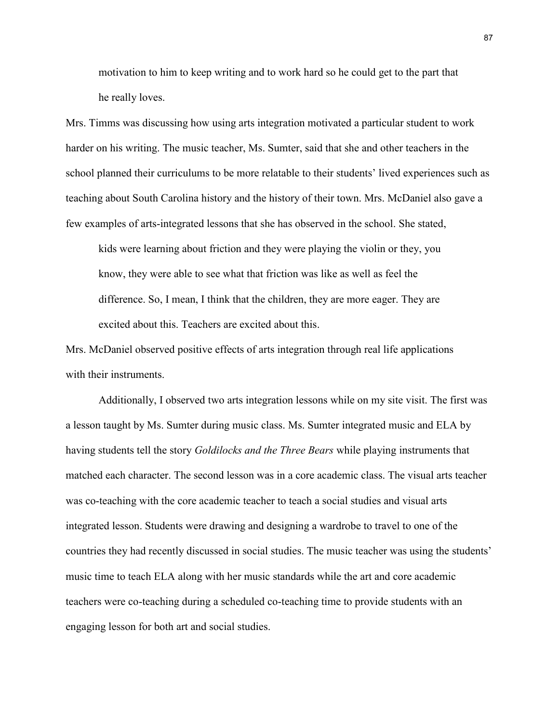motivation to him to keep writing and to work hard so he could get to the part that he really loves.

Mrs. Timms was discussing how using arts integration motivated a particular student to work harder on his writing. The music teacher, Ms. Sumter, said that she and other teachers in the school planned their curriculums to be more relatable to their students' lived experiences such as teaching about South Carolina history and the history of their town. Mrs. McDaniel also gave a few examples of arts-integrated lessons that she has observed in the school. She stated,

kids were learning about friction and they were playing the violin or they, you know, they were able to see what that friction was like as well as feel the difference. So, I mean, I think that the children, they are more eager. They are excited about this. Teachers are excited about this.

Mrs. McDaniel observed positive effects of arts integration through real life applications with their instruments.

Additionally, I observed two arts integration lessons while on my site visit. The first was a lesson taught by Ms. Sumter during music class. Ms. Sumter integrated music and ELA by having students tell the story *Goldilocks and the Three Bears* while playing instruments that matched each character. The second lesson was in a core academic class. The visual arts teacher was co-teaching with the core academic teacher to teach a social studies and visual arts integrated lesson. Students were drawing and designing a wardrobe to travel to one of the countries they had recently discussed in social studies. The music teacher was using the students' music time to teach ELA along with her music standards while the art and core academic teachers were co-teaching during a scheduled co-teaching time to provide students with an engaging lesson for both art and social studies.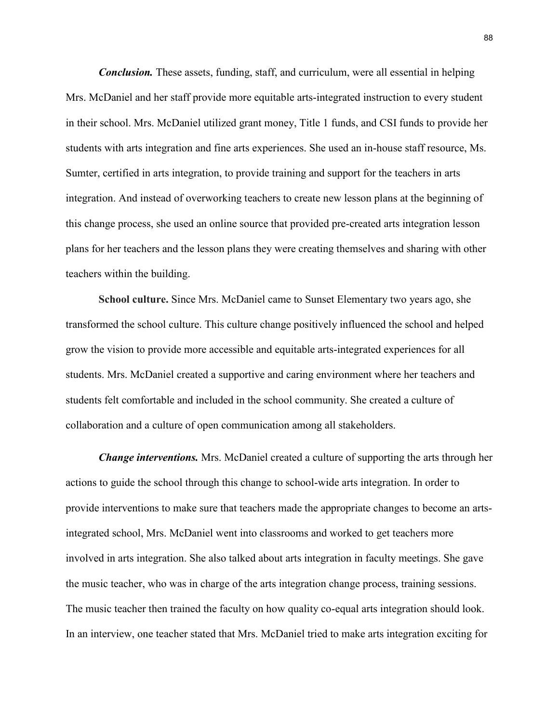*Conclusion.* These assets, funding, staff, and curriculum, were all essential in helping Mrs. McDaniel and her staff provide more equitable arts-integrated instruction to every student in their school. Mrs. McDaniel utilized grant money, Title 1 funds, and CSI funds to provide her students with arts integration and fine arts experiences. She used an in-house staff resource, Ms. Sumter, certified in arts integration, to provide training and support for the teachers in arts integration. And instead of overworking teachers to create new lesson plans at the beginning of this change process, she used an online source that provided pre-created arts integration lesson plans for her teachers and the lesson plans they were creating themselves and sharing with other teachers within the building.

**School culture.** Since Mrs. McDaniel came to Sunset Elementary two years ago, she transformed the school culture. This culture change positively influenced the school and helped grow the vision to provide more accessible and equitable arts-integrated experiences for all students. Mrs. McDaniel created a supportive and caring environment where her teachers and students felt comfortable and included in the school community. She created a culture of collaboration and a culture of open communication among all stakeholders.

*Change interventions.* Mrs. McDaniel created a culture of supporting the arts through her actions to guide the school through this change to school-wide arts integration. In order to provide interventions to make sure that teachers made the appropriate changes to become an artsintegrated school, Mrs. McDaniel went into classrooms and worked to get teachers more involved in arts integration. She also talked about arts integration in faculty meetings. She gave the music teacher, who was in charge of the arts integration change process, training sessions. The music teacher then trained the faculty on how quality co-equal arts integration should look. In an interview, one teacher stated that Mrs. McDaniel tried to make arts integration exciting for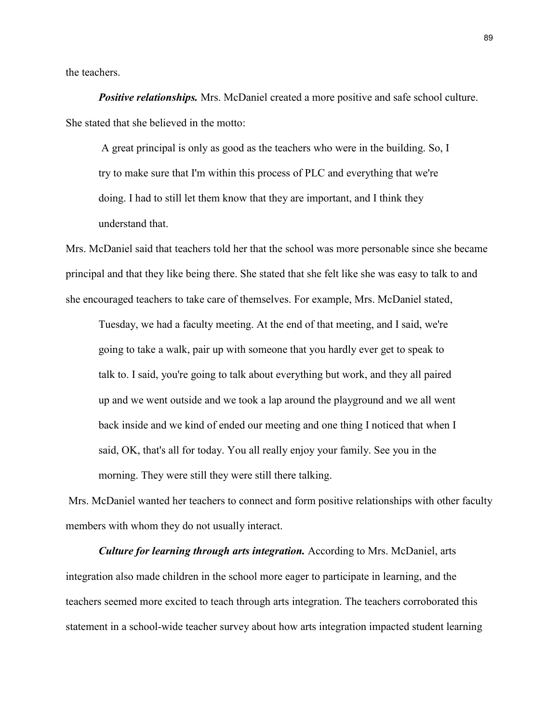the teachers.

*Positive relationships.* Mrs. McDaniel created a more positive and safe school culture. She stated that she believed in the motto:

A great principal is only as good as the teachers who were in the building. So, I try to make sure that I'm within this process of PLC and everything that we're doing. I had to still let them know that they are important, and I think they understand that.

Mrs. McDaniel said that teachers told her that the school was more personable since she became principal and that they like being there. She stated that she felt like she was easy to talk to and she encouraged teachers to take care of themselves. For example, Mrs. McDaniel stated,

Tuesday, we had a faculty meeting. At the end of that meeting, and I said, we're going to take a walk, pair up with someone that you hardly ever get to speak to talk to. I said, you're going to talk about everything but work, and they all paired up and we went outside and we took a lap around the playground and we all went back inside and we kind of ended our meeting and one thing I noticed that when I said, OK, that's all for today. You all really enjoy your family. See you in the morning. They were still they were still there talking.

Mrs. McDaniel wanted her teachers to connect and form positive relationships with other faculty members with whom they do not usually interact.

*Culture for learning through arts integration.* According to Mrs. McDaniel, arts integration also made children in the school more eager to participate in learning, and the teachers seemed more excited to teach through arts integration. The teachers corroborated this statement in a school-wide teacher survey about how arts integration impacted student learning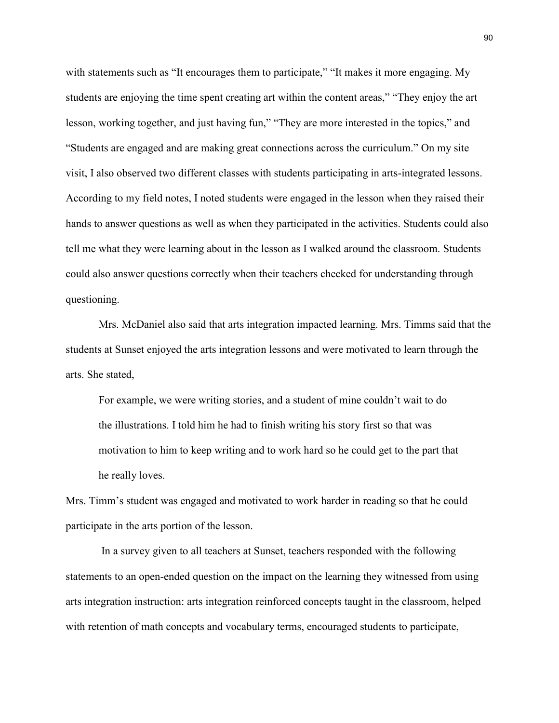with statements such as "It encourages them to participate," "It makes it more engaging. My students are enjoying the time spent creating art within the content areas," "They enjoy the art lesson, working together, and just having fun," "They are more interested in the topics," and "Students are engaged and are making great connections across the curriculum." On my site visit, I also observed two different classes with students participating in arts-integrated lessons. According to my field notes, I noted students were engaged in the lesson when they raised their hands to answer questions as well as when they participated in the activities. Students could also tell me what they were learning about in the lesson as I walked around the classroom. Students could also answer questions correctly when their teachers checked for understanding through questioning.

Mrs. McDaniel also said that arts integration impacted learning. Mrs. Timms said that the students at Sunset enjoyed the arts integration lessons and were motivated to learn through the arts. She stated,

For example, we were writing stories, and a student of mine couldn't wait to do the illustrations. I told him he had to finish writing his story first so that was motivation to him to keep writing and to work hard so he could get to the part that he really loves.

Mrs. Timm's student was engaged and motivated to work harder in reading so that he could participate in the arts portion of the lesson.

In a survey given to all teachers at Sunset, teachers responded with the following statements to an open-ended question on the impact on the learning they witnessed from using arts integration instruction: arts integration reinforced concepts taught in the classroom, helped with retention of math concepts and vocabulary terms, encouraged students to participate,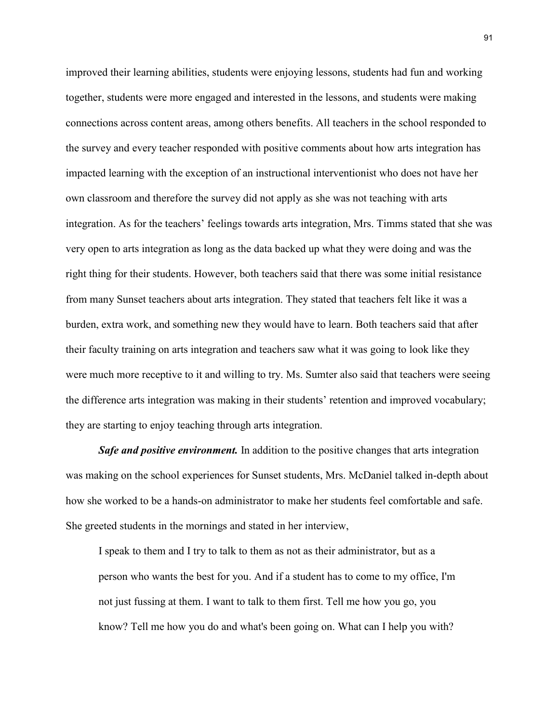improved their learning abilities, students were enjoying lessons, students had fun and working together, students were more engaged and interested in the lessons, and students were making connections across content areas, among others benefits. All teachers in the school responded to the survey and every teacher responded with positive comments about how arts integration has impacted learning with the exception of an instructional interventionist who does not have her own classroom and therefore the survey did not apply as she was not teaching with arts integration. As for the teachers' feelings towards arts integration, Mrs. Timms stated that she was very open to arts integration as long as the data backed up what they were doing and was the right thing for their students. However, both teachers said that there was some initial resistance from many Sunset teachers about arts integration. They stated that teachers felt like it was a burden, extra work, and something new they would have to learn. Both teachers said that after their faculty training on arts integration and teachers saw what it was going to look like they were much more receptive to it and willing to try. Ms. Sumter also said that teachers were seeing the difference arts integration was making in their students' retention and improved vocabulary; they are starting to enjoy teaching through arts integration.

**Safe and positive environment.** In addition to the positive changes that arts integration was making on the school experiences for Sunset students, Mrs. McDaniel talked in-depth about how she worked to be a hands-on administrator to make her students feel comfortable and safe. She greeted students in the mornings and stated in her interview,

I speak to them and I try to talk to them as not as their administrator, but as a person who wants the best for you. And if a student has to come to my office, I'm not just fussing at them. I want to talk to them first. Tell me how you go, you know? Tell me how you do and what's been going on. What can I help you with?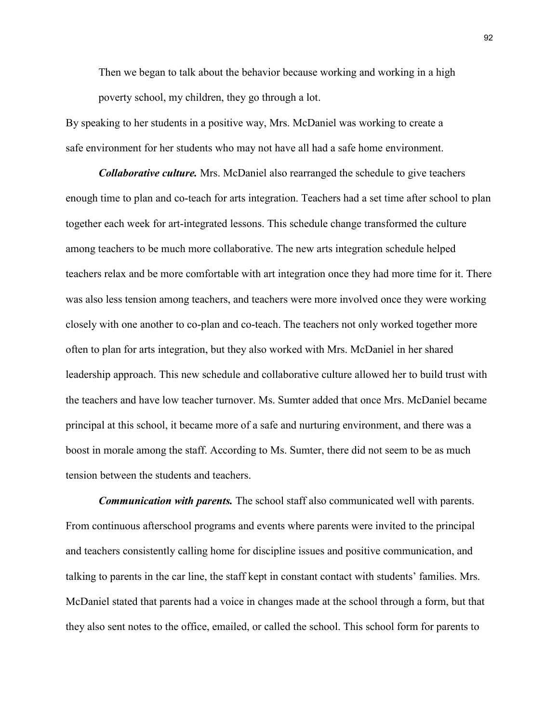Then we began to talk about the behavior because working and working in a high poverty school, my children, they go through a lot.

By speaking to her students in a positive way, Mrs. McDaniel was working to create a safe environment for her students who may not have all had a safe home environment.

*Collaborative culture.* Mrs. McDaniel also rearranged the schedule to give teachers enough time to plan and co-teach for arts integration. Teachers had a set time after school to plan together each week for art-integrated lessons. This schedule change transformed the culture among teachers to be much more collaborative. The new arts integration schedule helped teachers relax and be more comfortable with art integration once they had more time for it. There was also less tension among teachers, and teachers were more involved once they were working closely with one another to co-plan and co-teach. The teachers not only worked together more often to plan for arts integration, but they also worked with Mrs. McDaniel in her shared leadership approach. This new schedule and collaborative culture allowed her to build trust with the teachers and have low teacher turnover. Ms. Sumter added that once Mrs. McDaniel became principal at this school, it became more of a safe and nurturing environment, and there was a boost in morale among the staff. According to Ms. Sumter, there did not seem to be as much tension between the students and teachers.

*Communication with parents.* The school staff also communicated well with parents. From continuous afterschool programs and events where parents were invited to the principal and teachers consistently calling home for discipline issues and positive communication, and talking to parents in the car line, the staff kept in constant contact with students' families. Mrs. McDaniel stated that parents had a voice in changes made at the school through a form, but that they also sent notes to the office, emailed, or called the school. This school form for parents to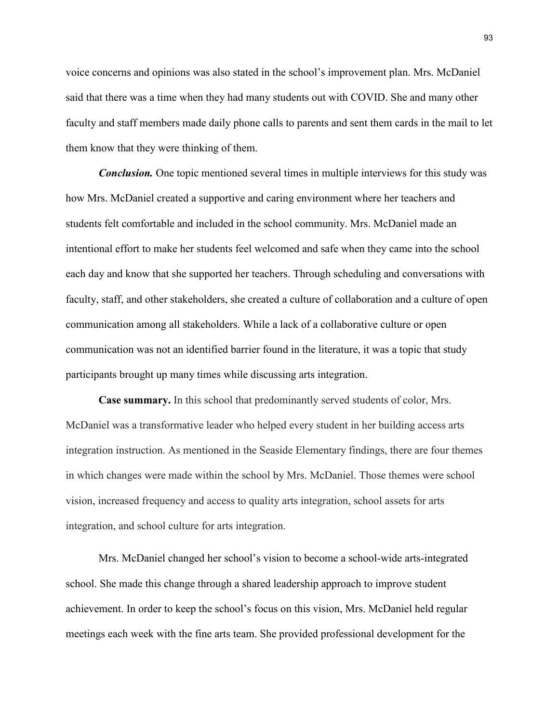voice concerns and opinions was also stated in the school's improvement plan. Mrs. McDaniel said that there was a time when they had many students out with COVID. She and many other faculty and staff members made daily phone calls to parents and sent them cards in the mail to let them know that they were thinking of them.

*Conclusion.* One topic mentioned several times in multiple interviews for this study was how Mrs. McDaniel created a supportive and caring environment where her teachers and students felt comfortable and included in the school community. Mrs. McDaniel made an intentional effort to make her students feel welcomed and safe when they came into the school each day and know that she supported her teachers. Through scheduling and conversations with faculty, staff, and other stakeholders, she created a culture of collaboration and a culture of open communication among all stakeholders. While a lack of a collaborative culture or open communication was not an identified barrier found in the literature, it was a topic that study participants brought up many times while discussing arts integration.

**Case summary.** In this school that predominantly served students of color, Mrs. McDaniel was a transformative leader who helped every student in her building access arts integration instruction. As mentioned in the Seaside Elementary findings, there are four themes in which changes were made within the school by Mrs. McDaniel. Those themes were school vision, increased frequency and access to quality arts integration, school assets for arts integration, and school culture for arts integration.

Mrs. McDaniel changed her school's vision to become a school-wide arts-integrated school. She made this change through a shared leadership approach to improve student achievement. In order to keep the school's focus on this vision, Mrs. McDaniel held regular meetings each week with the fine arts team. She provided professional development for the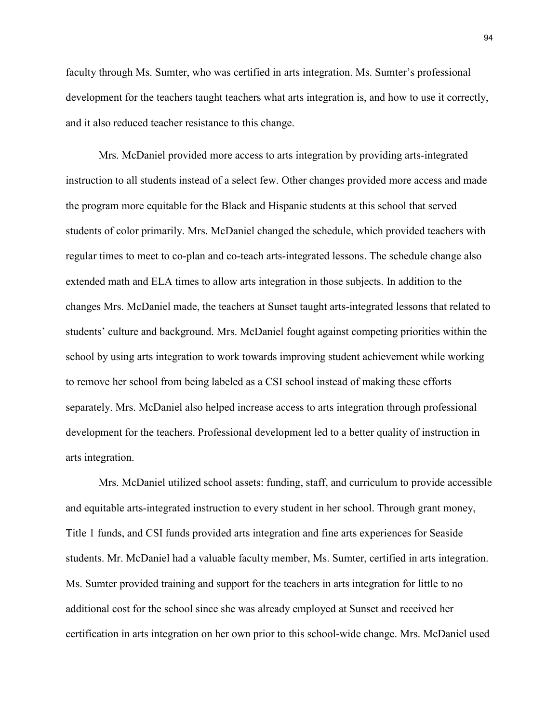faculty through Ms. Sumter, who was certified in arts integration. Ms. Sumter's professional development for the teachers taught teachers what arts integration is, and how to use it correctly, and it also reduced teacher resistance to this change.

Mrs. McDaniel provided more access to arts integration by providing arts-integrated instruction to all students instead of a select few. Other changes provided more access and made the program more equitable for the Black and Hispanic students at this school that served students of color primarily. Mrs. McDaniel changed the schedule, which provided teachers with regular times to meet to co-plan and co-teach arts-integrated lessons. The schedule change also extended math and ELA times to allow arts integration in those subjects. In addition to the changes Mrs. McDaniel made, the teachers at Sunset taught arts-integrated lessons that related to students' culture and background. Mrs. McDaniel fought against competing priorities within the school by using arts integration to work towards improving student achievement while working to remove her school from being labeled as a CSI school instead of making these efforts separately. Mrs. McDaniel also helped increase access to arts integration through professional development for the teachers. Professional development led to a better quality of instruction in arts integration.

Mrs. McDaniel utilized school assets: funding, staff, and curriculum to provide accessible and equitable arts-integrated instruction to every student in her school. Through grant money, Title 1 funds, and CSI funds provided arts integration and fine arts experiences for Seaside students. Mr. McDaniel had a valuable faculty member, Ms. Sumter, certified in arts integration. Ms. Sumter provided training and support for the teachers in arts integration for little to no additional cost for the school since she was already employed at Sunset and received her certification in arts integration on her own prior to this school-wide change. Mrs. McDaniel used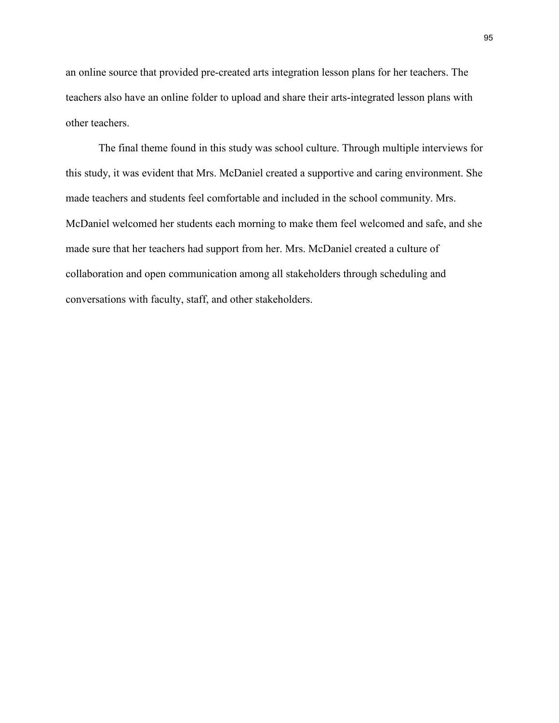an online source that provided pre-created arts integration lesson plans for her teachers. The teachers also have an online folder to upload and share their arts-integrated lesson plans with other teachers.

The final theme found in this study was school culture. Through multiple interviews for this study, it was evident that Mrs. McDaniel created a supportive and caring environment. She made teachers and students feel comfortable and included in the school community. Mrs. McDaniel welcomed her students each morning to make them feel welcomed and safe, and she made sure that her teachers had support from her. Mrs. McDaniel created a culture of collaboration and open communication among all stakeholders through scheduling and conversations with faculty, staff, and other stakeholders.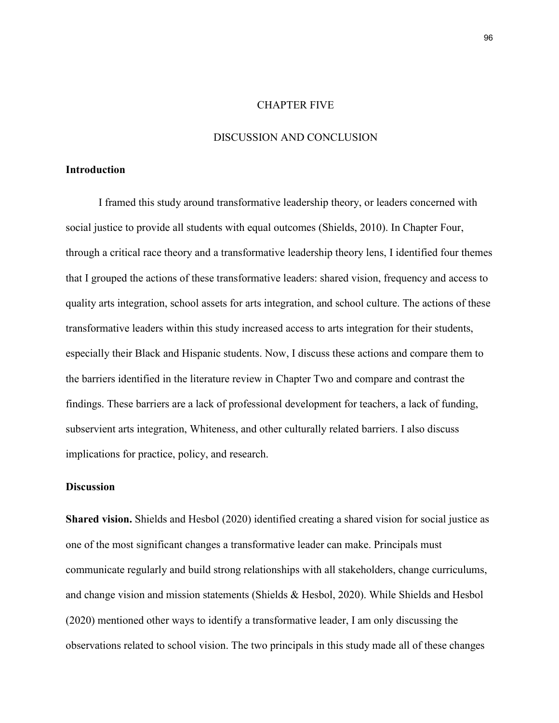#### CHAPTER FIVE

### DISCUSSION AND CONCLUSION

### **Introduction**

I framed this study around transformative leadership theory, or leaders concerned with social justice to provide all students with equal outcomes (Shields, 2010). In Chapter Four, through a critical race theory and a transformative leadership theory lens, I identified four themes that I grouped the actions of these transformative leaders: shared vision, frequency and access to quality arts integration, school assets for arts integration, and school culture. The actions of these transformative leaders within this study increased access to arts integration for their students, especially their Black and Hispanic students. Now, I discuss these actions and compare them to the barriers identified in the literature review in Chapter Two and compare and contrast the findings. These barriers are a lack of professional development for teachers, a lack of funding, subservient arts integration, Whiteness, and other culturally related barriers. I also discuss implications for practice, policy, and research.

# **Discussion**

**Shared vision.** Shields and Hesbol (2020) identified creating a shared vision for social justice as one of the most significant changes a transformative leader can make. Principals must communicate regularly and build strong relationships with all stakeholders, change curriculums, and change vision and mission statements (Shields & Hesbol, 2020). While Shields and Hesbol (2020) mentioned other ways to identify a transformative leader, I am only discussing the observations related to school vision. The two principals in this study made all of these changes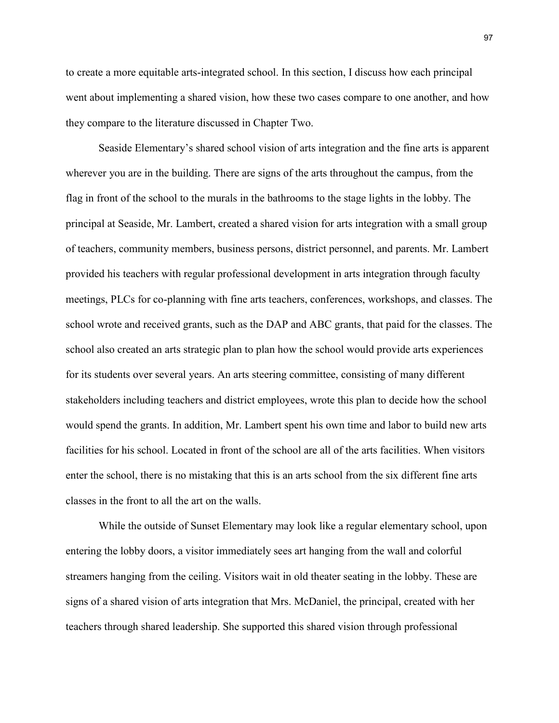to create a more equitable arts-integrated school. In this section, I discuss how each principal went about implementing a shared vision, how these two cases compare to one another, and how they compare to the literature discussed in Chapter Two.

Seaside Elementary's shared school vision of arts integration and the fine arts is apparent wherever you are in the building. There are signs of the arts throughout the campus, from the flag in front of the school to the murals in the bathrooms to the stage lights in the lobby. The principal at Seaside, Mr. Lambert, created a shared vision for arts integration with a small group of teachers, community members, business persons, district personnel, and parents. Mr. Lambert provided his teachers with regular professional development in arts integration through faculty meetings, PLCs for co-planning with fine arts teachers, conferences, workshops, and classes. The school wrote and received grants, such as the DAP and ABC grants, that paid for the classes. The school also created an arts strategic plan to plan how the school would provide arts experiences for its students over several years. An arts steering committee, consisting of many different stakeholders including teachers and district employees, wrote this plan to decide how the school would spend the grants. In addition, Mr. Lambert spent his own time and labor to build new arts facilities for his school. Located in front of the school are all of the arts facilities. When visitors enter the school, there is no mistaking that this is an arts school from the six different fine arts classes in the front to all the art on the walls.

While the outside of Sunset Elementary may look like a regular elementary school, upon entering the lobby doors, a visitor immediately sees art hanging from the wall and colorful streamers hanging from the ceiling. Visitors wait in old theater seating in the lobby. These are signs of a shared vision of arts integration that Mrs. McDaniel, the principal, created with her teachers through shared leadership. She supported this shared vision through professional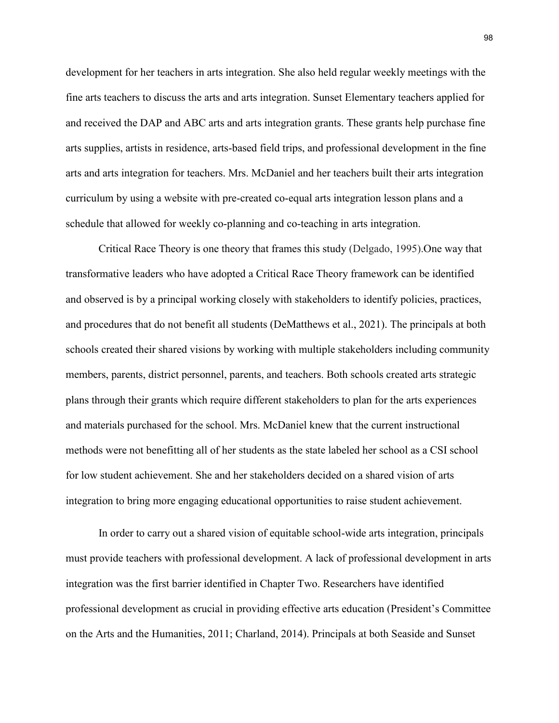development for her teachers in arts integration. She also held regular weekly meetings with the fine arts teachers to discuss the arts and arts integration. Sunset Elementary teachers applied for and received the DAP and ABC arts and arts integration grants. These grants help purchase fine arts supplies, artists in residence, arts-based field trips, and professional development in the fine arts and arts integration for teachers. Mrs. McDaniel and her teachers built their arts integration curriculum by using a website with pre-created co-equal arts integration lesson plans and a schedule that allowed for weekly co-planning and co-teaching in arts integration.

Critical Race Theory is one theory that frames this study (Delgado, 1995).One way that transformative leaders who have adopted a Critical Race Theory framework can be identified and observed is by a principal working closely with stakeholders to identify policies, practices, and procedures that do not benefit all students (DeMatthews et al., 2021). The principals at both schools created their shared visions by working with multiple stakeholders including community members, parents, district personnel, parents, and teachers. Both schools created arts strategic plans through their grants which require different stakeholders to plan for the arts experiences and materials purchased for the school. Mrs. McDaniel knew that the current instructional methods were not benefitting all of her students as the state labeled her school as a CSI school for low student achievement. She and her stakeholders decided on a shared vision of arts integration to bring more engaging educational opportunities to raise student achievement.

In order to carry out a shared vision of equitable school-wide arts integration, principals must provide teachers with professional development. A lack of professional development in arts integration was the first barrier identified in Chapter Two. Researchers have identified professional development as crucial in providing effective arts education (President's Committee on the Arts and the Humanities, 2011; Charland, 2014). Principals at both Seaside and Sunset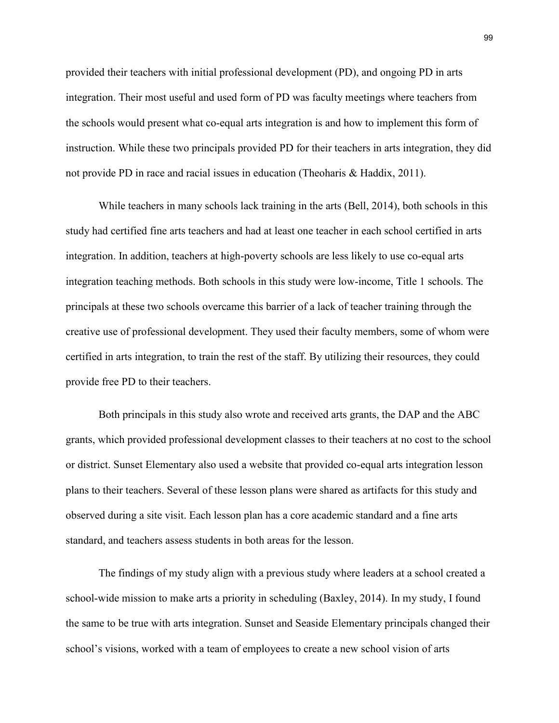provided their teachers with initial professional development (PD), and ongoing PD in arts integration. Their most useful and used form of PD was faculty meetings where teachers from the schools would present what co-equal arts integration is and how to implement this form of instruction. While these two principals provided PD for their teachers in arts integration, they did not provide PD in race and racial issues in education (Theoharis & Haddix, 2011).

While teachers in many schools lack training in the arts (Bell, 2014), both schools in this study had certified fine arts teachers and had at least one teacher in each school certified in arts integration. In addition, teachers at high-poverty schools are less likely to use co-equal arts integration teaching methods. Both schools in this study were low-income, Title 1 schools. The principals at these two schools overcame this barrier of a lack of teacher training through the creative use of professional development. They used their faculty members, some of whom were certified in arts integration, to train the rest of the staff. By utilizing their resources, they could provide free PD to their teachers.

Both principals in this study also wrote and received arts grants, the DAP and the ABC grants, which provided professional development classes to their teachers at no cost to the school or district. Sunset Elementary also used a website that provided co-equal arts integration lesson plans to their teachers. Several of these lesson plans were shared as artifacts for this study and observed during a site visit. Each lesson plan has a core academic standard and a fine arts standard, and teachers assess students in both areas for the lesson.

The findings of my study align with a previous study where leaders at a school created a school-wide mission to make arts a priority in scheduling (Baxley, 2014). In my study, I found the same to be true with arts integration. Sunset and Seaside Elementary principals changed their school's visions, worked with a team of employees to create a new school vision of arts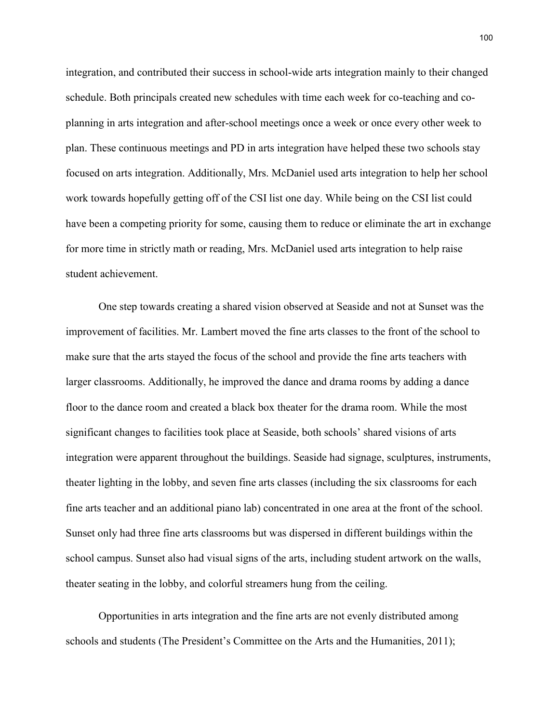integration, and contributed their success in school-wide arts integration mainly to their changed schedule. Both principals created new schedules with time each week for co-teaching and coplanning in arts integration and after-school meetings once a week or once every other week to plan. These continuous meetings and PD in arts integration have helped these two schools stay focused on arts integration. Additionally, Mrs. McDaniel used arts integration to help her school work towards hopefully getting off of the CSI list one day. While being on the CSI list could have been a competing priority for some, causing them to reduce or eliminate the art in exchange for more time in strictly math or reading, Mrs. McDaniel used arts integration to help raise student achievement.

One step towards creating a shared vision observed at Seaside and not at Sunset was the improvement of facilities. Mr. Lambert moved the fine arts classes to the front of the school to make sure that the arts stayed the focus of the school and provide the fine arts teachers with larger classrooms. Additionally, he improved the dance and drama rooms by adding a dance floor to the dance room and created a black box theater for the drama room. While the most significant changes to facilities took place at Seaside, both schools' shared visions of arts integration were apparent throughout the buildings. Seaside had signage, sculptures, instruments, theater lighting in the lobby, and seven fine arts classes (including the six classrooms for each fine arts teacher and an additional piano lab) concentrated in one area at the front of the school. Sunset only had three fine arts classrooms but was dispersed in different buildings within the school campus. Sunset also had visual signs of the arts, including student artwork on the walls, theater seating in the lobby, and colorful streamers hung from the ceiling.

Opportunities in arts integration and the fine arts are not evenly distributed among schools and students (The President's Committee on the Arts and the Humanities, 2011);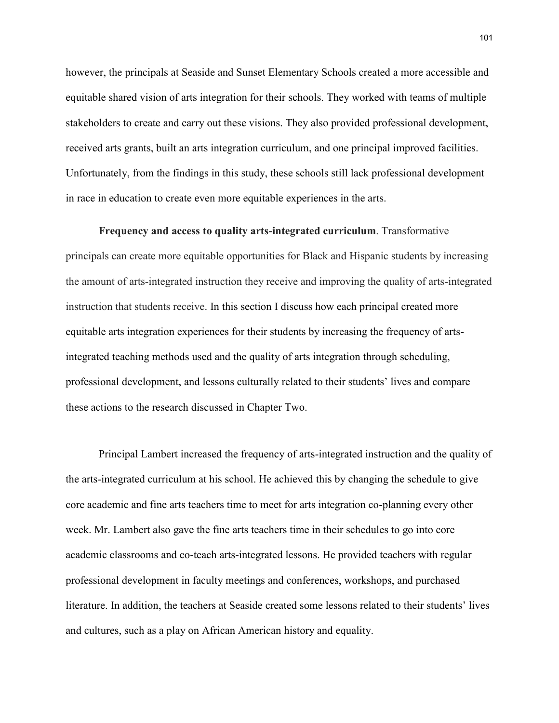however, the principals at Seaside and Sunset Elementary Schools created a more accessible and equitable shared vision of arts integration for their schools. They worked with teams of multiple stakeholders to create and carry out these visions. They also provided professional development, received arts grants, built an arts integration curriculum, and one principal improved facilities. Unfortunately, from the findings in this study, these schools still lack professional development in race in education to create even more equitable experiences in the arts.

**Frequency and access to quality arts-integrated curriculum**. Transformative principals can create more equitable opportunities for Black and Hispanic students by increasing the amount of arts-integrated instruction they receive and improving the quality of arts-integrated instruction that students receive. In this section I discuss how each principal created more equitable arts integration experiences for their students by increasing the frequency of artsintegrated teaching methods used and the quality of arts integration through scheduling, professional development, and lessons culturally related to their students' lives and compare these actions to the research discussed in Chapter Two.

Principal Lambert increased the frequency of arts-integrated instruction and the quality of the arts-integrated curriculum at his school. He achieved this by changing the schedule to give core academic and fine arts teachers time to meet for arts integration co-planning every other week. Mr. Lambert also gave the fine arts teachers time in their schedules to go into core academic classrooms and co-teach arts-integrated lessons. He provided teachers with regular professional development in faculty meetings and conferences, workshops, and purchased literature. In addition, the teachers at Seaside created some lessons related to their students' lives and cultures, such as a play on African American history and equality.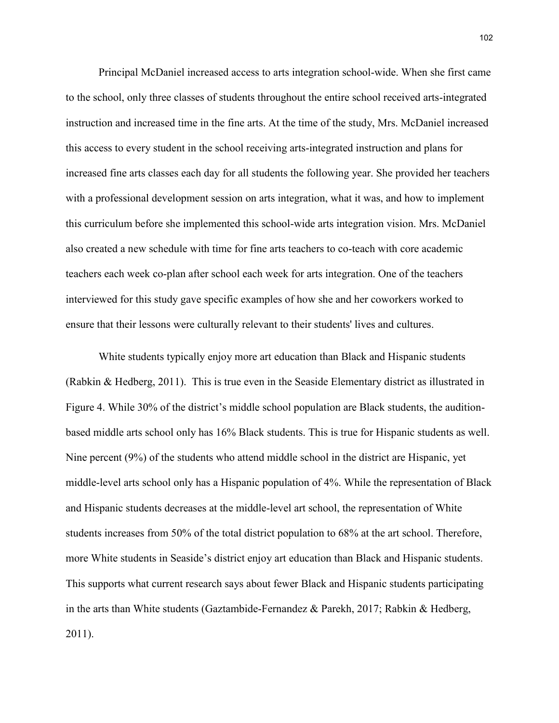Principal McDaniel increased access to arts integration school-wide. When she first came to the school, only three classes of students throughout the entire school received arts-integrated instruction and increased time in the fine arts. At the time of the study, Mrs. McDaniel increased this access to every student in the school receiving arts-integrated instruction and plans for increased fine arts classes each day for all students the following year. She provided her teachers with a professional development session on arts integration, what it was, and how to implement this curriculum before she implemented this school-wide arts integration vision. Mrs. McDaniel also created a new schedule with time for fine arts teachers to co-teach with core academic teachers each week co-plan after school each week for arts integration. One of the teachers interviewed for this study gave specific examples of how she and her coworkers worked to ensure that their lessons were culturally relevant to their students' lives and cultures.

White students typically enjoy more art education than Black and Hispanic students (Rabkin & Hedberg, 2011). This is true even in the Seaside Elementary district as illustrated in Figure 4. While 30% of the district's middle school population are Black students, the auditionbased middle arts school only has 16% Black students. This is true for Hispanic students as well. Nine percent (9%) of the students who attend middle school in the district are Hispanic, yet middle-level arts school only has a Hispanic population of 4%. While the representation of Black and Hispanic students decreases at the middle-level art school, the representation of White students increases from 50% of the total district population to 68% at the art school. Therefore, more White students in Seaside's district enjoy art education than Black and Hispanic students. This supports what current research says about fewer Black and Hispanic students participating in the arts than White students (Gaztambide-Fernandez & Parekh, 2017; Rabkin & Hedberg, 2011).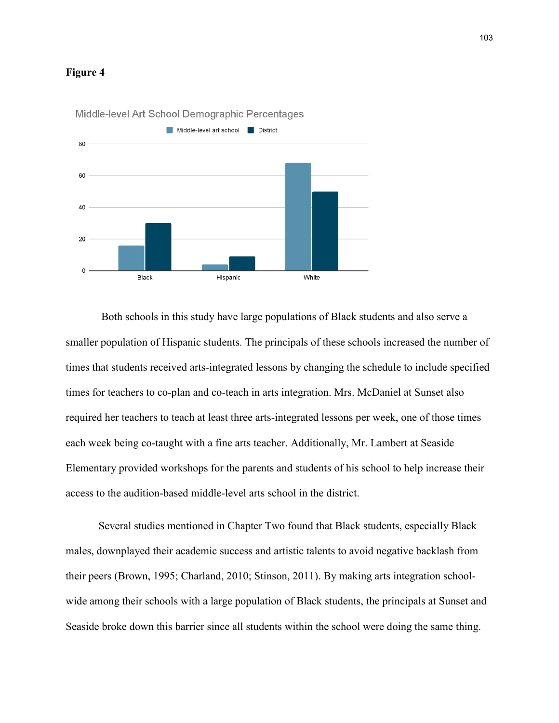### **Figure 4**



Middle-level Art School Demographic Percentages

Both schools in this study have large populations of Black students and also serve a smaller population of Hispanic students. The principals of these schools increased the number of times that students received arts-integrated lessons by changing the schedule to include specified times for teachers to co-plan and co-teach in arts integration. Mrs. McDaniel at Sunset also required her teachers to teach at least three arts-integrated lessons per week, one of those times each week being co-taught with a fine arts teacher. Additionally, Mr. Lambert at Seaside Elementary provided workshops for the parents and students of his school to help increase their access to the audition-based middle-level arts school in the district.

Several studies mentioned in Chapter Two found that Black students, especially Black males, downplayed their academic success and artistic talents to avoid negative backlash from their peers (Brown, 1995; Charland, 2010; Stinson, 2011). By making arts integration schoolwide among their schools with a large population of Black students, the principals at Sunset and Seaside broke down this barrier since all students within the school were doing the same thing.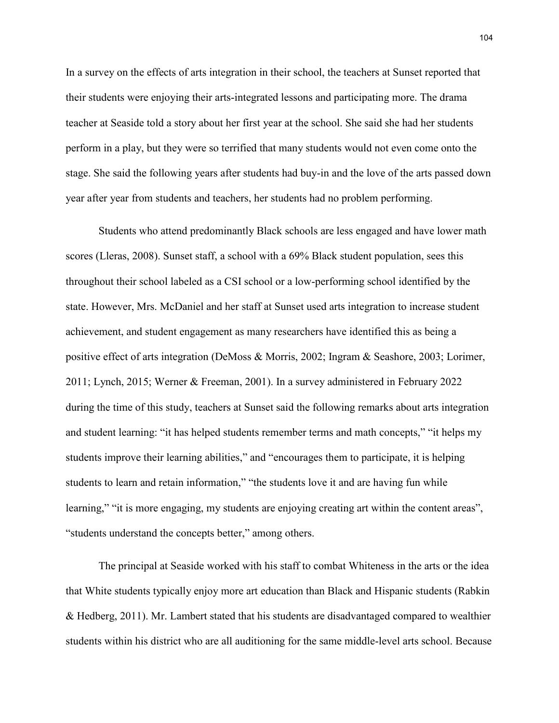In a survey on the effects of arts integration in their school, the teachers at Sunset reported that their students were enjoying their arts-integrated lessons and participating more. The drama teacher at Seaside told a story about her first year at the school. She said she had her students perform in a play, but they were so terrified that many students would not even come onto the stage. She said the following years after students had buy-in and the love of the arts passed down year after year from students and teachers, her students had no problem performing.

Students who attend predominantly Black schools are less engaged and have lower math scores (Lleras, 2008). Sunset staff, a school with a 69% Black student population, sees this throughout their school labeled as a CSI school or a low-performing school identified by the state. However, Mrs. McDaniel and her staff at Sunset used arts integration to increase student achievement, and student engagement as many researchers have identified this as being a positive effect of arts integration (DeMoss & Morris, 2002; Ingram & Seashore, 2003; Lorimer, 2011; Lynch, 2015; Werner & Freeman, 2001). In a survey administered in February 2022 during the time of this study, teachers at Sunset said the following remarks about arts integration and student learning: "it has helped students remember terms and math concepts," "it helps my students improve their learning abilities," and "encourages them to participate, it is helping students to learn and retain information," "the students love it and are having fun while learning," "it is more engaging, my students are enjoying creating art within the content areas", "students understand the concepts better," among others.

The principal at Seaside worked with his staff to combat Whiteness in the arts or the idea that White students typically enjoy more art education than Black and Hispanic students (Rabkin & Hedberg, 2011). Mr. Lambert stated that his students are disadvantaged compared to wealthier students within his district who are all auditioning for the same middle-level arts school. Because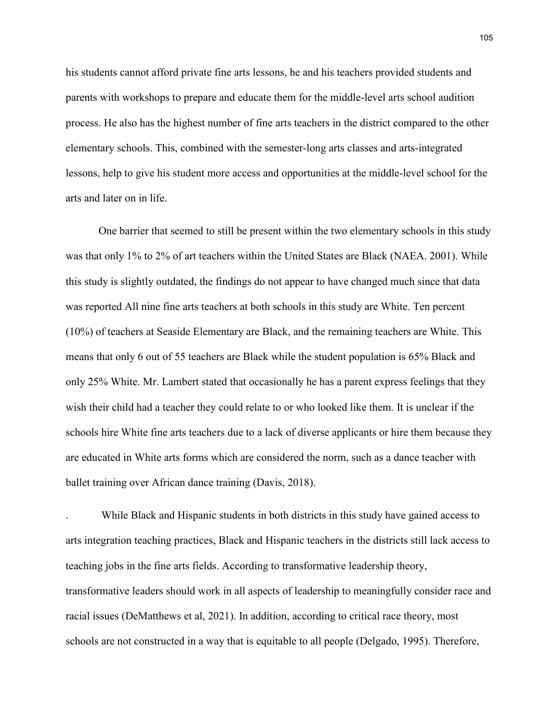his students cannot afford private fine arts lessons, he and his teachers provided students and parents with workshops to prepare and educate them for the middle-level arts school audition process. He also has the highest number of fine arts teachers in the district compared to the other elementary schools. This, combined with the semester-long arts classes and arts-integrated lessons, help to give his student more access and opportunities at the middle-level school for the arts and later on in life.

One barrier that seemed to still be present within the two elementary schools in this study was that only 1% to 2% of art teachers within the United States are Black (NAEA. 2001). While this study is slightly outdated, the findings do not appear to have changed much since that data was reported All nine fine arts teachers at both schools in this study are White. Ten percent (10%) of teachers at Seaside Elementary are Black, and the remaining teachers are White. This means that only 6 out of 55 teachers are Black while the student population is 65% Black and only 25% White. Mr. Lambert stated that occasionally he has a parent express feelings that they wish their child had a teacher they could relate to or who looked like them. It is unclear if the schools hire White fine arts teachers due to a lack of diverse applicants or hire them because they are educated in White arts forms which are considered the norm, such as a dance teacher with ballet training over African dance training (Davis, 2018).

. While Black and Hispanic students in both districts in this study have gained access to arts integration teaching practices, Black and Hispanic teachers in the districts still lack access to teaching jobs in the fine arts fields. According to transformative leadership theory, transformative leaders should work in all aspects of leadership to meaningfully consider race and racial issues (DeMatthews et al, 2021). In addition, according to critical race theory, most schools are not constructed in a way that is equitable to all people (Delgado, 1995). Therefore,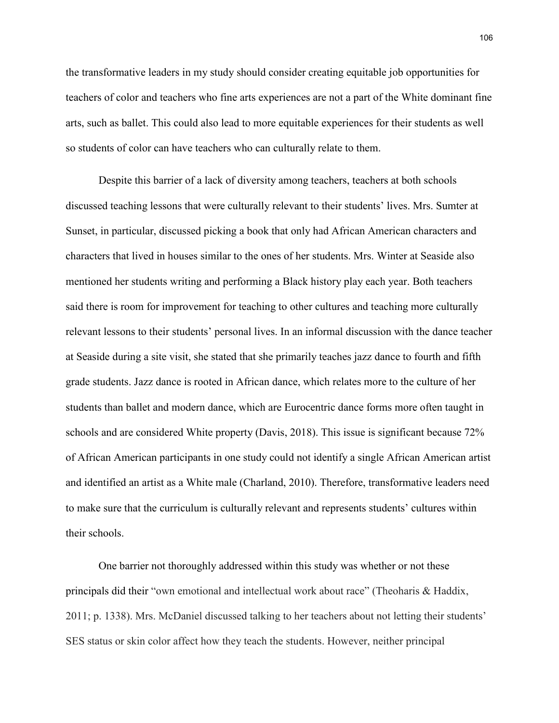the transformative leaders in my study should consider creating equitable job opportunities for teachers of color and teachers who fine arts experiences are not a part of the White dominant fine arts, such as ballet. This could also lead to more equitable experiences for their students as well so students of color can have teachers who can culturally relate to them.

Despite this barrier of a lack of diversity among teachers, teachers at both schools discussed teaching lessons that were culturally relevant to their students' lives. Mrs. Sumter at Sunset, in particular, discussed picking a book that only had African American characters and characters that lived in houses similar to the ones of her students. Mrs. Winter at Seaside also mentioned her students writing and performing a Black history play each year. Both teachers said there is room for improvement for teaching to other cultures and teaching more culturally relevant lessons to their students' personal lives. In an informal discussion with the dance teacher at Seaside during a site visit, she stated that she primarily teaches jazz dance to fourth and fifth grade students. Jazz dance is rooted in African dance, which relates more to the culture of her students than ballet and modern dance, which are Eurocentric dance forms more often taught in schools and are considered White property (Davis, 2018). This issue is significant because 72% of African American participants in one study could not identify a single African American artist and identified an artist as a White male (Charland, 2010). Therefore, transformative leaders need to make sure that the curriculum is culturally relevant and represents students' cultures within their schools.

One barrier not thoroughly addressed within this study was whether or not these principals did their "own emotional and intellectual work about race" (Theoharis & Haddix, 2011; p. 1338). Mrs. McDaniel discussed talking to her teachers about not letting their students' SES status or skin color affect how they teach the students. However, neither principal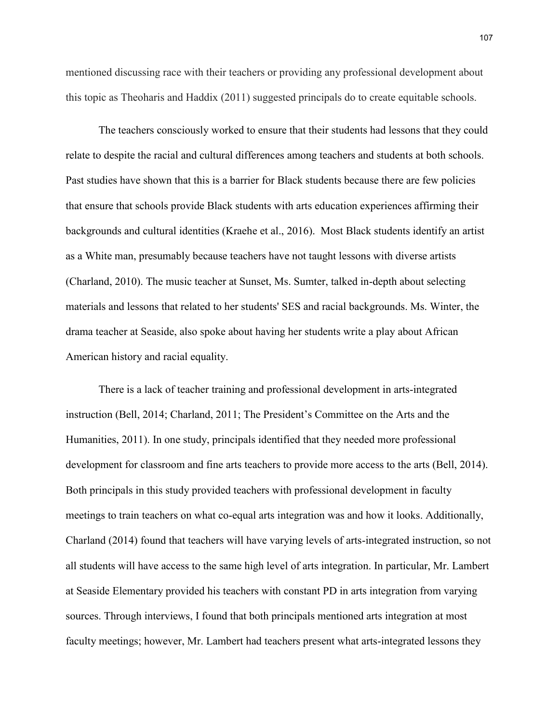mentioned discussing race with their teachers or providing any professional development about this topic as Theoharis and Haddix (2011) suggested principals do to create equitable schools.

The teachers consciously worked to ensure that their students had lessons that they could relate to despite the racial and cultural differences among teachers and students at both schools. Past studies have shown that this is a barrier for Black students because there are few policies that ensure that schools provide Black students with arts education experiences affirming their backgrounds and cultural identities (Kraehe et al., 2016). Most Black students identify an artist as a White man, presumably because teachers have not taught lessons with diverse artists (Charland, 2010). The music teacher at Sunset, Ms. Sumter, talked in-depth about selecting materials and lessons that related to her students' SES and racial backgrounds. Ms. Winter, the drama teacher at Seaside, also spoke about having her students write a play about African American history and racial equality.

There is a lack of teacher training and professional development in arts-integrated instruction (Bell, 2014; Charland, 2011; The President's Committee on the Arts and the Humanities, 2011). In one study, principals identified that they needed more professional development for classroom and fine arts teachers to provide more access to the arts (Bell, 2014). Both principals in this study provided teachers with professional development in faculty meetings to train teachers on what co-equal arts integration was and how it looks. Additionally, Charland (2014) found that teachers will have varying levels of arts-integrated instruction, so not all students will have access to the same high level of arts integration. In particular, Mr. Lambert at Seaside Elementary provided his teachers with constant PD in arts integration from varying sources. Through interviews, I found that both principals mentioned arts integration at most faculty meetings; however, Mr. Lambert had teachers present what arts-integrated lessons they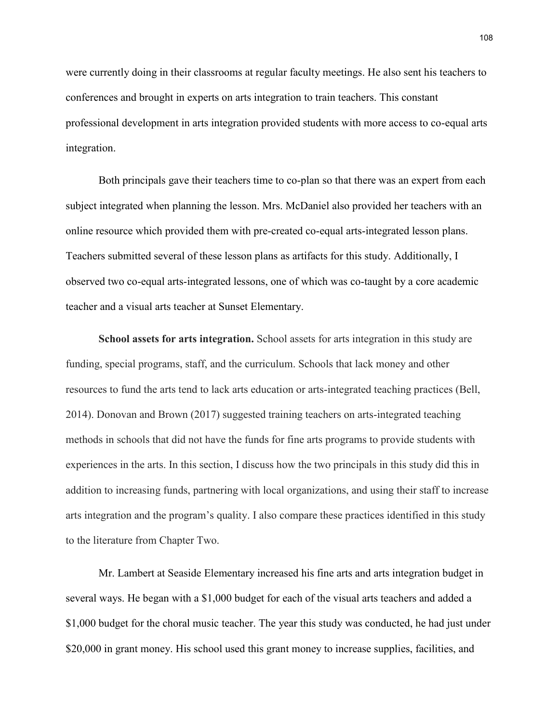were currently doing in their classrooms at regular faculty meetings. He also sent his teachers to conferences and brought in experts on arts integration to train teachers. This constant professional development in arts integration provided students with more access to co-equal arts integration.

Both principals gave their teachers time to co-plan so that there was an expert from each subject integrated when planning the lesson. Mrs. McDaniel also provided her teachers with an online resource which provided them with pre-created co-equal arts-integrated lesson plans. Teachers submitted several of these lesson plans as artifacts for this study. Additionally, I observed two co-equal arts-integrated lessons, one of which was co-taught by a core academic teacher and a visual arts teacher at Sunset Elementary.

**School assets for arts integration.** School assets for arts integration in this study are funding, special programs, staff, and the curriculum. Schools that lack money and other resources to fund the arts tend to lack arts education or arts-integrated teaching practices (Bell, 2014). Donovan and Brown (2017) suggested training teachers on arts-integrated teaching methods in schools that did not have the funds for fine arts programs to provide students with experiences in the arts. In this section, I discuss how the two principals in this study did this in addition to increasing funds, partnering with local organizations, and using their staff to increase arts integration and the program's quality. I also compare these practices identified in this study to the literature from Chapter Two.

Mr. Lambert at Seaside Elementary increased his fine arts and arts integration budget in several ways. He began with a \$1,000 budget for each of the visual arts teachers and added a \$1,000 budget for the choral music teacher. The year this study was conducted, he had just under \$20,000 in grant money. His school used this grant money to increase supplies, facilities, and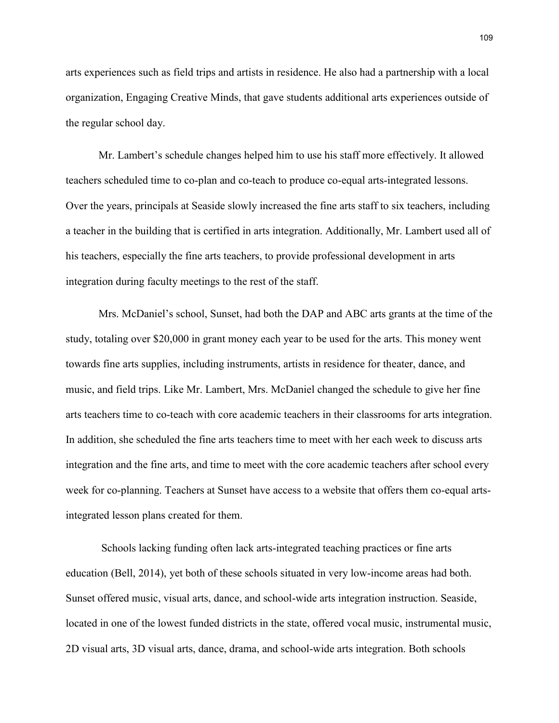arts experiences such as field trips and artists in residence. He also had a partnership with a local organization, Engaging Creative Minds, that gave students additional arts experiences outside of the regular school day.

Mr. Lambert's schedule changes helped him to use his staff more effectively. It allowed teachers scheduled time to co-plan and co-teach to produce co-equal arts-integrated lessons. Over the years, principals at Seaside slowly increased the fine arts staff to six teachers, including a teacher in the building that is certified in arts integration. Additionally, Mr. Lambert used all of his teachers, especially the fine arts teachers, to provide professional development in arts integration during faculty meetings to the rest of the staff.

Mrs. McDaniel's school, Sunset, had both the DAP and ABC arts grants at the time of the study, totaling over \$20,000 in grant money each year to be used for the arts. This money went towards fine arts supplies, including instruments, artists in residence for theater, dance, and music, and field trips. Like Mr. Lambert, Mrs. McDaniel changed the schedule to give her fine arts teachers time to co-teach with core academic teachers in their classrooms for arts integration. In addition, she scheduled the fine arts teachers time to meet with her each week to discuss arts integration and the fine arts, and time to meet with the core academic teachers after school every week for co-planning. Teachers at Sunset have access to a website that offers them co-equal artsintegrated lesson plans created for them.

Schools lacking funding often lack arts-integrated teaching practices or fine arts education (Bell, 2014), yet both of these schools situated in very low-income areas had both. Sunset offered music, visual arts, dance, and school-wide arts integration instruction. Seaside, located in one of the lowest funded districts in the state, offered vocal music, instrumental music, 2D visual arts, 3D visual arts, dance, drama, and school-wide arts integration. Both schools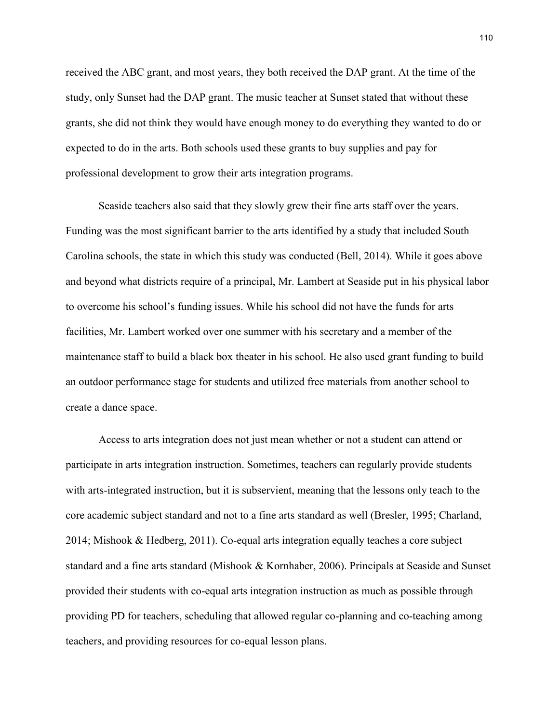received the ABC grant, and most years, they both received the DAP grant. At the time of the study, only Sunset had the DAP grant. The music teacher at Sunset stated that without these grants, she did not think they would have enough money to do everything they wanted to do or expected to do in the arts. Both schools used these grants to buy supplies and pay for professional development to grow their arts integration programs.

Seaside teachers also said that they slowly grew their fine arts staff over the years. Funding was the most significant barrier to the arts identified by a study that included South Carolina schools, the state in which this study was conducted (Bell, 2014). While it goes above and beyond what districts require of a principal, Mr. Lambert at Seaside put in his physical labor to overcome his school's funding issues. While his school did not have the funds for arts facilities, Mr. Lambert worked over one summer with his secretary and a member of the maintenance staff to build a black box theater in his school. He also used grant funding to build an outdoor performance stage for students and utilized free materials from another school to create a dance space.

Access to arts integration does not just mean whether or not a student can attend or participate in arts integration instruction. Sometimes, teachers can regularly provide students with arts-integrated instruction, but it is subservient, meaning that the lessons only teach to the core academic subject standard and not to a fine arts standard as well (Bresler, 1995; Charland, 2014; Mishook & Hedberg, 2011). Co-equal arts integration equally teaches a core subject standard and a fine arts standard (Mishook & Kornhaber, 2006). Principals at Seaside and Sunset provided their students with co-equal arts integration instruction as much as possible through providing PD for teachers, scheduling that allowed regular co-planning and co-teaching among teachers, and providing resources for co-equal lesson plans.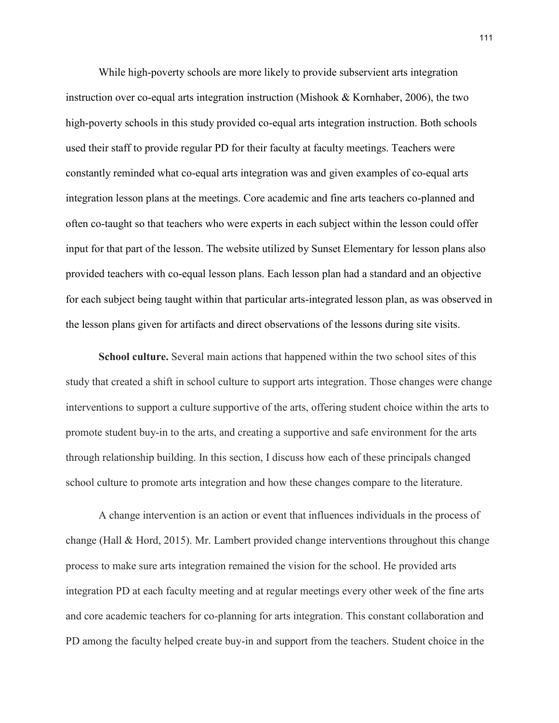While high-poverty schools are more likely to provide subservient arts integration instruction over co-equal arts integration instruction (Mishook  $\&$  Kornhaber, 2006), the two high-poverty schools in this study provided co-equal arts integration instruction. Both schools used their staff to provide regular PD for their faculty at faculty meetings. Teachers were constantly reminded what co-equal arts integration was and given examples of co-equal arts integration lesson plans at the meetings. Core academic and fine arts teachers co-planned and often co-taught so that teachers who were experts in each subject within the lesson could offer input for that part of the lesson. The website utilized by Sunset Elementary for lesson plans also provided teachers with co-equal lesson plans. Each lesson plan had a standard and an objective for each subject being taught within that particular arts-integrated lesson plan, as was observed in the lesson plans given for artifacts and direct observations of the lessons during site visits.

**School culture.** Several main actions that happened within the two school sites of this study that created a shift in school culture to support arts integration. Those changes were change interventions to support a culture supportive of the arts, offering student choice within the arts to promote student buy-in to the arts, and creating a supportive and safe environment for the arts through relationship building. In this section, I discuss how each of these principals changed school culture to promote arts integration and how these changes compare to the literature.

A change intervention is an action or event that influences individuals in the process of change (Hall & Hord, 2015). Mr. Lambert provided change interventions throughout this change process to make sure arts integration remained the vision for the school. He provided arts integration PD at each faculty meeting and at regular meetings every other week of the fine arts and core academic teachers for co-planning for arts integration. This constant collaboration and PD among the faculty helped create buy-in and support from the teachers. Student choice in the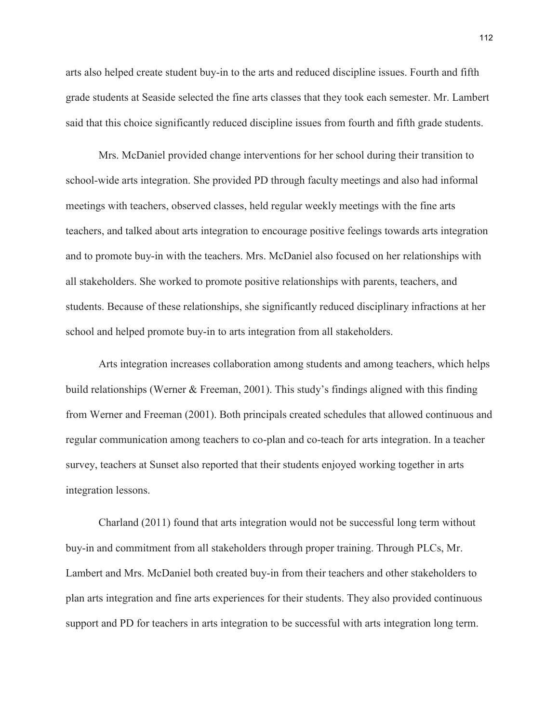arts also helped create student buy-in to the arts and reduced discipline issues. Fourth and fifth grade students at Seaside selected the fine arts classes that they took each semester. Mr. Lambert said that this choice significantly reduced discipline issues from fourth and fifth grade students.

Mrs. McDaniel provided change interventions for her school during their transition to school-wide arts integration. She provided PD through faculty meetings and also had informal meetings with teachers, observed classes, held regular weekly meetings with the fine arts teachers, and talked about arts integration to encourage positive feelings towards arts integration and to promote buy-in with the teachers. Mrs. McDaniel also focused on her relationships with all stakeholders. She worked to promote positive relationships with parents, teachers, and students. Because of these relationships, she significantly reduced disciplinary infractions at her school and helped promote buy-in to arts integration from all stakeholders.

Arts integration increases collaboration among students and among teachers, which helps build relationships (Werner & Freeman, 2001). This study's findings aligned with this finding from Werner and Freeman (2001). Both principals created schedules that allowed continuous and regular communication among teachers to co-plan and co-teach for arts integration. In a teacher survey, teachers at Sunset also reported that their students enjoyed working together in arts integration lessons.

Charland (2011) found that arts integration would not be successful long term without buy-in and commitment from all stakeholders through proper training. Through PLCs, Mr. Lambert and Mrs. McDaniel both created buy-in from their teachers and other stakeholders to plan arts integration and fine arts experiences for their students. They also provided continuous support and PD for teachers in arts integration to be successful with arts integration long term.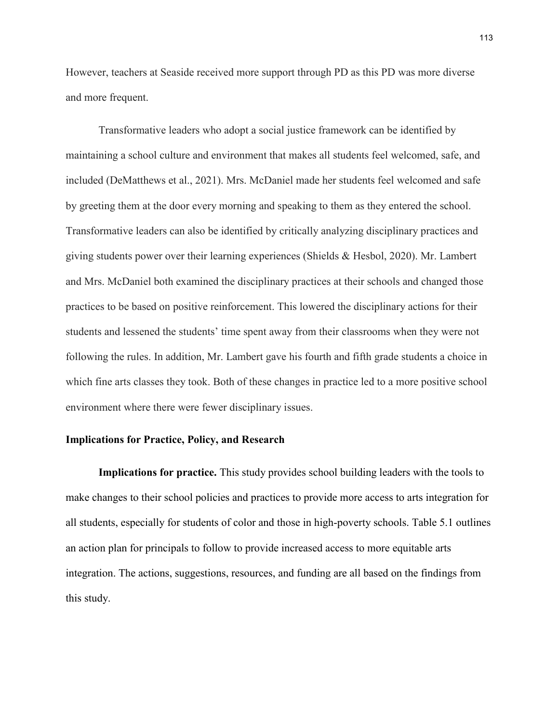However, teachers at Seaside received more support through PD as this PD was more diverse and more frequent.

Transformative leaders who adopt a social justice framework can be identified by maintaining a school culture and environment that makes all students feel welcomed, safe, and included (DeMatthews et al., 2021). Mrs. McDaniel made her students feel welcomed and safe by greeting them at the door every morning and speaking to them as they entered the school. Transformative leaders can also be identified by critically analyzing disciplinary practices and giving students power over their learning experiences (Shields & Hesbol, 2020). Mr. Lambert and Mrs. McDaniel both examined the disciplinary practices at their schools and changed those practices to be based on positive reinforcement. This lowered the disciplinary actions for their students and lessened the students' time spent away from their classrooms when they were not following the rules. In addition, Mr. Lambert gave his fourth and fifth grade students a choice in which fine arts classes they took. Both of these changes in practice led to a more positive school environment where there were fewer disciplinary issues.

### **Implications for Practice, Policy, and Research**

**Implications for practice.** This study provides school building leaders with the tools to make changes to their school policies and practices to provide more access to arts integration for all students, especially for students of color and those in high-poverty schools. Table 5.1 outlines an action plan for principals to follow to provide increased access to more equitable arts integration. The actions, suggestions, resources, and funding are all based on the findings from this study.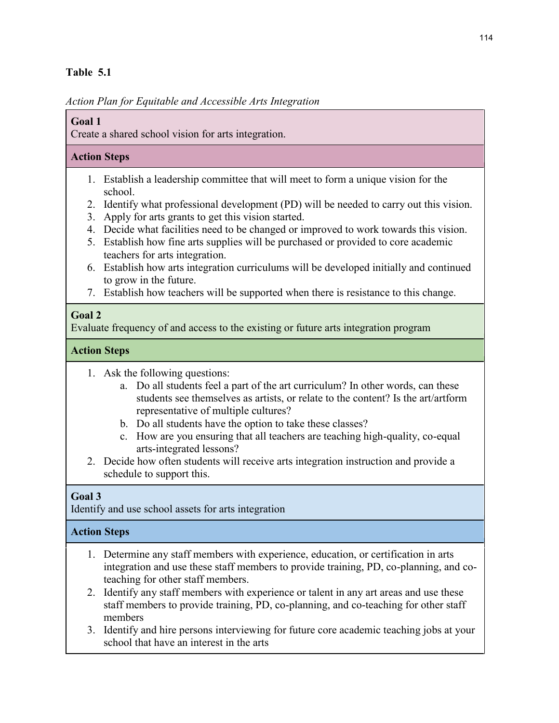## **Table 5.1**

*Action Plan for Equitable and Accessible Arts Integration*

## **Goal 1**

Create a shared school vision for arts integration.

## **Action Steps**

- 1. Establish a leadership committee that will meet to form a unique vision for the school.
- 2. Identify what professional development (PD) will be needed to carry out this vision.
- 3. Apply for arts grants to get this vision started.
- 4. Decide what facilities need to be changed or improved to work towards this vision.
- 5. Establish how fine arts supplies will be purchased or provided to core academic teachers for arts integration.
- 6. Establish how arts integration curriculums will be developed initially and continued to grow in the future.
- 7. Establish how teachers will be supported when there is resistance to this change.

# **Goal 2**

Evaluate frequency of and access to the existing or future arts integration program

# **Action Steps**

- 1. Ask the following questions:
	- a. Do all students feel a part of the art curriculum? In other words, can these students see themselves as artists, or relate to the content? Is the art/artform representative of multiple cultures?
	- b. Do all students have the option to take these classes?
	- c. How are you ensuring that all teachers are teaching high-quality, co-equal arts-integrated lessons?
- 2. Decide how often students will receive arts integration instruction and provide a schedule to support this.

# **Goal 3**

Identify and use school assets for arts integration

# **Action Steps**

- 1. Determine any staff members with experience, education, or certification in arts integration and use these staff members to provide training, PD, co-planning, and coteaching for other staff members.
- 2. Identify any staff members with experience or talent in any art areas and use these staff members to provide training, PD, co-planning, and co-teaching for other staff members
- 3. Identify and hire persons interviewing for future core academic teaching jobs at your school that have an interest in the arts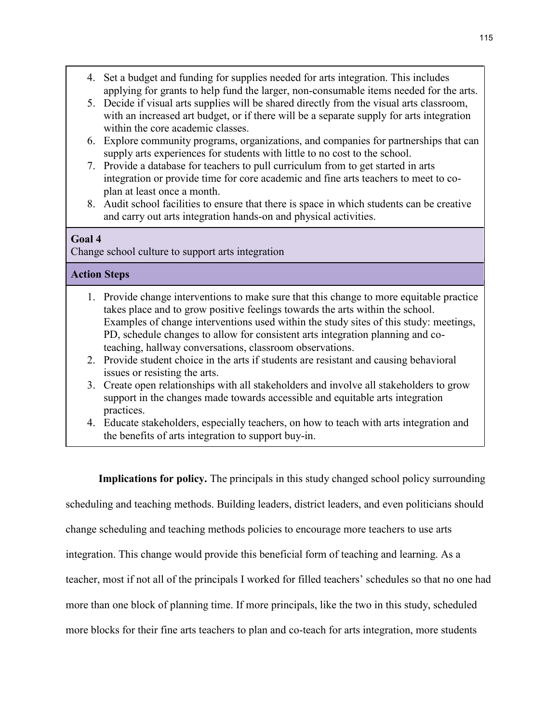- 4. Set a budget and funding for supplies needed for arts integration. This includes applying for grants to help fund the larger, non-consumable items needed for the arts.
- 5. Decide if visual arts supplies will be shared directly from the visual arts classroom, with an increased art budget, or if there will be a separate supply for arts integration within the core academic classes.
- 6. Explore community programs, organizations, and companies for partnerships that can supply arts experiences for students with little to no cost to the school.
- 7. Provide a database for teachers to pull curriculum from to get started in arts integration or provide time for core academic and fine arts teachers to meet to coplan at least once a month.
- 8. Audit school facilities to ensure that there is space in which students can be creative and carry out arts integration hands-on and physical activities.

## **Goal 4**

Change school culture to support arts integration

## **Action Steps**

- 1. Provide change interventions to make sure that this change to more equitable practice takes place and to grow positive feelings towards the arts within the school. Examples of change interventions used within the study sites of this study: meetings, PD, schedule changes to allow for consistent arts integration planning and coteaching, hallway conversations, classroom observations.
- 2. Provide student choice in the arts if students are resistant and causing behavioral issues or resisting the arts.
- 3. Create open relationships with all stakeholders and involve all stakeholders to grow support in the changes made towards accessible and equitable arts integration practices.
- 4. Educate stakeholders, especially teachers, on how to teach with arts integration and the benefits of arts integration to support buy-in.

**Implications for policy.** The principals in this study changed school policy surrounding scheduling and teaching methods. Building leaders, district leaders, and even politicians should change scheduling and teaching methods policies to encourage more teachers to use arts integration. This change would provide this beneficial form of teaching and learning. As a teacher, most if not all of the principals I worked for filled teachers' schedules so that no one had more than one block of planning time. If more principals, like the two in this study, scheduled more blocks for their fine arts teachers to plan and co-teach for arts integration, more students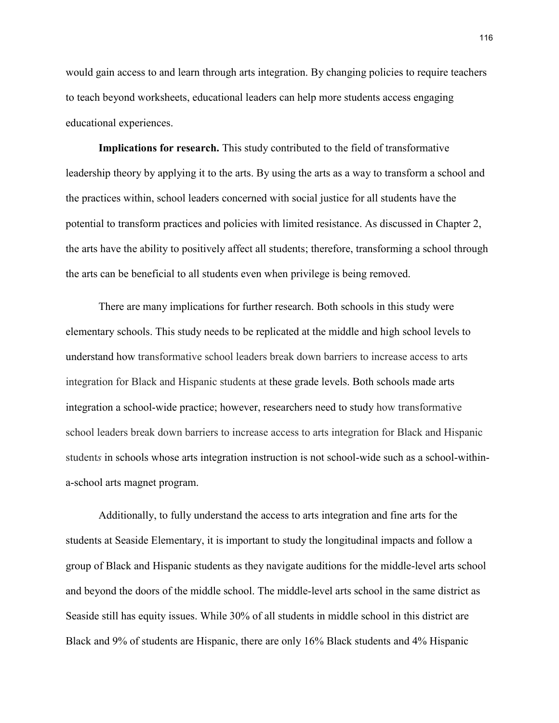would gain access to and learn through arts integration. By changing policies to require teachers to teach beyond worksheets, educational leaders can help more students access engaging educational experiences.

**Implications for research.** This study contributed to the field of transformative leadership theory by applying it to the arts. By using the arts as a way to transform a school and the practices within, school leaders concerned with social justice for all students have the potential to transform practices and policies with limited resistance. As discussed in Chapter 2, the arts have the ability to positively affect all students; therefore, transforming a school through the arts can be beneficial to all students even when privilege is being removed.

There are many implications for further research. Both schools in this study were elementary schools. This study needs to be replicated at the middle and high school levels to understand how transformative school leaders break down barriers to increase access to arts integration for Black and Hispanic students at these grade levels. Both schools made arts integration a school-wide practice; however, researchers need to study how transformative school leaders break down barriers to increase access to arts integration for Black and Hispanic student*s* in schools whose arts integration instruction is not school-wide such as a school-withina-school arts magnet program.

Additionally, to fully understand the access to arts integration and fine arts for the students at Seaside Elementary, it is important to study the longitudinal impacts and follow a group of Black and Hispanic students as they navigate auditions for the middle-level arts school and beyond the doors of the middle school. The middle-level arts school in the same district as Seaside still has equity issues. While 30% of all students in middle school in this district are Black and 9% of students are Hispanic, there are only 16% Black students and 4% Hispanic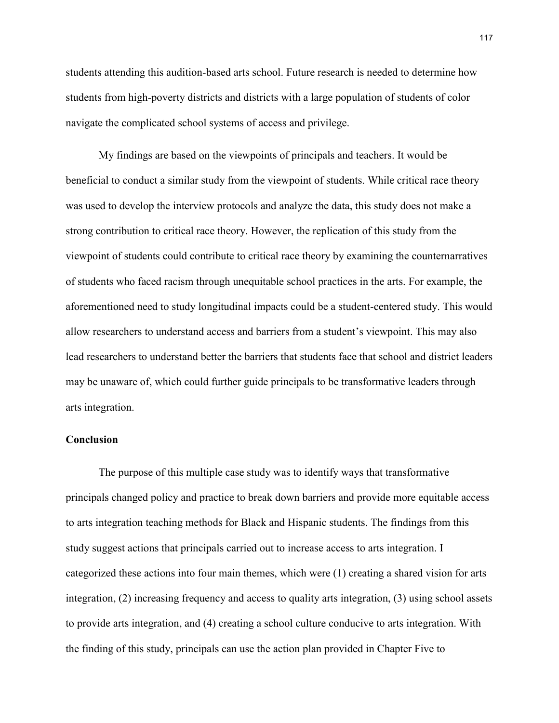students attending this audition-based arts school. Future research is needed to determine how students from high-poverty districts and districts with a large population of students of color navigate the complicated school systems of access and privilege.

My findings are based on the viewpoints of principals and teachers. It would be beneficial to conduct a similar study from the viewpoint of students. While critical race theory was used to develop the interview protocols and analyze the data, this study does not make a strong contribution to critical race theory. However, the replication of this study from the viewpoint of students could contribute to critical race theory by examining the counternarratives of students who faced racism through unequitable school practices in the arts. For example, the aforementioned need to study longitudinal impacts could be a student-centered study. This would allow researchers to understand access and barriers from a student's viewpoint. This may also lead researchers to understand better the barriers that students face that school and district leaders may be unaware of, which could further guide principals to be transformative leaders through arts integration.

### **Conclusion**

The purpose of this multiple case study was to identify ways that transformative principals changed policy and practice to break down barriers and provide more equitable access to arts integration teaching methods for Black and Hispanic students. The findings from this study suggest actions that principals carried out to increase access to arts integration. I categorized these actions into four main themes, which were (1) creating a shared vision for arts integration, (2) increasing frequency and access to quality arts integration, (3) using school assets to provide arts integration, and (4) creating a school culture conducive to arts integration. With the finding of this study, principals can use the action plan provided in Chapter Five to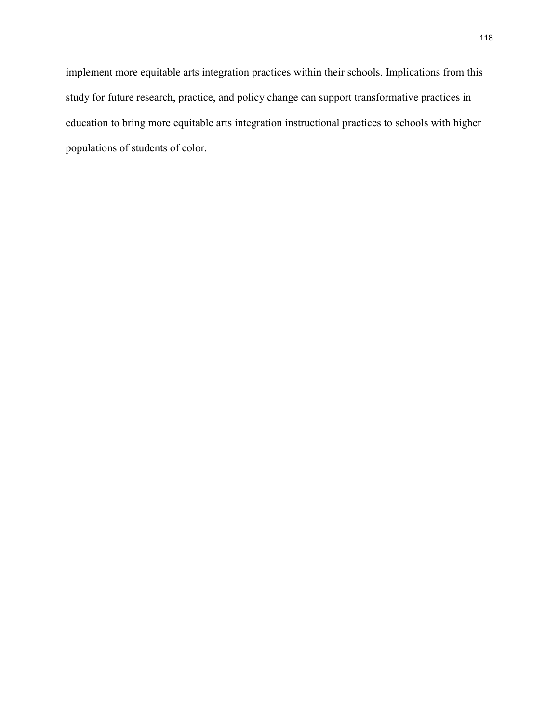implement more equitable arts integration practices within their schools. Implications from this study for future research, practice, and policy change can support transformative practices in education to bring more equitable arts integration instructional practices to schools with higher populations of students of color.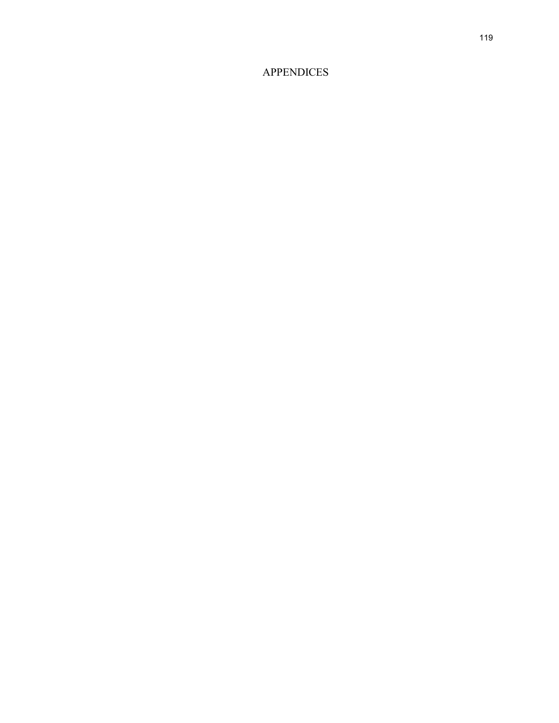# APPENDICES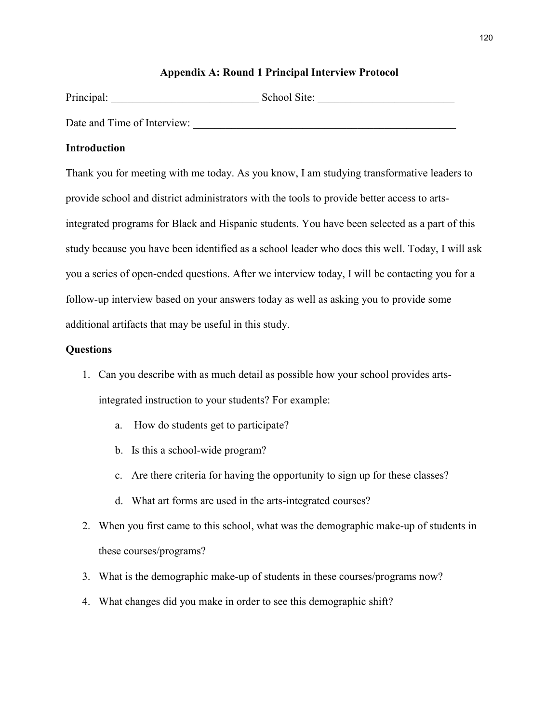## **Appendix A: Round 1 Principal Interview Protocol**

| Principal:                  | School Site: |
|-----------------------------|--------------|
| Date and Time of Interview: |              |

### **Introduction**

Thank you for meeting with me today. As you know, I am studying transformative leaders to provide school and district administrators with the tools to provide better access to artsintegrated programs for Black and Hispanic students. You have been selected as a part of this study because you have been identified as a school leader who does this well. Today, I will ask you a series of open-ended questions. After we interview today, I will be contacting you for a follow-up interview based on your answers today as well as asking you to provide some additional artifacts that may be useful in this study.

### **Questions**

- 1. Can you describe with as much detail as possible how your school provides artsintegrated instruction to your students? For example:
	- a. How do students get to participate?
	- b. Is this a school-wide program?
	- c. Are there criteria for having the opportunity to sign up for these classes?
	- d. What art forms are used in the arts-integrated courses?
- 2. When you first came to this school, what was the demographic make-up of students in these courses/programs?
- 3. What is the demographic make-up of students in these courses/programs now?
- 4. What changes did you make in order to see this demographic shift?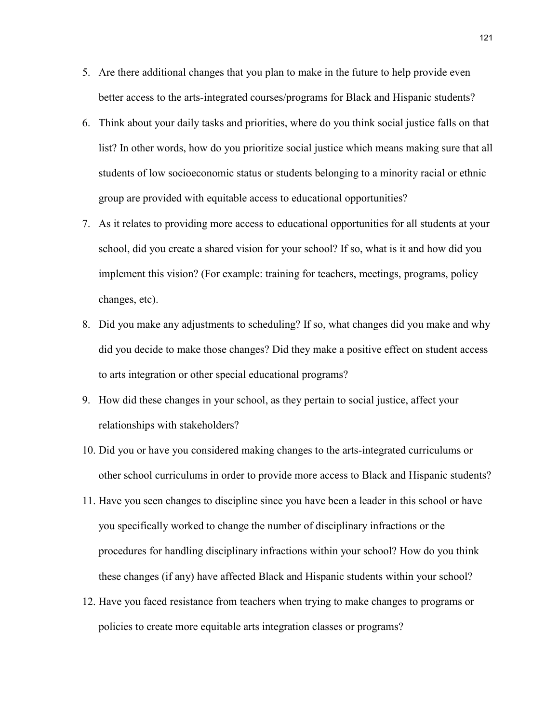- 5. Are there additional changes that you plan to make in the future to help provide even better access to the arts-integrated courses/programs for Black and Hispanic students?
- 6. Think about your daily tasks and priorities, where do you think social justice falls on that list? In other words, how do you prioritize social justice which means making sure that all students of low socioeconomic status or students belonging to a minority racial or ethnic group are provided with equitable access to educational opportunities?
- 7. As it relates to providing more access to educational opportunities for all students at your school, did you create a shared vision for your school? If so, what is it and how did you implement this vision? (For example: training for teachers, meetings, programs, policy changes, etc).
- 8. Did you make any adjustments to scheduling? If so, what changes did you make and why did you decide to make those changes? Did they make a positive effect on student access to arts integration or other special educational programs?
- 9. How did these changes in your school, as they pertain to social justice, affect your relationships with stakeholders?
- 10. Did you or have you considered making changes to the arts-integrated curriculums or other school curriculums in order to provide more access to Black and Hispanic students?
- 11. Have you seen changes to discipline since you have been a leader in this school or have you specifically worked to change the number of disciplinary infractions or the procedures for handling disciplinary infractions within your school? How do you think these changes (if any) have affected Black and Hispanic students within your school?
- 12. Have you faced resistance from teachers when trying to make changes to programs or policies to create more equitable arts integration classes or programs?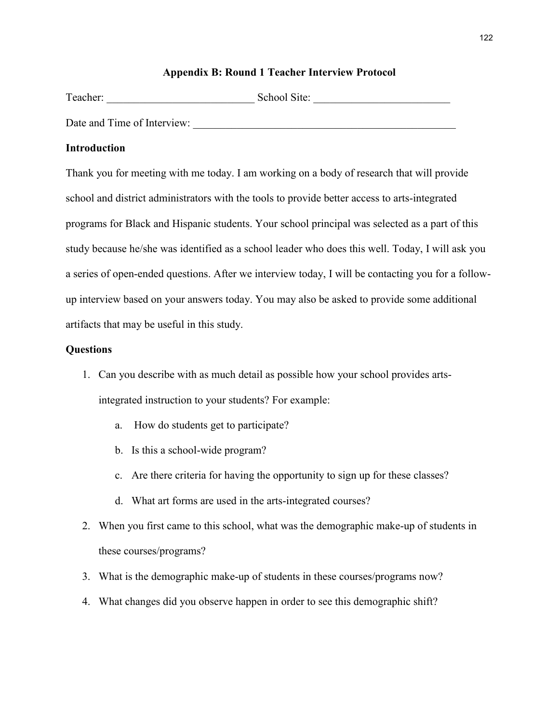### **Appendix B: Round 1 Teacher Interview Protocol**

| Teacher:                    | School Site: |
|-----------------------------|--------------|
| Date and Time of Interview: |              |

### **Introduction**

Thank you for meeting with me today. I am working on a body of research that will provide school and district administrators with the tools to provide better access to arts-integrated programs for Black and Hispanic students. Your school principal was selected as a part of this study because he/she was identified as a school leader who does this well. Today, I will ask you a series of open-ended questions. After we interview today, I will be contacting you for a followup interview based on your answers today. You may also be asked to provide some additional artifacts that may be useful in this study.

### **Questions**

- 1. Can you describe with as much detail as possible how your school provides artsintegrated instruction to your students? For example:
	- a. How do students get to participate?
	- b. Is this a school-wide program?
	- c. Are there criteria for having the opportunity to sign up for these classes?
	- d. What art forms are used in the arts-integrated courses?
- 2. When you first came to this school, what was the demographic make-up of students in these courses/programs?
- 3. What is the demographic make-up of students in these courses/programs now?
- 4. What changes did you observe happen in order to see this demographic shift?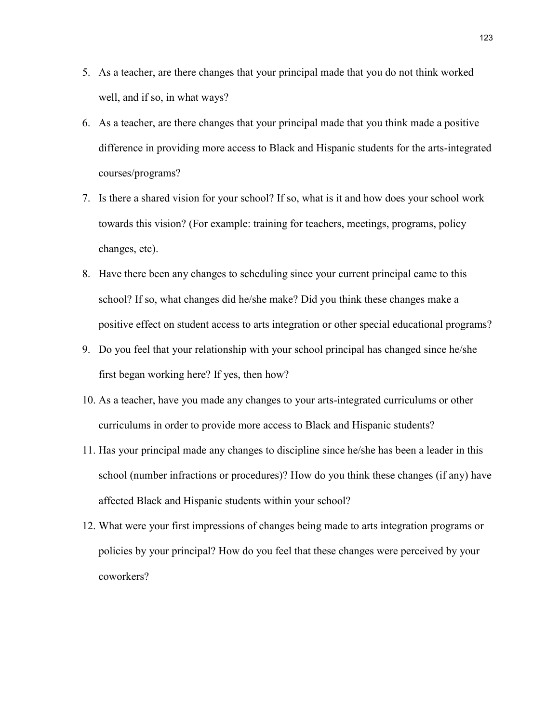- 5. As a teacher, are there changes that your principal made that you do not think worked well, and if so, in what ways?
- 6. As a teacher, are there changes that your principal made that you think made a positive difference in providing more access to Black and Hispanic students for the arts-integrated courses/programs?
- 7. Is there a shared vision for your school? If so, what is it and how does your school work towards this vision? (For example: training for teachers, meetings, programs, policy changes, etc).
- 8. Have there been any changes to scheduling since your current principal came to this school? If so, what changes did he/she make? Did you think these changes make a positive effect on student access to arts integration or other special educational programs?
- 9. Do you feel that your relationship with your school principal has changed since he/she first began working here? If yes, then how?
- 10. As a teacher, have you made any changes to your arts-integrated curriculums or other curriculums in order to provide more access to Black and Hispanic students?
- 11. Has your principal made any changes to discipline since he/she has been a leader in this school (number infractions or procedures)? How do you think these changes (if any) have affected Black and Hispanic students within your school?
- 12. What were your first impressions of changes being made to arts integration programs or policies by your principal? How do you feel that these changes were perceived by your coworkers?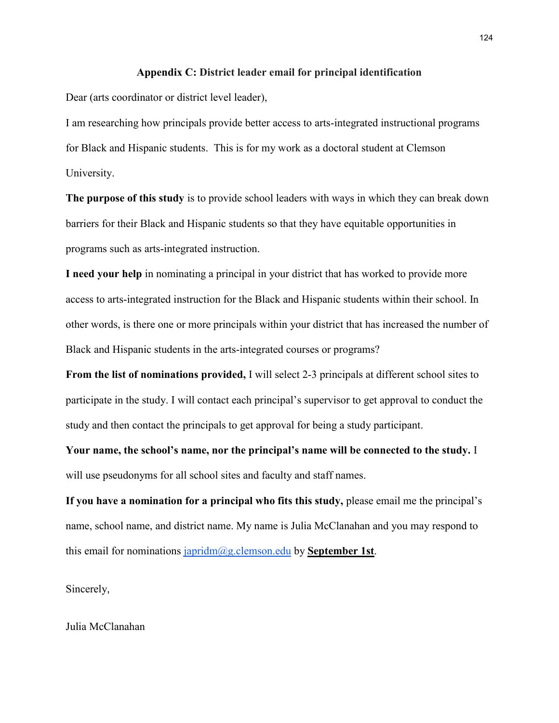#### **Appendix C: District leader email for principal identification**

Dear (arts coordinator or district level leader),

I am researching how principals provide better access to arts-integrated instructional programs for Black and Hispanic students. This is for my work as a doctoral student at Clemson University.

**The purpose of this study** is to provide school leaders with ways in which they can break down barriers for their Black and Hispanic students so that they have equitable opportunities in programs such as arts-integrated instruction.

**I need your help** in nominating a principal in your district that has worked to provide more access to arts-integrated instruction for the Black and Hispanic students within their school. In other words, is there one or more principals within your district that has increased the number of Black and Hispanic students in the arts-integrated courses or programs?

**From the list of nominations provided,** I will select 2-3 principals at different school sites to participate in the study. I will contact each principal's supervisor to get approval to conduct the study and then contact the principals to get approval for being a study participant.

**Your name, the school's name, nor the principal's name will be connected to the study.** I will use pseudonyms for all school sites and faculty and staff names.

**If you have a nomination for a principal who fits this study,** please email me the principal's name, school name, and district name. My name is Julia McClanahan and you may respond to this email for nominations [japridm@g.clemson.edu](mailto:japridm@g.clemson.edu) by **September 1st**.

Sincerely,

Julia McClanahan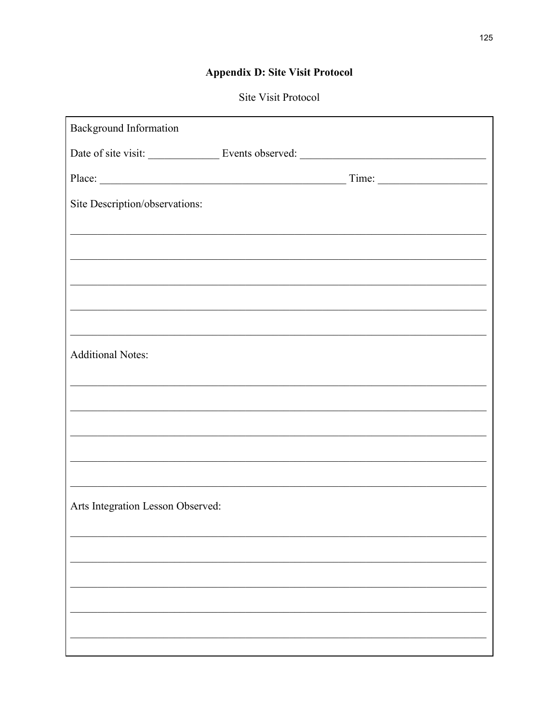# **Appendix D: Site Visit Protocol**

# Site Visit Protocol

| <b>Background Information</b>                                                                                           |
|-------------------------------------------------------------------------------------------------------------------------|
|                                                                                                                         |
| Place: Time: Time:                                                                                                      |
| Site Description/observations:                                                                                          |
| <u> 1989 - Johann Stoff, deutscher Stoff, der Stoff, der Stoff, der Stoff, der Stoff, der Stoff, der Stoff, der S</u>   |
|                                                                                                                         |
| <u> 1989 - Johann John Stoff, deutscher Stoff als der Stoff als der Stoff als der Stoff als der Stoff als der Stoff</u> |
|                                                                                                                         |
|                                                                                                                         |
| <b>Additional Notes:</b>                                                                                                |
| <u> 1989 - Johann Stoff, deutscher Stoff, der Stoff, der Stoff, der Stoff, der Stoff, der Stoff, der Stoff, der S</u>   |
|                                                                                                                         |
|                                                                                                                         |
|                                                                                                                         |
|                                                                                                                         |
| Arts Integration Lesson Observed:                                                                                       |
|                                                                                                                         |
|                                                                                                                         |
|                                                                                                                         |
|                                                                                                                         |
|                                                                                                                         |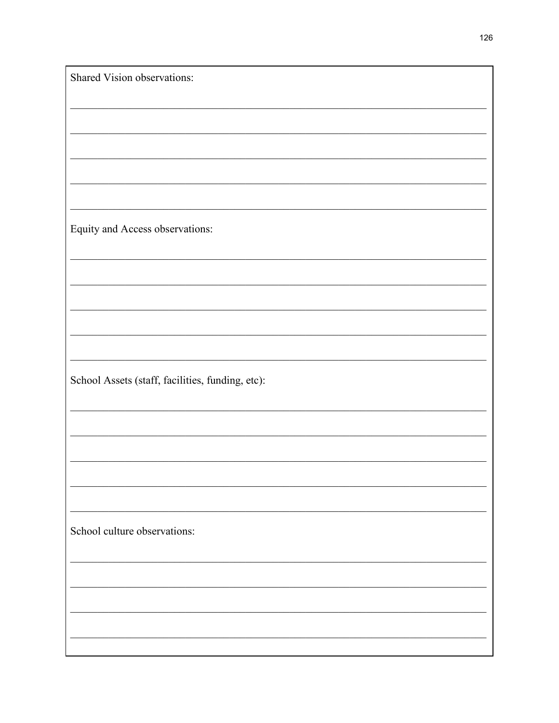| Shared Vision observations:                      |
|--------------------------------------------------|
|                                                  |
|                                                  |
|                                                  |
|                                                  |
|                                                  |
|                                                  |
|                                                  |
|                                                  |
|                                                  |
|                                                  |
|                                                  |
|                                                  |
|                                                  |
|                                                  |
|                                                  |
| Equity and Access observations:                  |
|                                                  |
|                                                  |
|                                                  |
|                                                  |
|                                                  |
|                                                  |
|                                                  |
|                                                  |
|                                                  |
|                                                  |
|                                                  |
|                                                  |
|                                                  |
|                                                  |
|                                                  |
|                                                  |
| School Assets (staff, facilities, funding, etc): |
|                                                  |
|                                                  |
|                                                  |
|                                                  |
|                                                  |
|                                                  |
|                                                  |
|                                                  |
|                                                  |
|                                                  |
|                                                  |
|                                                  |
|                                                  |
|                                                  |
|                                                  |
| School culture observations:                     |
|                                                  |
|                                                  |
|                                                  |
|                                                  |
|                                                  |
|                                                  |
|                                                  |
|                                                  |
|                                                  |
|                                                  |
|                                                  |
|                                                  |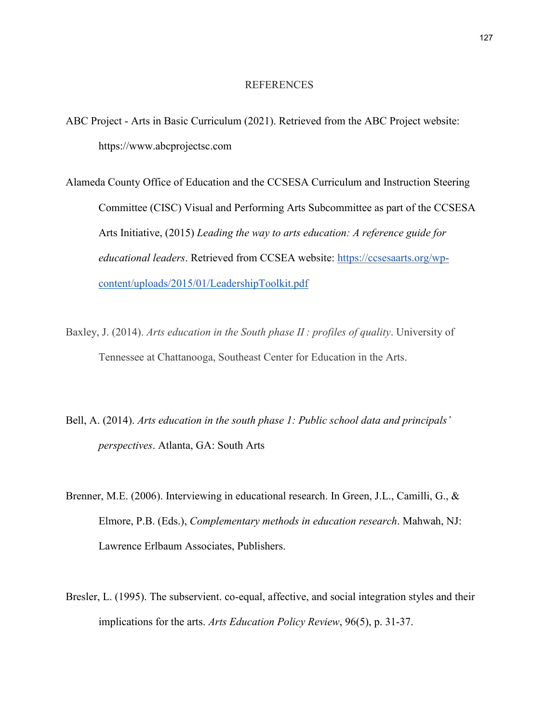### REFERENCES

- ABC Project Arts in Basic Curriculum (2021). Retrieved from the ABC Project website: https://www.abcprojectsc.com
- Alameda County Office of Education and the CCSESA Curriculum and Instruction Steering Committee (CISC) Visual and Performing Arts Subcommittee as part of the CCSESA Arts Initiative, (2015) *Leading the way to arts education: A reference guide for educational leaders*. Retrieved from CCSEA website: [https://ccsesaarts.org/wp](https://ccsesaarts.org/wp-content/uploads/2015/01/LeadershipToolkit.pdf)[content/uploads/2015/01/LeadershipToolkit.pdf](https://ccsesaarts.org/wp-content/uploads/2015/01/LeadershipToolkit.pdf)
- Baxley, J. (2014). *Arts education in the South phase II : profiles of quality*. University of Tennessee at Chattanooga, Southeast Center for Education in the Arts.
- Bell, A. (2014). *Arts education in the south phase 1: Public school data and principals' perspectives*. Atlanta, GA: South Arts
- Brenner, M.E. (2006). Interviewing in educational research. In Green, J.L., Camilli, G., & Elmore, P.B. (Eds.), *Complementary methods in education research*. Mahwah, NJ: Lawrence Erlbaum Associates, Publishers.
- Bresler, L. (1995). The subservient. co-equal, affective, and social integration styles and their implications for the arts. *Arts Education Policy Review*, 96(5), p. 31-37.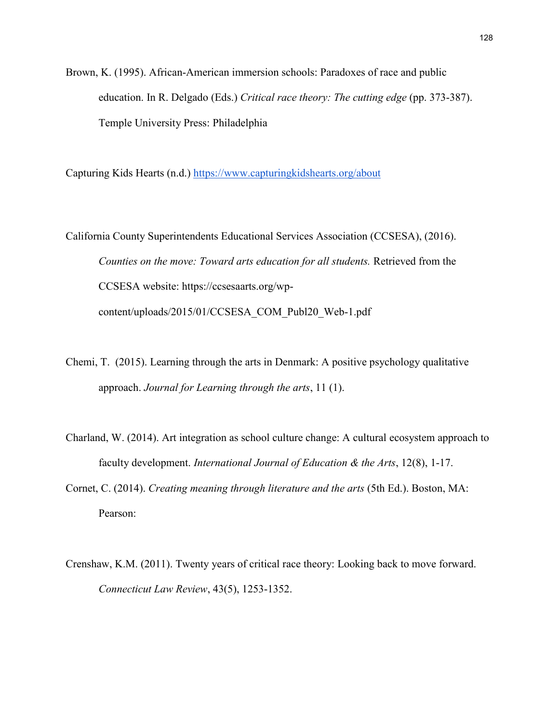Brown, K. (1995). African-American immersion schools: Paradoxes of race and public education. In R. Delgado (Eds.) *Critical race theory: The cutting edge* (pp. 373-387). Temple University Press: Philadelphia

Capturing Kids Hearts (n.d.)<https://www.capturingkidshearts.org/about>

California County Superintendents Educational Services Association (CCSESA), (2016). *Counties on the move: Toward arts education for all students.* Retrieved from the CCSESA website: https://ccsesaarts.org/wpcontent/uploads/2015/01/CCSESA\_COM\_Publ20\_Web-1.pdf

- Chemi, T. (2015). Learning through the arts in Denmark: A positive psychology qualitative approach. *Journal for Learning through the arts*, 11 (1).
- Charland, W. (2014). Art integration as school culture change: A cultural ecosystem approach to faculty development. *International Journal of Education & the Arts*, 12(8), 1-17.
- Cornet, C. (2014). *Creating meaning through literature and the arts* (5th Ed.). Boston, MA: Pearson:
- Crenshaw, K.M. (2011). Twenty years of critical race theory: Looking back to move forward. *Connecticut Law Review*, 43(5), 1253-1352.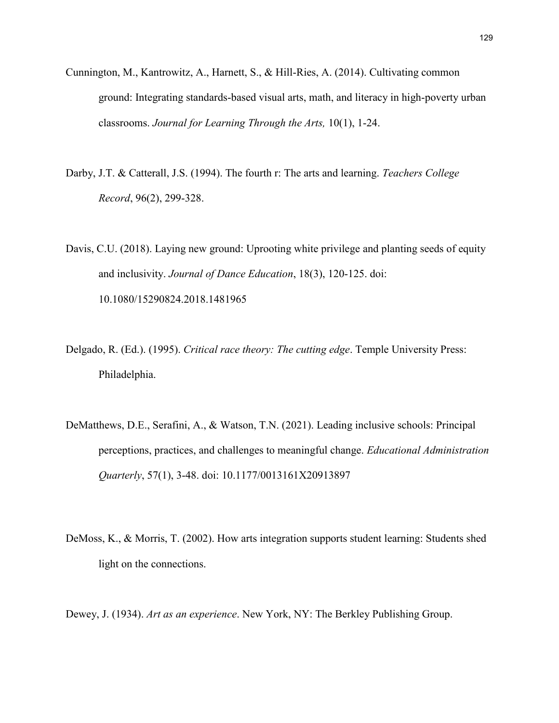- Cunnington, M., Kantrowitz, A., Harnett, S., & Hill-Ries, A. (2014). Cultivating common ground: Integrating standards-based visual arts, math, and literacy in high-poverty urban classrooms. *Journal for Learning Through the Arts,* 10(1), 1-24.
- Darby, J.T. & Catterall, J.S. (1994). The fourth r: The arts and learning. *Teachers College Record*, 96(2), 299-328.
- Davis, C.U. (2018). Laying new ground: Uprooting white privilege and planting seeds of equity and inclusivity. *Journal of Dance Education*, 18(3), 120-125. doi: 10.1080/15290824.2018.1481965
- Delgado, R. (Ed.). (1995). *Critical race theory: The cutting edge*. Temple University Press: Philadelphia.
- DeMatthews, D.E., Serafini, A., & Watson, T.N. (2021). Leading inclusive schools: Principal perceptions, practices, and challenges to meaningful change. *Educational Administration Quarterly*, 57(1), 3-48. doi: 10.1177/0013161X20913897
- DeMoss, K., & Morris, T. (2002). How arts integration supports student learning: Students shed light on the connections.

Dewey, J. (1934). *Art as an experience*. New York, NY: The Berkley Publishing Group.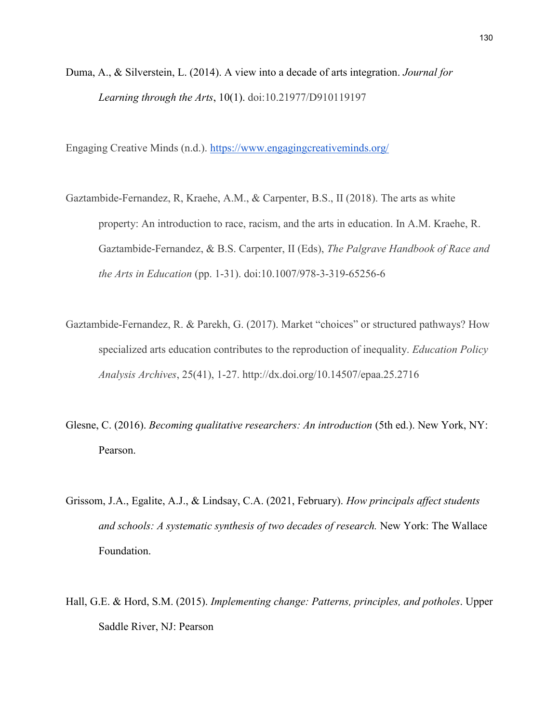Duma, A., & Silverstein, L. (2014). A view into a decade of arts integration. *Journal for Learning through the Arts*, 10(1). doi:10.21977/D910119197

Engaging Creative Minds (n.d.).<https://www.engagingcreativeminds.org/>

- Gaztambide-Fernandez, R, Kraehe, A.M., & Carpenter, B.S., II (2018). The arts as white property: An introduction to race, racism, and the arts in education. In A.M. Kraehe, R. Gaztambide-Fernandez, & B.S. Carpenter, II (Eds), *The Palgrave Handbook of Race and the Arts in Education* (pp. 1-31). doi:10.1007/978-3-319-65256-6
- Gaztambide-Fernandez, R. & Parekh, G. (2017). Market "choices" or structured pathways? How specialized arts education contributes to the reproduction of inequality. *Education Policy Analysis Archives*, 25(41), 1-27. http://dx.doi.org/10.14507/epaa.25.2716
- Glesne, C. (2016). *Becoming qualitative researchers: An introduction* (5th ed.). New York, NY: Pearson.
- Grissom, J.A., Egalite, A.J., & Lindsay, C.A. (2021, February). *How principals affect students and schools: A systematic synthesis of two decades of research.* New York: The Wallace Foundation.
- Hall, G.E. & Hord, S.M. (2015). *Implementing change: Patterns, principles, and potholes*. Upper Saddle River, NJ: Pearson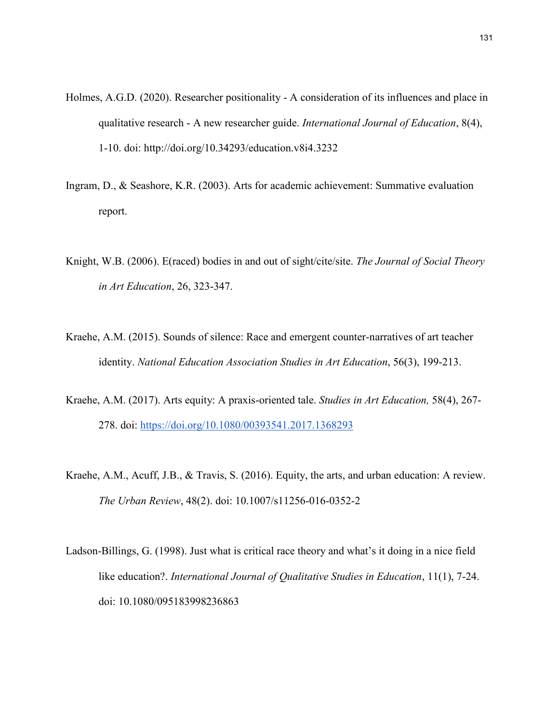- Holmes, A.G.D. (2020). Researcher positionality A consideration of its influences and place in qualitative research - A new researcher guide. *International Journal of Education*, 8(4), 1-10. doi: http://doi.org/10.34293/education.v8i4.3232
- Ingram, D., & Seashore, K.R. (2003). Arts for academic achievement: Summative evaluation report.
- Knight, W.B. (2006). E(raced) bodies in and out of sight/cite/site. *The Journal of Social Theory in Art Education*, 26, 323-347.
- Kraehe, A.M. (2015). Sounds of silence: Race and emergent counter-narratives of art teacher identity. *National Education Association Studies in Art Education*, 56(3), 199-213.
- Kraehe, A.M. (2017). Arts equity: A praxis-oriented tale. *Studies in Art Education,* 58(4), 267- 278. doi:<https://doi.org/10.1080/00393541.2017.1368293>
- Kraehe, A.M., Acuff, J.B., & Travis, S. (2016). Equity, the arts, and urban education: A review. *The Urban Review*, 48(2). doi: 10.1007/s11256-016-0352-2
- Ladson-Billings, G. (1998). Just what is critical race theory and what's it doing in a nice field like education?. *International Journal of Qualitative Studies in Education*, 11(1), 7-24. doi: 10.1080/095183998236863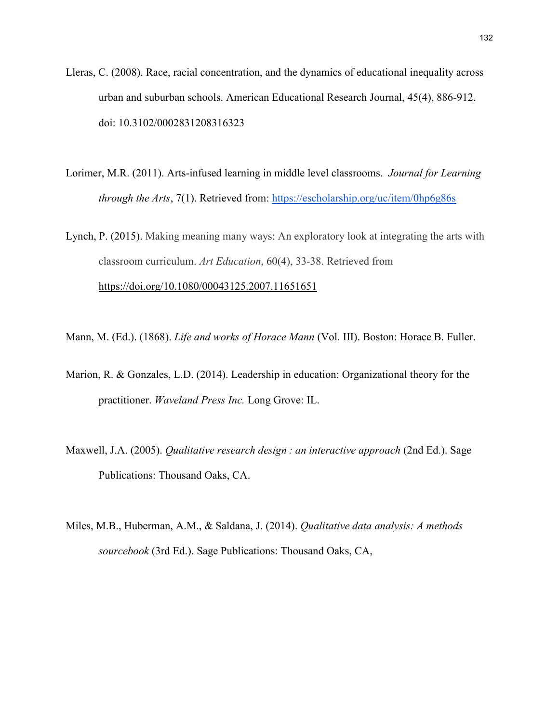- Lleras, C. (2008). Race, racial concentration, and the dynamics of educational inequality across urban and suburban schools. American Educational Research Journal, 45(4), 886-912. doi: 10.3102/0002831208316323
- Lorimer, M.R. (2011). Arts-infused learning in middle level classrooms. *Journal for Learning through the Arts*, 7(1). Retrieved from:<https://escholarship.org/uc/item/0hp6g86s>

Lynch, P. (2015). Making meaning many ways: An exploratory look at integrating the arts with classroom curriculum. *Art Education*, 60(4), 33-38. Retrieved from <https://doi.org/10.1080/00043125.2007.11651651>

Mann, M. (Ed.). (1868). *Life and works of Horace Mann* (Vol. III). Boston: Horace B. Fuller.

- Marion, R. & Gonzales, L.D. (2014). Leadership in education: Organizational theory for the practitioner. *Waveland Press Inc.* Long Grove: IL.
- Maxwell, J.A. (2005). *Qualitative research design : an interactive approach* (2nd Ed.). Sage Publications: Thousand Oaks, CA.
- Miles, M.B., Huberman, A.M., & Saldana, J. (2014). *Qualitative data analysis: A methods sourcebook* (3rd Ed.). Sage Publications: Thousand Oaks, CA,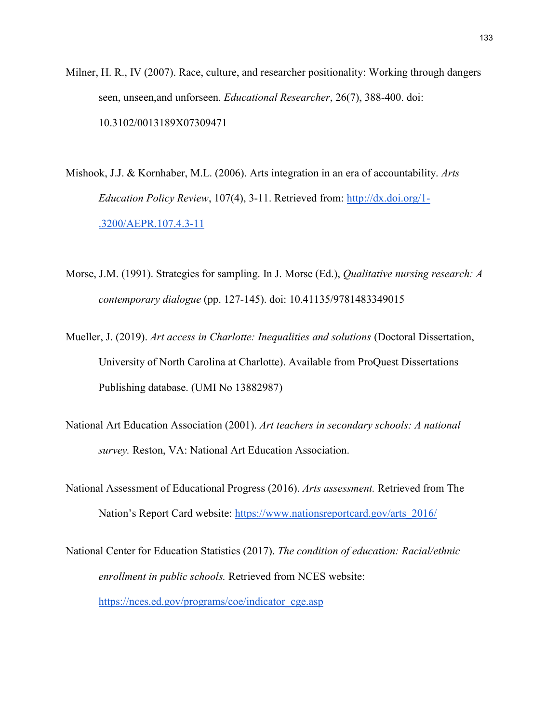- Milner, H. R., IV (2007). Race, culture, and researcher positionality: Working through dangers seen, unseen,and unforseen. *Educational Researcher*, 26(7), 388-400. doi: 10.3102/0013189X07309471
- Mishook, J.J. & Kornhaber, M.L. (2006). Arts integration in an era of accountability. *Arts Education Policy Review*, 107(4), 3-11. Retrieved from: [http://dx.doi.org/1-](http://dx.doi.org/1-.3200/AEPR.107.4.3-11) [.3200/AEPR.107.4.3-11](http://dx.doi.org/1-.3200/AEPR.107.4.3-11)
- Morse, J.M. (1991). Strategies for sampling. In J. Morse (Ed.), *Qualitative nursing research: A contemporary dialogue* (pp. 127-145). doi: 10.41135/9781483349015
- Mueller, J. (2019). *Art access in Charlotte: Inequalities and solutions* (Doctoral Dissertation, University of North Carolina at Charlotte). Available from ProQuest Dissertations Publishing database. (UMI No 13882987)
- National Art Education Association (2001). *Art teachers in secondary schools: A national survey.* Reston, VA: National Art Education Association.
- National Assessment of Educational Progress (2016). *Arts assessment.* Retrieved from The Nation's Report Card website: [https://www.nationsreportcard.gov/arts\\_2016/](https://www.nationsreportcard.gov/arts_2016/)
- National Center for Education Statistics (2017). *The condition of education: Racial/ethnic enrollment in public schools.* Retrieved from NCES website: [https://nces.ed.gov/programs/coe/indicator\\_cge.asp](https://nces.ed.gov/programs/coe/indicator_cge.asp)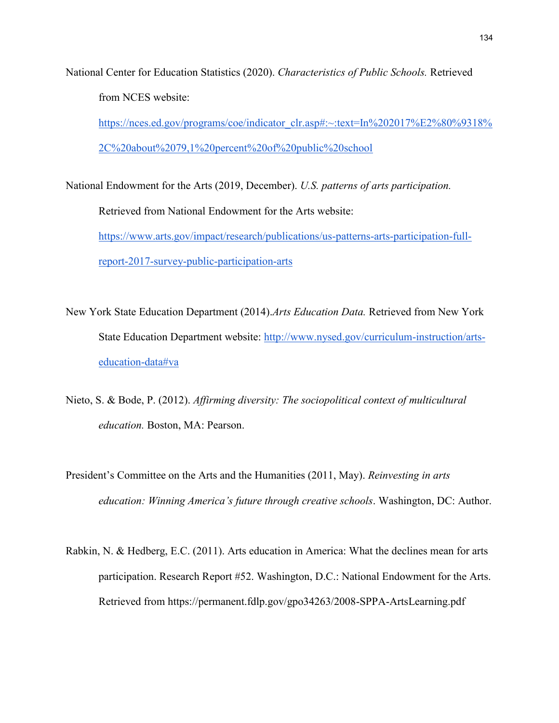National Center for Education Statistics (2020). *Characteristics of Public Schools.* Retrieved from NCES website:

[https://nces.ed.gov/programs/coe/indicator\\_clr.asp#:~:text=In%202017%E2%80%9318%](https://nces.ed.gov/programs/coe/indicator_clr.asp#:~:text=In%202017%E2%80%9318%2C%20about%2079,1%20percent%20of%20public%20school) [2C%20about%2079,1%20percent%20of%20public%20school](https://nces.ed.gov/programs/coe/indicator_clr.asp#:~:text=In%202017%E2%80%9318%2C%20about%2079,1%20percent%20of%20public%20school)

National Endowment for the Arts (2019, December). *U.S. patterns of arts participation.* Retrieved from National Endowment for the Arts website: [https://www.arts.gov/impact/research/publications/us-patterns-arts-participation-full](https://www.arts.gov/impact/research/publications/us-patterns-arts-participation-full-report-2017-survey-public-participation-arts)[report-2017-survey-public-participation-arts](https://www.arts.gov/impact/research/publications/us-patterns-arts-participation-full-report-2017-survey-public-participation-arts)

New York State Education Department (2014).*Arts Education Data.* Retrieved from New York State Education Department website: [http://www.nysed.gov/curriculum-instruction/arts](http://www.nysed.gov/curriculum-instruction/arts-education-data#va)[education-data#va](http://www.nysed.gov/curriculum-instruction/arts-education-data#va)

Nieto, S. & Bode, P. (2012). *Affirming diversity: The sociopolitical context of multicultural education.* Boston, MA: Pearson.

President's Committee on the Arts and the Humanities (2011, May). *Reinvesting in arts education: Winning America's future through creative schools*. Washington, DC: Author.

Rabkin, N. & Hedberg, E.C. (2011). Arts education in America: What the declines mean for arts participation. Research Report #52. Washington, D.C.: National Endowment for the Arts. Retrieved from https://permanent.fdlp.gov/gpo34263/2008-SPPA-ArtsLearning.pdf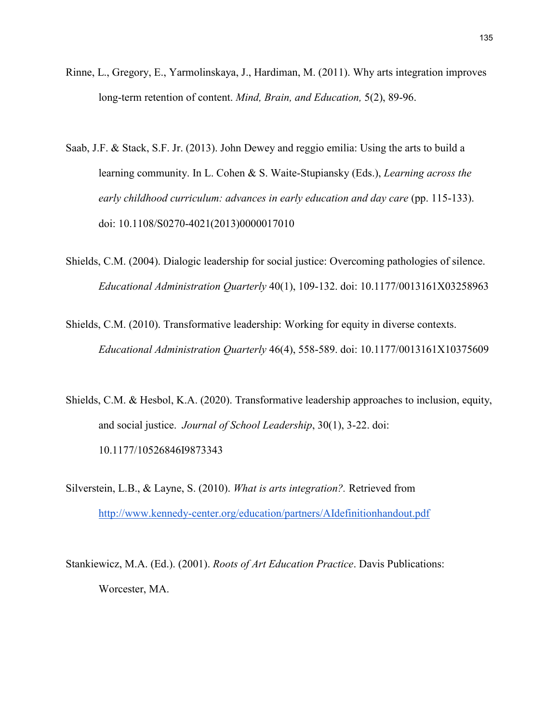- Rinne, L., Gregory, E., Yarmolinskaya, J., Hardiman, M. (2011). Why arts integration improves long-term retention of content. *Mind, Brain, and Education,* 5(2), 89-96.
- Saab, J.F. & Stack, S.F. Jr. (2013). John Dewey and reggio emilia: Using the arts to build a learning community. In L. Cohen & S. Waite-Stupiansky (Eds.), *Learning across the early childhood curriculum: advances in early education and day care* (pp. 115-133). doi: 10.1108/S0270-4021(2013)0000017010
- Shields, C.M. (2004). Dialogic leadership for social justice: Overcoming pathologies of silence. *Educational Administration Quarterly* 40(1), 109-132. doi: 10.1177/0013161X03258963
- Shields, C.M. (2010). Transformative leadership: Working for equity in diverse contexts. *Educational Administration Quarterly* 46(4), 558-589. doi: 10.1177/0013161X10375609
- Shields, C.M. & Hesbol, K.A. (2020). Transformative leadership approaches to inclusion, equity, and social justice. *Journal of School Leadership*, 30(1), 3-22. doi: 10.1177/10526846I9873343
- Silverstein, L.B., & Layne, S. (2010). *What is arts integration?.* Retrieved from <http://www.kennedy-center.org/education/partners/AIdefinitionhandout.pdf>
- Stankiewicz, M.A. (Ed.). (2001). *Roots of Art Education Practice*. Davis Publications: Worcester, MA.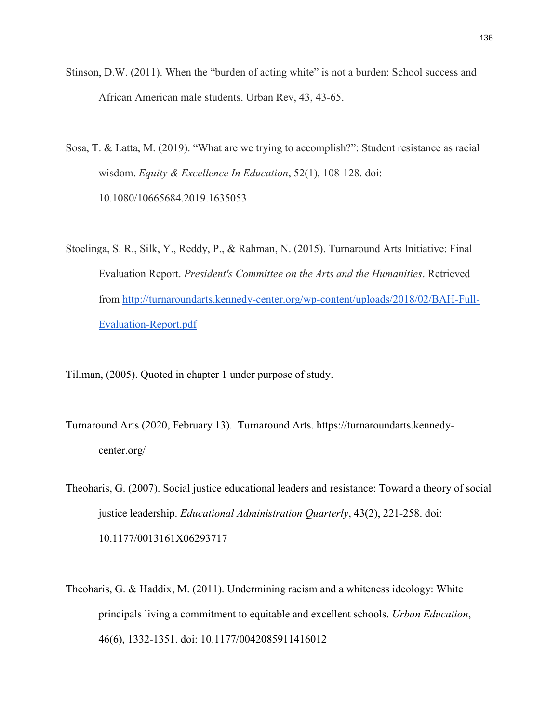- Stinson, D.W. (2011). When the "burden of acting white" is not a burden: School success and African American male students. Urban Rev, 43, 43-65.
- Sosa, T. & Latta, M. (2019). "What are we trying to accomplish?": Student resistance as racial wisdom. *Equity & Excellence In Education*, 52(1), 108-128. doi: 10.1080/10665684.2019.1635053
- Stoelinga, S. R., Silk, Y., Reddy, P., & Rahman, N. (2015). Turnaround Arts Initiative: Final Evaluation Report. *President's Committee on the Arts and the Humanities*. Retrieved from [http://turnaroundarts.kennedy-center.org/wp-content/uploads/2018/02/BAH-Full-](http://turnaroundarts.kennedy-center.org/wp-content/uploads/2018/02/BAH-Full-Evaluation-Report.pdf)[Evaluation-Report.pdf](http://turnaroundarts.kennedy-center.org/wp-content/uploads/2018/02/BAH-Full-Evaluation-Report.pdf)

Tillman, (2005). Quoted in chapter 1 under purpose of study.

- Turnaround Arts (2020, February 13). Turnaround Arts. https://turnaroundarts.kennedycenter.org/
- Theoharis, G. (2007). Social justice educational leaders and resistance: Toward a theory of social justice leadership. *Educational Administration Quarterly*, 43(2), 221-258. doi: 10.1177/0013161X06293717
- Theoharis, G. & Haddix, M. (2011). Undermining racism and a whiteness ideology: White principals living a commitment to equitable and excellent schools. *Urban Education*, 46(6), 1332-1351. doi: 10.1177/0042085911416012